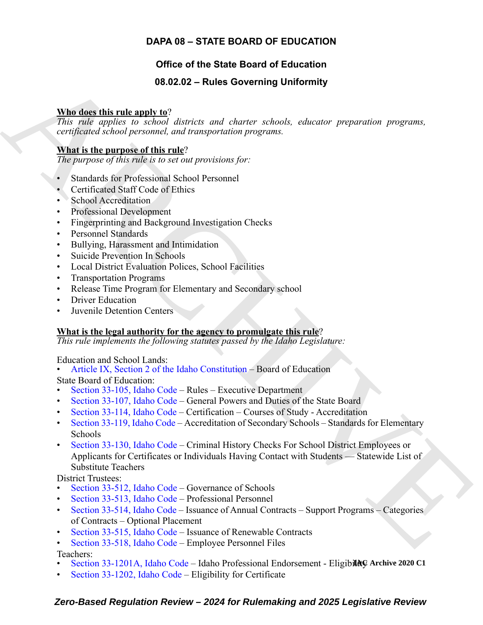# **DAPA 08 – STATE BOARD OF EDUCATION**

# **Office of the State Board of Education**

# **08.02.02 – Rules Governing Uniformity**

## **Who does this rule apply to**?

*This rule applies to school districts and charter schools, educator preparation programs, certificated school personnel, and transportation programs.*

## **What is the purpose of this rule**?

*The purpose of this rule is to set out provisions for:*

- Standards for Professional School Personnel
- Certificated Staff Code of Ethics
- School Accreditation
- Professional Development
- Fingerprinting and Background Investigation Checks
- Personnel Standards
- Bullying, Harassment and Intimidation
- Suicide Prevention In Schools
- Local District Evaluation Polices, School Facilities
- Transportation Programs
- Release Time Program for Elementary and Secondary school
- **Driver Education**
- **Juvenile Detention Centers**

### **What is the legal authority for the agency to promulgate this rule**?

*This rule implements the following statutes passed by the Idaho Legislature:*

Education and School Lands:

• Article IX, Section 2 of the Idaho Constitution – Board of Education

State Board of Education:

- Section 33-105, Idaho Code Rules Executive Department
- Section 33-107, Idaho Code General Powers and Duties of the State Board
- Section 33-114, Idaho Code Certification Courses of Study Accreditation
- Section 33-119, Idaho Code Accreditation of Secondary Schools Standards for Elementary Schools
- <span id="page-0-0"></span>**Since this rule and year** detection and cluster scheme of Antonic Street Scheme Street ( $m_1$  Calculated the street of the street scheme of the street scheme of the street of the parameteristic condition of the parameter • Section 33-130, Idaho Code – Criminal History Checks For School District Employees or Applicants for Certificates or Individuals Having Contact with Students — Statewide List of Substitute Teachers

District Trustees:

- Section 33-512, Idaho Code Governance of Schools
- Section 33-513, Idaho Code Professional Personnel
- Section 33-514, Idaho Code Issuance of Annual Contracts Support Programs Categories of Contracts – Optional Placement
- Section 33-515, Idaho Code Issuance of Renewable Contracts
- Section 33-518, Idaho Code Employee Personnel Files

Teachers:

- Section 33-1201A, Idaho Code Idaho Professional Endorsement EligibilAG Archive 2020 C1
- [Section 33-1202, Idaho Code –](https://legislature.idaho.gov/statutesrules/idstat/Title33/T33CH12/SECT33-1201A) Eligibility for Certificate

# *Zero-Based Regulation Review – 2024 for Rulemaking and 2025 Legislative Review*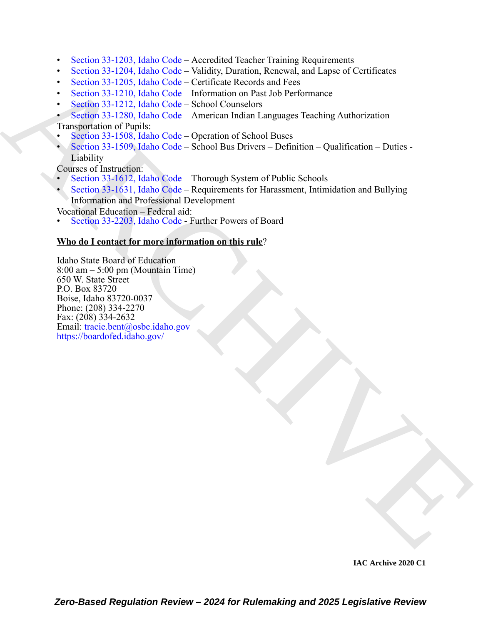- [Section 33-1203, Idaho Code](https://legislature.idaho.gov/statutesrules/idstat/Title33/T33CH12/SECT33-1203)  Accredited Teacher Training Requirements
- [Section 33-1204, Idaho Code](https://legislature.idaho.gov/statutesrules/idstat/Title33/T33CH12/SECT33-1204)  Validity, Duration, Renewal, and Lapse of Certificates
- Section 33-1205, Idaho Code Certificate Records and Fees
- Section 33-1210, Idaho Code Information on Past Job Performance
- Section 33-1212, Idaho Code School Counselors

## • Section 33-1280, Idaho Code – American Indian Languages Teaching Authorization

Transportation of Pupils:

- Section 33-1508, Idaho Code Operation of School Buses
- Section 33-1509, Idaho Code School Bus Drivers Definition Qualification Duties Liability

Courses of Instruction:

- Section 33-1612, Idaho Code Thorough System of Public Schools
- Section 33-1631, Idaho Code Requirements for Harassment, Intimidation and Bullying Information and Professional Development

Vocational Education – Federal aid:

• Section 33-2203, Idaho Code - Further Powers of Board

### **Who do I contact for more information on this rule**?

Section 33-1310 dalab Code – Individual on the Jab Ferminan control of the state of the Code – Information on Pac Lab Ferminans<br>
Section 33-1310 dalab Code – Information on Pac Lab Ferminans<br>
Section 33-1310 dalab Code – Idaho State Board of Education 8:00 am – 5:00 pm (Mountain Time) 650 W. State Street P.O. Box 83720 Boise, Idaho 83720-0037 Phone: (208) 334-2270 Fax:  $(208)$  334-2632 Email: tracie.bent@osbe.idaho.gov https://boardofed.idaho.gov/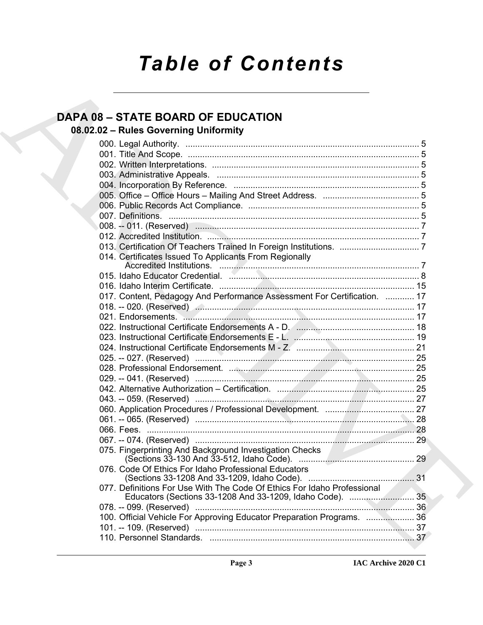# *Table of Contents*

# **DAPA 08 – STATE BOARD OF EDUCATION**

# **08.02.02 – Rules Governing Uniformity**

| <b>DAPA 08 - STATE BOARD OF EDUCATION</b>                                    |  |
|------------------------------------------------------------------------------|--|
| 08.02.02 - Rules Governing Uniformity                                        |  |
|                                                                              |  |
|                                                                              |  |
|                                                                              |  |
|                                                                              |  |
|                                                                              |  |
|                                                                              |  |
|                                                                              |  |
|                                                                              |  |
|                                                                              |  |
|                                                                              |  |
|                                                                              |  |
| 014. Certificates Issued To Applicants From Regionally                       |  |
|                                                                              |  |
|                                                                              |  |
|                                                                              |  |
| 017. Content, Pedagogy And Performance Assessment For Certification.  17     |  |
|                                                                              |  |
|                                                                              |  |
|                                                                              |  |
|                                                                              |  |
| 024. Instructional Certificate Endorsements M - Z. (musummanummanummanum 21) |  |
|                                                                              |  |
|                                                                              |  |
|                                                                              |  |
|                                                                              |  |
|                                                                              |  |
|                                                                              |  |
|                                                                              |  |
|                                                                              |  |
|                                                                              |  |
| 075. Fingerprinting And Background Investigation Checks                      |  |
| 076. Code Of Ethics For Idaho Professional Educators                         |  |
| 077. Definitions For Use With The Code Of Ethics For Idaho Professional      |  |
|                                                                              |  |
| 100. Official Vehicle For Approving Educator Preparation Programs.  36       |  |
|                                                                              |  |
|                                                                              |  |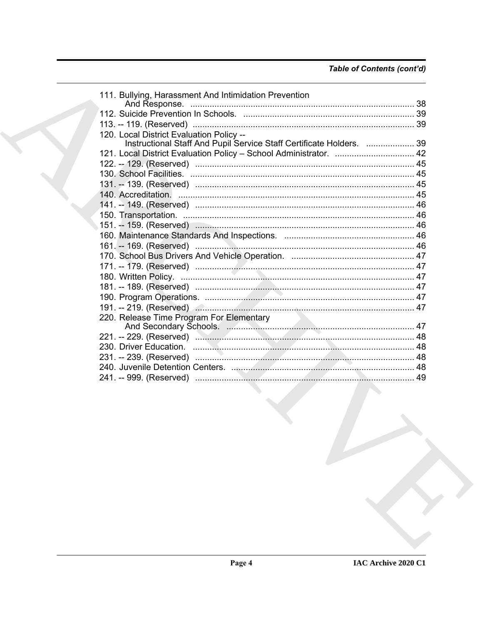| 111. Bullying, Harassment And Intimidation Prevention                |  |
|----------------------------------------------------------------------|--|
|                                                                      |  |
|                                                                      |  |
|                                                                      |  |
| 120. Local District Evaluation Policy --                             |  |
| Instructional Staff And Pupil Service Staff Certificate Holders.  39 |  |
| 121. Local District Evaluation Policy - School Administrator.  42    |  |
|                                                                      |  |
|                                                                      |  |
|                                                                      |  |
|                                                                      |  |
|                                                                      |  |
|                                                                      |  |
|                                                                      |  |
|                                                                      |  |
|                                                                      |  |
|                                                                      |  |
|                                                                      |  |
|                                                                      |  |
|                                                                      |  |
|                                                                      |  |
|                                                                      |  |
| 220. Release Time Program For Elementary                             |  |
|                                                                      |  |
|                                                                      |  |
|                                                                      |  |
|                                                                      |  |
|                                                                      |  |
|                                                                      |  |
|                                                                      |  |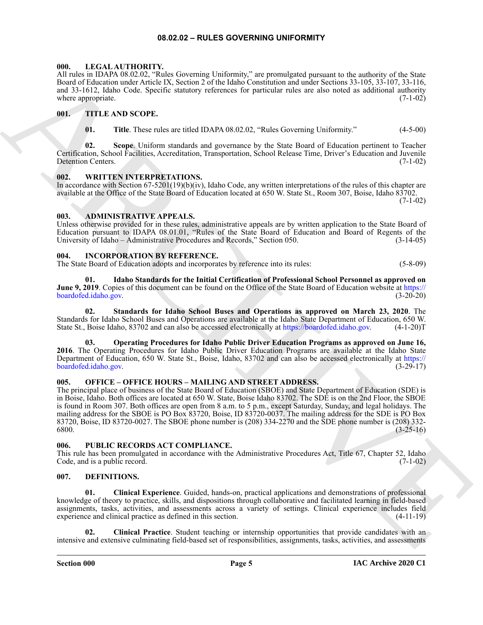#### **08.02.02 – RULES GOVERNING UNIFORMITY**

#### <span id="page-4-17"></span><span id="page-4-1"></span><span id="page-4-0"></span>**000. LEGAL AUTHORITY.**

All rules in IDAPA 08.02.02, "Rules Governing Uniformity," are promulgated pursuant to the authority of the State Board of Education under Article IX, Section 2 of the Idaho Constitution and under Sections 33-105, 33-107, 33-116, and 33-1612, Idaho Code. Specific statutory references for particular rules are also noted as additional authority where appropriate. (7-1-02)  $(7-1-0)$ 

#### <span id="page-4-2"></span>**001. TITLE AND SCOPE.**

<span id="page-4-19"></span>**01. Title**. These rules are titled IDAPA 08.02.02, "Rules Governing Uniformity." (4-5-00)

**02. Scope**. Uniform standards and governance by the State Board of Education pertinent to Teacher Certification, School Facilities, Accreditation, Transportation, School Release Time, Driver's Education and Juvenile Detention Centers. (7-1-02)

#### <span id="page-4-20"></span><span id="page-4-3"></span>**002. WRITTEN INTERPRETATIONS.**

In accordance with Section 67-5201(19)(b)(iv), Idaho Code, any written interpretations of the rules of this chapter are available at the Office of the State Board of Education located at 650 W. State St., Room 307, Boise, Idaho 83702.

 $(7-1-02)$ 

#### <span id="page-4-9"></span><span id="page-4-4"></span>**003. ADMINISTRATIVE APPEALS.**

Unless otherwise provided for in these rules, administrative appeals are by written application to the State Board of Education pursuant to IDAPA 08.01.01, "Rules of the State Board of Education and Board of Regents of the University of Idaho – Administrative Procedures and Records," Section 050. (3-14-05)

#### <span id="page-4-13"></span><span id="page-4-5"></span>**004. INCORPORATION BY REFERENCE.**

The State Board of Education adopts and incorporates by reference into its rules: (5-8-09)

<span id="page-4-14"></span>**01. Idaho Standards for the Initial Certification of Professional School Personnel as approved on June 9, 2019**. Copies of this document can be found on the Office of the State Board of Education website at https:// boardofed.idaho.gov. (3-20-20)

<span id="page-4-16"></span>**02. Standards for Idaho School Buses and Operations as approved on March 23, 2020**. The Standards for Idaho School Buses and Operations are available at the Idaho State Department of Education, 650 W. State St., Boise Idaho, 83702 and can also be accessed electronically at https://boardofed.idaho.gov. (4-1-20)T

<span id="page-4-15"></span>**03. Operating Procedures for Idaho Public Driver Education Programs as approved on June 16, 2016**. The Operating Procedures for Idaho Public Driver Education Programs are available at the Idaho State Department of Education, 650 W. State St., Boise, Idaho, 83702 and can also be accessed electronically at https:// boardofed.idaho.gov. (3-29-17)

#### <span id="page-4-18"></span><span id="page-4-6"></span>**005. OFFICE – OFFICE HOURS – MAILING AND STREET ADDRESS.**

ARC[H](https://boardofed.idaho.gov)IVE SURVEY CONTINUOUS CONTINUOUS CONTINUOUS CONTINUOUS CONTINUOUS CONTINUOUS CONTINUOUS CONTINUOUS CONTINUOUS CONTINUOUS CONTINUOUS CONTINUOUS CONTINUOUS CONTINUOUS CONTINUOUS CONTINUOUS CONTINUOUS CONTINUOUS CONTINUO The principal place of business of the State Board of Education (SBOE) and State Department of Education (SDE) is in Boise, Idaho. Both offices are located at 650 W. State, Boise Idaho 83702. The SDE is on the 2nd Floor, the SBOE is found in Room 307. Both offices are open from 8 a.m. to 5 p.m., except Saturday, Sunday, and legal holidays. The mailing address for the SBOE is PO Box 83720, Boise, ID 83720-0037. The mailing address for the SDE is PO Box 83720, Boise, ID 83720-0027. The SBOE phone number is (208) 334-2270 and the SDE phone number is (208) 332- 6800. (3-25-16)

#### <span id="page-4-7"></span>**006. PUBLIC RECORDS ACT COMPLIANCE.**

This rule has been promulgated in accordance with the Administrative Procedures Act, Title 67, Chapter 52, Idaho Code, and is a public record. (7-1-02)

#### <span id="page-4-10"></span><span id="page-4-8"></span>**007. DEFINITIONS.**

<span id="page-4-11"></span>**01. Clinical Experience**. Guided, hands-on, practical applications and demonstrations of professional knowledge of theory to practice, skills, and dispositions through collaborative and facilitated learning in field-based assignments, tasks, activities, and assessments across a variety of settings. Clinical experience includes field experience and clinical practice as defined in this section. (4-11-19) experience and clinical practice as defined in this section.

<span id="page-4-12"></span>**02. Clinical Practice**. Student teaching or internship opportunities that provide candidates with an intensive and extensive culminating field-based set of responsibilities, assignments, tasks, activities, and assessments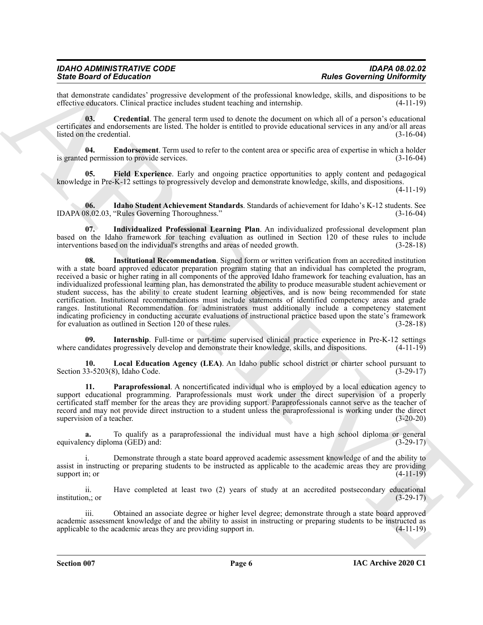| <b>IDAHO ADMINISTRATIVE CODE</b> | <b>IDAPA 08.02.02</b>             |
|----------------------------------|-----------------------------------|
| <b>State Board of Education</b>  | <b>Rules Governing Uniformity</b> |

that demonstrate candidates' progressive development of the professional knowledge, skills, and dispositions to be effective educators. Clinical practice includes student teaching and internship.

<span id="page-5-0"></span>**03. Credential**. The general term used to denote the document on which all of a person's educational certificates and endorsements are listed. The holder is entitled to provide educational services in any and/or all areas listed on the credential. (3-16-04)

<span id="page-5-1"></span>**04. Endorsement**. Term used to refer to the content area or specific area of expertise in which a holder is granted permission to provide services. (3-16-04)

<span id="page-5-2"></span>**05. Field Experience**. Early and ongoing practice opportunities to apply content and pedagogical knowledge in Pre-K-12 settings to progressively develop and demonstrate knowledge, skills, and dispositions.

(4-11-19)

<span id="page-5-3"></span>**06. Idaho Student Achievement Standards**. Standards of achievement for Idaho's K-12 students. See IDAPA 08.02.03, "Rules Governing Thoroughness." (3-16-04)

<span id="page-5-5"></span><span id="page-5-4"></span>**07. Individualized Professional Learning Plan**. An individualized professional development plan based on the Idaho framework for teaching evaluation as outlined in Section 120 of these rules to include interventions based on the individual's strengths and areas of needed growth. (3-28-18)

Since Brazilian in Finlands Theorems in the particular state Browning University in the state Brazilian in the state of the state of the state of the state of the state of the state of the state of the state of the state **08. Institutional Recommendation**. Signed form or written verification from an accredited institution with a state board approved educator preparation program stating that an individual has completed the program, received a basic or higher rating in all components of the approved Idaho framework for teaching evaluation, has an individualized professional learning plan, has demonstrated the ability to produce measurable student achievement or student success, has the ability to create student learning objectives, and is now being recommended for state certification. Institutional recommendations must include statements of identified competency areas and grade ranges. Institutional Recommendation for administrators must additionally include a competency statement indicating proficiency in conducting accurate evaluations of instructional practice based upon the state's framework for evaluation as outlined in Section 120 of these rules. (3-28-18) for evaluation as outlined in Section 120 of these rules.

<span id="page-5-6"></span>**09.** Internship. Full-time or part-time supervised clinical practice experience in Pre-K-12 settings ndidates progressively develop and demonstrate their knowledge, skills, and dispositions. (4-11-19) where candidates progressively develop and demonstrate their knowledge, skills, and dispositions.

<span id="page-5-7"></span>**10. Local Education Agency (LEA)**. An Idaho public school district or charter school pursuant to Section  $33-5203(8)$ , Idaho Code.

<span id="page-5-8"></span>**11. Paraprofessional**. A noncertificated individual who is employed by a local education agency to support educational programming. Paraprofessionals must work under the direct supervision of a properly certificated staff member for the areas they are providing support. Paraprofessionals cannot serve as the teacher of record and may not provide direct instruction to a student unless the paraprofessional is working under the direct supervision of a teacher. (3-20-20)

**a.** To qualify as a paraprofessional the individual must have a high school diploma or general equivalency diploma (GED) and: (3-29-17)

Demonstrate through a state board approved academic assessment knowledge of and the ability to assist in instructing or preparing students to be instructed as applicable to the academic areas they are providing support in; or (4-11-19) support in; or  $(4-11-19)$ 

ii. Have completed at least two (2) years of study at an accredited postsecondary educational institution,; or (3-29-17)

iii. Obtained an associate degree or higher level degree; demonstrate through a state board approved academic assessment knowledge of and the ability to assist in instructing or preparing students to be instructed as applicable to the academic areas they are providing support in. (4-11-19)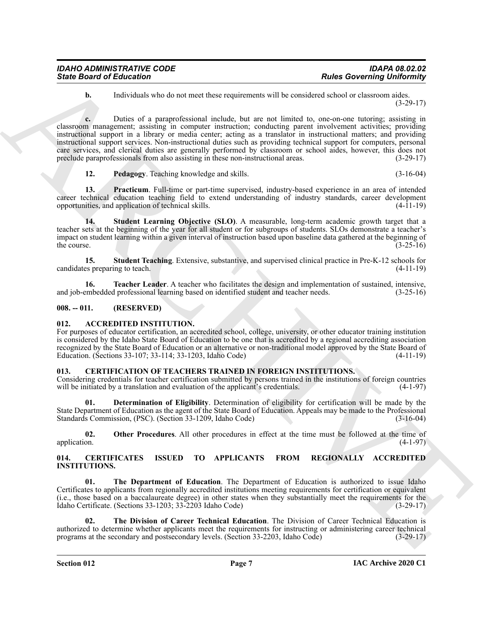**b.** Individuals who do not meet these requirements will be considered school or classroom aides. (3-29-17)

Since Board of Enkrementary and these transmissions of the same state of the same state of the same state of the same state of the same state of the same state of the same state of the same state of the same state of the **c.** Duties of a paraprofessional include, but are not limited to, one-on-one tutoring; assisting in classroom management; assisting in computer instruction; conducting parent involvement activities; providing instructional support in a library or media center; acting as a translator in instructional matters; and providing instructional support services. Non-instructional duties such as providing technical support for computers, personal care services, and clerical duties are generally performed by classroom or school aides, however, this does not preclude paraprofessionals from also assisting in these non-instructional areas. (3-29-17)

<span id="page-6-13"></span><span id="page-6-12"></span><span id="page-6-11"></span>**12. Pedagogy**. Teaching knowledge and skills. (3-16-04)

**13. Practicum**. Full-time or part-time supervised, industry-based experience in an area of intended career technical education teaching field to extend understanding of industry standards, career development opportunities, and application of technical skills. (4-11-19)

**14. Student Learning Objective (SLO)**. A measurable, long-term academic growth target that a teacher sets at the beginning of the year for all student or for subgroups of students. SLOs demonstrate a teacher's impact on student learning within a given interval of instruction based upon baseline data gathered at the beginning of the course.  $(3-25-16)$ 

<span id="page-6-14"></span>**15. Student Teaching**. Extensive, substantive, and supervised clinical practice in Pre-K-12 schools for es preparing to teach. (4-11-19) candidates preparing to teach.

<span id="page-6-15"></span>**16. Teacher Leader**. A teacher who facilitates the design and implementation of sustained, intensive, embedded professional learning based on identified student and teacher needs. (3-25-16) and job-embedded professional learning based on identified student and teacher needs.

#### <span id="page-6-0"></span>**008. -- 011. (RESERVED)**

#### <span id="page-6-4"></span><span id="page-6-1"></span>**012. ACCREDITED INSTITUTION.**

For purposes of educator certification, an accredited school, college, university, or other educator training institution is considered by the Idaho State Board of Education to be one that is accredited by a regional accrediting association recognized by the State Board of Education or an alternative or non-traditional model approved by the State Board of Education. (Sections 33-107; 33-114; 33-1203, Idaho Code) (4-11-19)

#### <span id="page-6-8"></span><span id="page-6-2"></span>**013. CERTIFICATION OF TEACHERS TRAINED IN FOREIGN INSTITUTIONS.**

Considering credentials for teacher certification submitted by persons trained in the institutions of foreign countries will be initiated by a translation and evaluation of the applicant's credentials.  $(4-1-97)$ 

<span id="page-6-9"></span>**01. Determination of Eligibility**. Determination of eligibility for certification will be made by the State Department of Education as the agent of the State Board of Education. Appeals may be made to the Professional Standards Commission, (PSC). (Section 33-1209, Idaho Code) (3-16-04)

<span id="page-6-10"></span>**02.** Other Procedures. All other procedures in effect at the time must be followed at the time of application. (4-1-97) application.  $(4-1-97)$ 

#### <span id="page-6-5"></span><span id="page-6-3"></span>**014. CERTIFICATES ISSUED TO APPLICANTS FROM REGIONALLY ACCREDITED INSTITUTIONS.**

<span id="page-6-6"></span>**01. The Department of Education**. The Department of Education is authorized to issue Idaho Certificates to applicants from regionally accredited institutions meeting requirements for certification or equivalent (i.e., those based on a baccalaureate degree) in other states when they substantially meet the requirements for the Ìdaho Certificate. (Sections 33-1203; 33-2203 Idaho Code)

<span id="page-6-7"></span>**02. The Division of Career Technical Education**. The Division of Career Technical Education is authorized to determine whether applicants meet the requirements for instructing or administering career technical programs at the secondary and postsecondary levels. (Section 33-2203, Idaho Code) (3-29-17) programs at the secondary and postsecondary levels. (Section 33-2203, Idaho Code)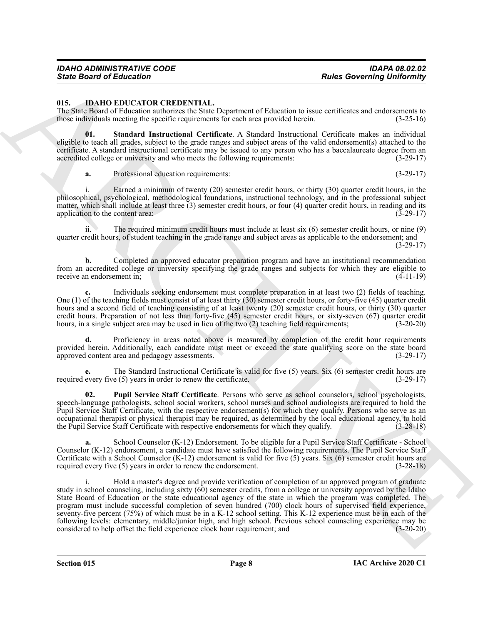# *IDAHO ADMINISTRATIVE CODE IDAPA 08.02.02*

#### <span id="page-7-1"></span><span id="page-7-0"></span>**015. IDAHO EDUCATOR CREDENTIAL.**

The State Board of Education authorizes the State Department of Education to issue certificates and endorsements to those individuals meeting the specific requirements for each area provided herein. (3-25-16)

**01. Standard Instructional Certificate**. A Standard Instructional Certificate makes an individual eligible to teach all grades, subject to the grade ranges and subject areas of the valid endorsement(s) attached to the certificate. A standard instructional certificate may be issued to any person who has a baccalaureate degree from an accredited college or university and who meets the following requirements: (3-29-17)

<span id="page-7-3"></span>**a.** Professional education requirements: (3-29-17)

i. Earned a minimum of twenty (20) semester credit hours, or thirty (30) quarter credit hours, in the philosophical, psychological, methodological foundations, instructional technology, and in the professional subject matter, which shall include at least three (3) semester credit hours, or four (4) quarter credit hours, in reading and its application to the content area;  $(3-29-17)$ 

ii. The required minimum credit hours must include at least six (6) semester credit hours, or nine (9) quarter credit hours, of student teaching in the grade range and subject areas as applicable to the endorsement; and (3-29-17)

**b.** Completed an approved educator preparation program and have an institutional recommendation from an accredited college or university specifying the grade ranges and subjects for which they are eligible to receive an endorsement in: (4-11-19) receive an endorsement in;

**c.** Individuals seeking endorsement must complete preparation in at least two (2) fields of teaching. One (1) of the teaching fields must consist of at least thirty (30) semester credit hours, or forty-five (45) quarter credit hours and a second field of teaching consisting of at least twenty (20) semester credit hours, or thirty (30) quarter credit hours. Preparation of not less than forty-five (45) semester credit hours, or sixty-seven (67) quarter credit hours, in a single subject area may be used in lieu of the two (2) teaching field requirements: (3-20-20) hours, in a single subject area may be used in lieu of the two (2) teaching field requirements;

**d.** Proficiency in areas noted above is measured by completion of the credit hour requirements provided herein. Additionally, each candidate must meet or exceed the state qualifying score on the state board approved content area and pedagogy assessments. (3-29-17)

**e.** The Standard Instructional Certificate is valid for five (5) years. Six (6) semester credit hours are every five (5) years in order to renew the certificate. (3-29-17) required every five  $(5)$  years in order to renew the certificate.

<span id="page-7-2"></span>**02. Pupil Service Staff Certificate**. Persons who serve as school counselors, school psychologists, speech-language pathologists, school social workers, school nurses and school audiologists are required to hold the Pupil Service Staff Certificate, with the respective endorsement(s) for which they qualify. Persons who serve as an occupational therapist or physical therapist may be required, as determined by the local educational agency, to hold the Pupil Service Staff Certificate with respective endorsements for which they qualify. (3-28-18)

School Counselor (K-12) Endorsement. To be eligible for a Pupil Service Staff Certificate - School Counselor (K-12) endorsement, a candidate must have satisfied the following requirements. The Pupil Service Staff Certificate with a School Counselor (K-12) endorsement is valid for five (5) years. Six (6) semester credit hours are required every five (5) years in order to renew the endorsement. (3-28-18)

Sinte Board of Entremotion COEDEN-TIAL, Ingenezera of Interdet to the Sinte Board Order of the Sinte Board of Entrepreneut of Interdet to the Sinte Board of the Sinte Board of the Sinte Board of the Sinte Board of the Sin Hold a master's degree and provide verification of completion of an approved program of graduate study in school counseling, including sixty (60) semester credits, from a college or university approved by the Idaho State Board of Education or the state educational agency of the state in which the program was completed. The program must include successful completion of seven hundred (700) clock hours of supervised field experience, seventy-five percent (75%) of which must be in a K-12 school setting. This K-12 experience must be in each of the following levels: elementary, middle/junior high, and high school. Previous school counseling experience may be considered to help offset the field experience clock hour requirement; and

**Section 015 Page 8**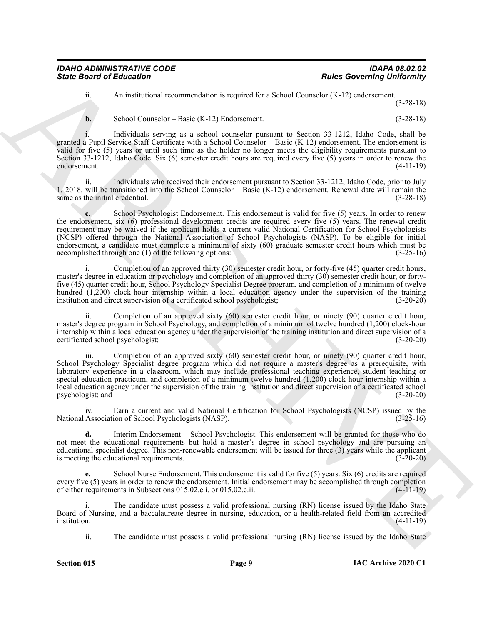| <b>IDAHO ADMINISTRATIVE CODE</b> | <b>IDAPA 08.02.02</b>             |
|----------------------------------|-----------------------------------|
| <b>State Board of Education</b>  | <b>Rules Governing Uniformity</b> |

ii. An institutional recommendation is required for a School Counselor (K-12) endorsement. (3-28-18)

**b.** School Counselor – Basic (K-12) Endorsement. (3-28-18)

Individuals serving as a school counselor pursuant to Section 33-1212, Idaho Code, shall be granted a Pupil Service Staff Certificate with a School Counselor – Basic (K-12) endorsement. The endorsement is valid for five (5) years or until such time as the holder no longer meets the eligibility requirements pursuant to Section 33-1212, Idaho Code. Six (6) semester credit hours are required every five (5) years in order to renew the endorsement. (4-11-19)

ii. Individuals who received their endorsement pursuant to Section 33-1212, Idaho Code, prior to July 1, 2018, will be transitioned into the School Counselor – Basic (K-12) endorsement. Renewal date will remain the same as the initial credential. (3-28-18)

Since Board of Echacation<br>
And Consentration Communication is request deviated by School Common Consentration (1973) (1983)<br>
Results of the state of the state of the state of the state of the state of the state of the sta **c.** School Psychologist Endorsement. This endorsement is valid for five (5) years. In order to renew the endorsement, six (6) professional development credits are required every five (5) years. The renewal credit requirement may be waived if the applicant holds a current valid National Certification for School Psychologists (NCSP) offered through the National Association of School Psychologists (NASP). To be eligible for initial endorsement, a candidate must complete a minimum of sixty (60) graduate semester credit hours which must be accomplished through one (1) of the following options: (3-25-16)

i. Completion of an approved thirty (30) semester credit hour, or forty-five (45) quarter credit hours, master's degree in education or psychology and completion of an approved thirty (30) semester credit hour, or fortyfive (45) quarter credit hour, School Psychology Specialist Degree program, and completion of a minimum of twelve hundred (1,200) clock-hour internship within a local education agency under the supervision of the training institution and direct supervision of a certificated school psychologist; (3-20-20)

Completion of an approved sixty (60) semester credit hour, or ninety (90) quarter credit hour, master's degree program in School Psychology, and completion of a minimum of twelve hundred (1,200) clock-hour internship within a local education agency under the supervision of the training institution and direct supervision of a certificated school psychologist; (3-20-20)

iii. Completion of an approved sixty (60) semester credit hour, or ninety (90) quarter credit hour, School Psychology Specialist degree program which did not require a master's degree as a prerequisite, with laboratory experience in a classroom, which may include professional teaching experience, student teaching or special education practicum, and completion of a minimum twelve hundred (1,200) clock-hour internship within a local education agency under the supervision of the training institution and direct supervision of a certificated school psychologist; and (3-20-20)

iv. Earn a current and valid National Certification for School Psychologists (NCSP) issued by the National Association of School Psychologists (NASP). (3-25-16)

**d.** Interim Endorsement – School Psychologist. This endorsement will be granted for those who do not meet the educational requirements but hold a master's degree in school psychology and are pursuing an educational specialist degree. This non-renewable endorsement will be issued for three (3) years while the applicant is meeting the educational requirements. (3-20-20)

**e.** School Nurse Endorsement. This endorsement is valid for five (5) years. Six (6) credits are required every five (5) years in order to renew the endorsement. Initial endorsement may be accomplished through completion of either requirements in Subsections 015.02.c.i. or 015.02.c.ii. (4-11-19) of either requirements in Subsections 015.02.c.i. or 015.02.c.ii.

i. The candidate must possess a valid professional nursing (RN) license issued by the Idaho State Board of Nursing, and a baccalaureate degree in nursing, education, or a health-related field from an accredited institution. (4-11-19)

ii. The candidate must possess a valid professional nursing (RN) license issued by the Idaho State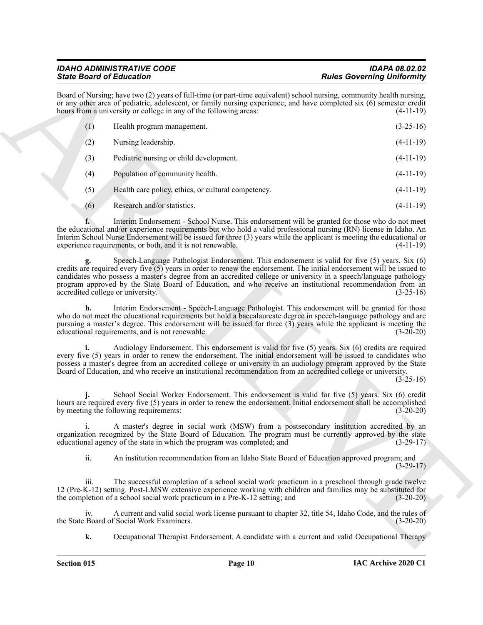# *IDAHO ADMINISTRATIVE CODE IDAPA 08.02.02*

| <b>State Board of Education</b>                                                                                                                                                                                                                                                                                                                                                                                                                                                                  | <b>Rules Governing Uniformity</b> |
|--------------------------------------------------------------------------------------------------------------------------------------------------------------------------------------------------------------------------------------------------------------------------------------------------------------------------------------------------------------------------------------------------------------------------------------------------------------------------------------------------|-----------------------------------|
| Board of Nursing; have two (2) years of full-time (or part-time equivalent) school nursing, community health nursing,<br>or any other area of pediatric, adolescent, or family nursing experience; and have completed six (6) semester credit<br>hours from a university or college in any of the following areas:                                                                                                                                                                               | $(4-11-19)$                       |
| (1)<br>Health program management.                                                                                                                                                                                                                                                                                                                                                                                                                                                                | $(3-25-16)$                       |
| (2)<br>Nursing leadership.                                                                                                                                                                                                                                                                                                                                                                                                                                                                       | $(4-11-19)$                       |
| (3)<br>Pediatric nursing or child development.                                                                                                                                                                                                                                                                                                                                                                                                                                                   | $(4-11-19)$                       |
| (4)<br>Population of community health.                                                                                                                                                                                                                                                                                                                                                                                                                                                           | $(4-11-19)$                       |
| (5)<br>Health care policy, ethics, or cultural competency.                                                                                                                                                                                                                                                                                                                                                                                                                                       | $(4-11-19)$                       |
| Research and/or statistics.<br>(6)                                                                                                                                                                                                                                                                                                                                                                                                                                                               | $(4-11-19)$                       |
| Interim Endorsement - School Nurse. This endorsement will be granted for those who do not meet<br>the educational and/or experience requirements but who hold a valid professional nursing (RN) license in Idaho. An<br>Interim School Nurse Endorsement will be issued for three (3) years while the applicant is meeting the educational or<br>experience requirements, or both, and it is not renewable.                                                                                      | $(4-11-19)$                       |
| Speech-Language Pathologist Endorsement. This endorsement is valid for five (5) years. Six (6)<br>credits are required every five $(5)$ years in order to renew the endorsement. The initial endorsement will be issued to<br>candidates who possess a master's degree from an accredited college or university in a speech/language pathology<br>program approved by the State Board of Education, and who receive an institutional recommendation from an<br>accredited college or university. | $(3-25-16)$                       |
| Interim Endorsement - Speech-Language Pathologist. This endorsement will be granted for those<br>h.<br>who do not meet the educational requirements but hold a baccalaureate degree in speech-language pathology and are<br>pursuing a master's degree. This endorsement will be issued for three (3) years while the applicant is meeting the<br>educational requirements, and is not renewable.                                                                                                | $(3-20-20)$                       |
| Audiology Endorsement. This endorsement is valid for five (5) years. Six (6) credits are required<br>i.<br>every five (5) years in order to renew the endorsement. The initial endorsement will be issued to candidates who<br>possess a master's degree from an accredited college or university in an audiology program approved by the State<br>Board of Education, and who receive an institutional recommendation from an accredited college or university.                                 | $(3-25-16)$                       |
| School Social Worker Endorsement. This endorsement is valid for five (5) years. Six (6) credit<br>hours are required every five (5) years in order to renew the endorsement. Initial endorsement shall be accomplished<br>by meeting the following requirements:                                                                                                                                                                                                                                 | $(3-20-20)$                       |
| A master's degree in social work (MSW) from a postsecondary institution accredited by an<br>organization recognized by the State Board of Education. The program must be currently approved by the state<br>educational agency of the state in which the program was completed; and                                                                                                                                                                                                              | $(3-29-17)$                       |
| ii.<br>An institution recommendation from an Idaho State Board of Education approved program; and                                                                                                                                                                                                                                                                                                                                                                                                | $(3-29-17)$                       |
| iii.<br>The successful completion of a school social work practicum in a preschool through grade twelve<br>12 (Pre-K-12) setting. Post-LMSW extensive experience working with children and families may be substituted for<br>the completion of a school social work practicum in a Pre-K-12 setting; and                                                                                                                                                                                        | $(3-20-20)$                       |
| A current and valid social work license pursuant to chapter 32, title 54, Idaho Code, and the rules of<br>iv.<br>the State Board of Social Work Examiners.                                                                                                                                                                                                                                                                                                                                       | $(3-20-20)$                       |
| Occupational Therapist Endorsement. A candidate with a current and valid Occupational Therapy<br>k.                                                                                                                                                                                                                                                                                                                                                                                              |                                   |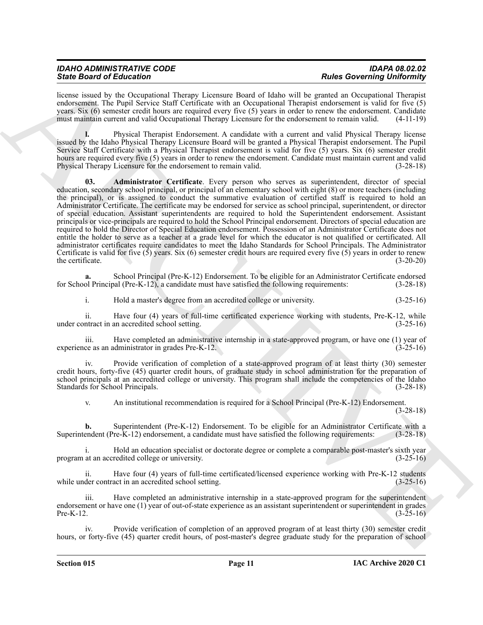| <b>IDAHO ADMINISTRATIVE CODE</b> | <b>IDAPA 08.02.02</b>             |
|----------------------------------|-----------------------------------|
| <b>State Board of Education</b>  | <b>Rules Governing Uniformity</b> |

license issued by the Occupational Therapy Licensure Board of Idaho will be granted an Occupational Therapist endorsement. The Pupil Service Staff Certificate with an Occupational Therapist endorsement is valid for five (5) years. Six (6) semester credit hours are required every five (5) years in order to renew the endorsement. Candidate must maintain current and valid Occupational Therapy Licensure for the endorsement to remain valid. (4-11-19)

<span id="page-10-0"></span>**l.** Physical Therapist Endorsement. A candidate with a current and valid Physical Therapy license issued by the Idaho Physical Therapy Licensure Board will be granted a Physical Therapist endorsement. The Pupil Service Staff Certificate with a Physical Therapist endorsement is valid for five (5) years. Six (6) semester credit hours are required every five (5) years in order to renew the endorsement. Candidate must maintain current and valid Physical Therapy Licensure for the endorsement to remain valid. (3-28-18)

Sink Bookmain of Editorion in the system of the US can be the system of the US can be the system of the US can be the system of the US can be the system of the US can be the system of the US can be the system of the US ca **03. Administrator Certificate**. Every person who serves as superintendent, director of special education, secondary school principal, or principal of an elementary school with eight (8) or more teachers (including the principal), or is assigned to conduct the summative evaluation of certified staff is required to hold an Administrator Certificate. The certificate may be endorsed for service as school principal, superintendent, or director of special education. Assistant superintendents are required to hold the Superintendent endorsement. Assistant principals or vice-principals are required to hold the School Principal endorsement. Directors of special education are required to hold the Director of Special Education endorsement. Possession of an Administrator Certificate does not entitle the holder to serve as a teacher at a grade level for which the educator is not qualified or certificated. All administrator certificates require candidates to meet the Idaho Standards for School Principals. The Administrator Certificate is valid for five  $(\hat{5})$  years. Six  $(6)$  semester credit hours are required every five  $(5)$  years in order to renew the certificate.  $(3\n-20\n-20)$ the certificate.  $(3-20-20)$ 

**a.** School Principal (Pre-K-12) Endorsement. To be eligible for an Administrator Certificate endorsed for School Principal (Pre-K-12), a candidate must have satisfied the following requirements: (3-28-18)

i. Hold a master's degree from an accredited college or university. (3-25-16)

ii. Have four (4) years of full-time certificated experience working with students, Pre-K-12, while ntract in an accredited school setting. (3-25-16) under contract in an accredited school setting.

iii. Have completed an administrative internship in a state-approved program, or have one (1) year of ce as an administrator in grades Pre-K-12. (3-25-16) experience as an administrator in grades Pre-K-12.

iv. Provide verification of completion of a state-approved program of at least thirty (30) semester credit hours, forty-five (45) quarter credit hours, of graduate study in school administration for the preparation of school principals at an accredited college or university. This program shall include the competencies of the Idaho Standards for School Principals. (3-28-18)

v. An institutional recommendation is required for a School Principal (Pre-K-12) Endorsement. (3-28-18)

**b.** Superintendent (Pre-K-12) Endorsement. To be eligible for an Administrator Certificate with a endent (Pre-K-12) endorsement, a candidate must have satisfied the following requirements: (3-28-18) Superintendent (Pre-K-12) endorsement, a candidate must have satisfied the following requirements:

i. Hold an education specialist or doctorate degree or complete a comparable post-master's sixth year program at an accredited college or university. (3-25-16)

ii. Have four (4) years of full-time certificated/licensed experience working with Pre-K-12 students der contract in an accredited school setting. (3-25-16) while under contract in an accredited school setting.

Have completed an administrative internship in a state-approved program for the superintendent endorsement or have one (1) year of out-of-state experience as an assistant superintendent or superintendent in grades<br>Pre-K-12. (3-25-16) Pre-K-12.  $(3-25-16)$ 

Provide verification of completion of an approved program of at least thirty (30) semester credit hours, or forty-five (45) quarter credit hours, of post-master's degree graduate study for the preparation of school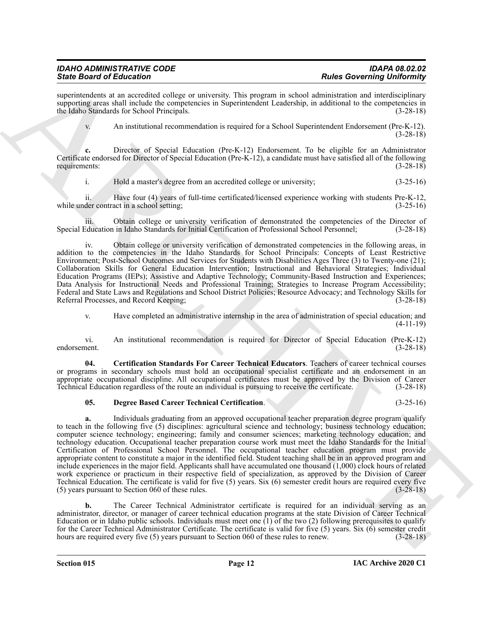# *IDAHO ADMINISTRATIVE CODE IDAPA 08.02.02*

superintendents at an accredited college or university. This program in school administration and interdisciplinary supporting areas shall include the competencies in Superintendent Leadership, in additional to the competencies in the Idaho Standards for School Principals. (3-28-18)

v. An institutional recommendation is required for a School Superintendent Endorsement (Pre-K-12). (3-28-18)

**c.** Director of Special Education (Pre-K-12) Endorsement. To be eligible for an Administrator Certificate endorsed for Director of Special Education (Pre-K-12), a candidate must have satisfied all of the following requirements: (3-28-18)

i. Hold a master's degree from an accredited college or university; (3-25-16)

ii. Have four (4) years of full-time certificated/licensed experience working with students Pre-K-12, while under contract in a school setting; (3-25-16)

iii. Obtain college or university verification of demonstrated the competencies of the Director of Education in Idaho Standards for Initial Certification of Professional School Personnel; (3-28-18) Special Education in Idaho Standards for Initial Certification of Professional School Personnel;

iv. Obtain college or university verification of demonstrated competencies in the following areas, in addition to the competencies in the Idaho Standards for School Principals: Concepts of Least Restrictive Environment; Post-School Outcomes and Services for Students with Disabilities Ages Three (3) to Twenty-one (21); Collaboration Skills for General Education Intervention; Instructional and Behavioral Strategies; Individual Education Programs (IEPs); Assistive and Adaptive Technology; Community-Based Instruction and Experiences; Data Analysis for Instructional Needs and Professional Training; Strategies to Increase Program Accessibility; Federal and State Laws and Regulations and School District Policies; Resource Advocacy; and Technology Skills for Referral Processes, and Record Keeping; (3-28-18) Referral Processes, and Record Keeping;

<span id="page-11-0"></span>v. Have completed an administrative internship in the area of administration of special education; and (4-11-19)

vi. An institutional recommendation is required for Director of Special Education (Pre-K-12) endorsement.

**04. Certification Standards For Career Technical Educators**. Teachers of career technical courses or programs in secondary schools must hold an occupational specialist certificate and an endorsement in an appropriate occupational discipline. All occupational certificates must be approved by the Division of Career Technical Education regardless of the route an individual is pursuing to receive the certificate. (3-28-18)

#### <span id="page-11-1"></span>**05. Degree Based Career Technical Certification**. (3-25-16)

Sink Board of Education <sup>2</sup> Calculation 11 Control 2 Calculation 12 Calculation 12 Calculation 2 Calculation 2 Calculation 2 Calculation 2 Calculation 2 Calculation 2 Calculation 2 Calculation 2 Calculation 2 Calculation **a.** Individuals graduating from an approved occupational teacher preparation degree program qualify to teach in the following five (5) disciplines: agricultural science and technology; business technology education; computer science technology; engineering; family and consumer sciences; marketing technology education; and technology education. Occupational teacher preparation course work must meet the Idaho Standards for the Initial Certification of Professional School Personnel. The occupational teacher education program must provide appropriate content to constitute a major in the identified field. Student teaching shall be in an approved program and include experiences in the major field. Applicants shall have accumulated one thousand (1,000) clock hours of related work experience or practicum in their respective field of specialization, as approved by the Division of Career Technical Education. The certificate is valid for five (5) years. Six (6) semester credit hours are required every five  $(5)$  years pursuant to Section 060 of these rules.

**b.** The Career Technical Administrator certificate is required for an individual serving as an administrator, director, or manager of career technical education programs at the state Division of Career Technical Education or in Idaho public schools. Individuals must meet one  $(1)$  of the two  $(2)$  following prerequisites to qualify for the Career Technical Administrator Certificate. The certificate is valid for five (5) years. Six (6) semester credit hours are required every five (5) years pursuant to Section 060 of these rules to renew.  $(3-28-18)$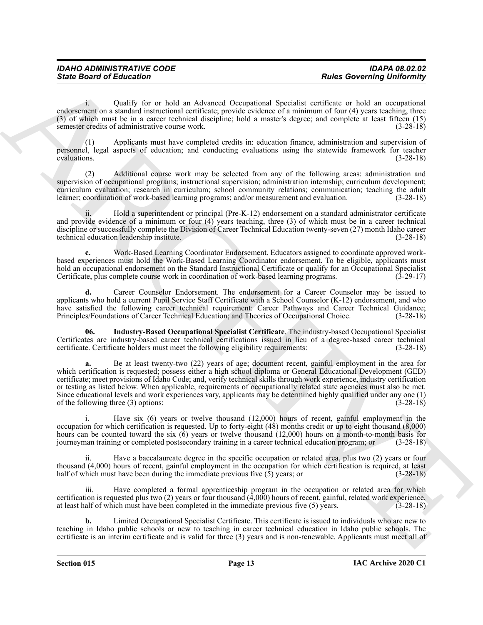i. Qualify for or hold an Advanced Occupational Specialist certificate or hold an occupational endorsement on a standard instructional certificate; provide evidence of a minimum of four (4) years teaching, three (3) of which must be in a career technical discipline; hold a master's degree; and complete at least fifteen (15) semester credits of administrative course work. (3-28-18)

(1) Applicants must have completed credits in: education finance, administration and supervision of personnel, legal aspects of education; and conducting evaluations using the statewide framework for teacher evaluations.  $(3-28-18)$ 

(2) Additional course work may be selected from any of the following areas: administration and supervision of occupational programs; instructional supervision; administration internship; curriculum development; curriculum evaluation; research in curriculum; school community relations; communication; teaching the adult learner; coordination of work-based learning programs; and/or measurement and evaluation. (3-28-18)

Hold a superintendent or principal (Pre-K-12) endorsement on a standard administrator certificate and provide evidence of a minimum or four (4) years teaching, three (3) of which must be in a career technical discipline or successfully complete the Division of Career Technical Education twenty-seven (27) month Idaho career technical education leadership institute. (3-28-18)

**c.** Work-Based Learning Coordinator Endorsement. Educators assigned to coordinate approved workbased experiences must hold the Work-Based Learning Coordinator endorsement. To be eligible, applicants must hold an occupational endorsement on the Standard Instructional Certificate or qualify for an Occupational Specialist<br>Certificate, plus complete course work in coordination of work-based learning programs. (3-29-17) Certificate, plus complete course work in coordination of work-based learning programs.

**d.** Career Counselor Endorsement. The endorsement for a Career Counselor may be issued to applicants who hold a current Pupil Service Staff Certificate with a School Counselor (K-12) endorsement, and who have satisfied the following career technical requirement: Career Pathways and Career Technical Guidance; Principles/Foundations of Career Technical Education; and Theories of Occupational Choice. (3-28-18)

<span id="page-12-0"></span>**06. Industry-Based Occupational Specialist Certificate**. The industry-based Occupational Specialist Certificates are industry-based career technical certifications issued in lieu of a degree-based career technical certificate. Certificate holders must meet the following eligibility requirements: (3-28-18)

Since Board of Entremotion Commute at the subsection of the subsection of the subsection of the subsection of the subsection of the subsection of the subsection of the subsection of the subsection of the subsection of the **a.** Be at least twenty-two (22) years of age; document recent, gainful employment in the area for which certification is requested; possess either a high school diploma or General Educational Development (GED) certificate; meet provisions of Idaho Code; and, verify technical skills through work experience, industry certification or testing as listed below. When applicable, requirements of occupationally related state agencies must also be met. Since educational levels and work experiences vary, applicants may be determined highly qualified under any one (1) of the following three (3) options: (3-28-18) of the following three  $(3)$  options:

i. Have six (6) years or twelve thousand (12,000) hours of recent, gainful employment in the occupation for which certification is requested. Up to forty-eight (48) months credit or up to eight thousand (8,000) hours can be counted toward the six (6) years or twelve thousand (12,000) hours on a month-to-month basis for journeyman training or completed postsecondary training in a career technical education program; or (3-28-18) journeyman training or completed postsecondary training in a career technical education program; or

ii. Have a baccalaureate degree in the specific occupation or related area, plus two (2) years or four thousand (4,000) hours of recent, gainful employment in the occupation for which certification is required, at least half of which must have been during the immediate previous five  $(5)$  years; or (3-28-18)

iii. Have completed a formal apprenticeship program in the occupation or related area for which certification is requested plus two (2) years or four thousand (4,000) hours of recent, gainful, related work experience, at least half of which must have been completed in the immediate previous five (5) years. (3-28-18)

**b.** Limited Occupational Specialist Certificate. This certificate is issued to individuals who are new to teaching in Idaho public schools or new to teaching in career technical education in Idaho public schools. The certificate is an interim certificate and is valid for three (3) years and is non-renewable. Applicants must meet all of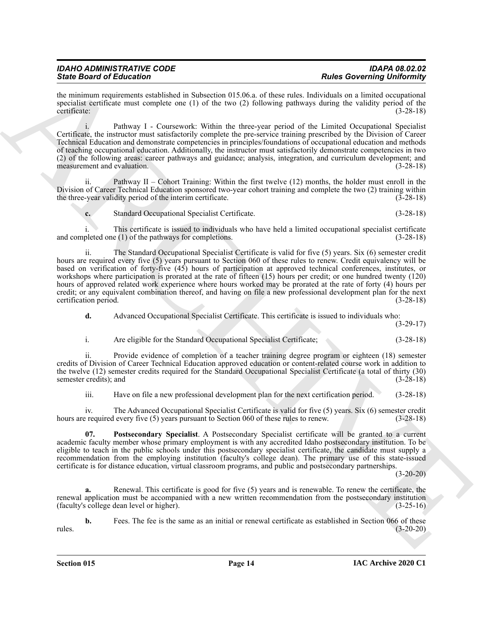| <b>IDAHO ADMINISTRATIVE CODE</b> | <b>IDAPA 08.02.02</b>             |
|----------------------------------|-----------------------------------|
| <b>State Board of Education</b>  | <b>Rules Governing Uniformity</b> |

the minimum requirements established in Subsection 015.06.a. of these rules. Individuals on a limited occupational specialist certificate must complete one (1) of the two (2) following pathways during the validity period of the certificate:  $(3-28-18)$ certificate: (3-28-18)

i. Pathway I - Coursework: Within the three-year period of the Limited Occupational Specialist Certificate, the instructor must satisfactorily complete the pre-service training prescribed by the Division of Career Technical Education and demonstrate competencies in principles/foundations of occupational education and methods of teaching occupational education. Additionally, the instructor must satisfactorily demonstrate competencies in two (2) of the following areas: career pathways and guidance; analysis, integration, and curriculum development; and measurement and evaluation. (3-28-18)

ii. Pathway II – Cohort Training: Within the first twelve (12) months, the holder must enroll in the Division of Career Technical Education sponsored two-year cohort training and complete the two (2) training within the three-year validity period of the interim certificate. (3-28-18)

**c.** Standard Occupational Specialist Certificate. (3-28-18)

i. This certificate is issued to individuals who have held a limited occupational specialist certificate and completed one (1) of the pathways for completions. (3-28-18)

Sink Board Of Education and the state of the State School Path and the State School Path and the State School Path and the State School Path and the State School Path and the State School Path and the State School Path an ii. The Standard Occupational Specialist Certificate is valid for five (5) years. Six (6) semester credit hours are required every five (5) years pursuant to Section 060 of these rules to renew. Credit equivalency will be based on verification of forty-five (45) hours of participation at approved technical conferences, institutes, or workshops where participation is prorated at the rate of fifteen (15) hours per credit; or one hundred twenty (120) hours of approved related work experience where hours worked may be prorated at the rate of forty (4) hours per credit; or any equivalent combination thereof, and having on file a new professional development plan for the next certification period. (3-28-18)

**d.** Advanced Occupational Specialist Certificate. This certificate is issued to individuals who:

(3-29-17)

i. Are eligible for the Standard Occupational Specialist Certificate; (3-28-18)

ii. Provide evidence of completion of a teacher training degree program or eighteen (18) semester credits of Division of Career Technical Education approved education or content-related course work in addition to the twelve (12) semester credits required for the Standard Occupational Specialist Certificate (a total of thirty (30) semester credits); and (3-28-18)

<span id="page-13-0"></span>iii. Have on file a new professional development plan for the next certification period. (3-28-18)

iv. The Advanced Occupational Specialist Certificate is valid for five (5) years. Six (6) semester credit hours are required every five (5) years pursuant to Section 060 of these rules to renew.  $(3-28-18)$ 

**07. Postsecondary Specialist**. A Postsecondary Specialist certificate will be granted to a current academic faculty member whose primary employment is with any accredited Idaho postsecondary institution. To be eligible to teach in the public schools under this postsecondary specialist certificate, the candidate must supply a recommendation from the employing institution (faculty's college dean). The primary use of this state-issued certificate is for distance education, virtual classroom programs, and public and postsecondary partnerships.

 $(3-20-20)$ 

**a.** Renewal. This certificate is good for five (5) years and is renewable. To renew the certificate, the renewal application must be accompanied with a new written recommendation from the postsecondary institution (faculty's college dean level or higher). (3-25-16)

**b.** Fees. The fee is the same as an initial or renewal certificate as established in Section 066 of these (3-20-20) rules. (3-20-20)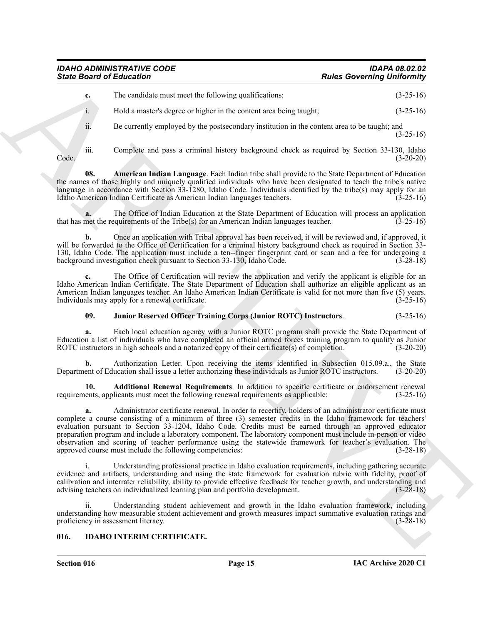<span id="page-14-2"></span>

| IDAHO ADMINISTRATIVE CODE       | <b>IDAPA 08.02.02</b>             |
|---------------------------------|-----------------------------------|
| <b>State Board of Education</b> | <b>Rules Governing Uniformity</b> |

| <b>State Board of Education</b>                                                                    | <b>Rules Governing Uniformity</b>                                                                                                                                                                                                                                                                                                                                                                                                                                                                                                                                                  |
|----------------------------------------------------------------------------------------------------|------------------------------------------------------------------------------------------------------------------------------------------------------------------------------------------------------------------------------------------------------------------------------------------------------------------------------------------------------------------------------------------------------------------------------------------------------------------------------------------------------------------------------------------------------------------------------------|
| The candidate must meet the following qualifications:<br>c.                                        | $(3-25-16)$                                                                                                                                                                                                                                                                                                                                                                                                                                                                                                                                                                        |
| Hold a master's degree or higher in the content area being taught;<br>1.                           | $(3-25-16)$                                                                                                                                                                                                                                                                                                                                                                                                                                                                                                                                                                        |
| ii.                                                                                                | Be currently employed by the postsecondary institution in the content area to be taught; and<br>$(3-25-16)$                                                                                                                                                                                                                                                                                                                                                                                                                                                                        |
| iii.<br>Code.                                                                                      | Complete and pass a criminal history background check as required by Section 33-130, Idaho<br>$(3-20-20)$                                                                                                                                                                                                                                                                                                                                                                                                                                                                          |
| 08.<br>Idaho American Indian Certificate as American Indian languages teachers.                    | American Indian Language. Each Indian tribe shall provide to the State Department of Education<br>the names of those highly and uniquely qualified individuals who have been designated to teach the tribe's native<br>language in accordance with Section 33-1280, Idaho Code. Individuals identified by the tribe(s) may apply for an<br>$(3-25-16)$                                                                                                                                                                                                                             |
| that has met the requirements of the Tribe(s) for an American Indian languages teacher.            | The Office of Indian Education at the State Department of Education will process an application<br>$(3-25-16)$                                                                                                                                                                                                                                                                                                                                                                                                                                                                     |
| b.<br>background investigation check pursuant to Section 33-130, Idaho Code.                       | Once an application with Tribal approval has been received, it will be reviewed and, if approved, it<br>will be forwarded to the Office of Certification for a criminal history background check as required in Section 33-<br>130, Idaho Code. The application must include a ten--finger fingerprint card or scan and a fee for undergoing a<br>$(3-28-18)$                                                                                                                                                                                                                      |
| Individuals may apply for a renewal certificate.                                                   | The Office of Certification will review the application and verify the applicant is eligible for an<br>Idaho American Indian Certificate. The State Department of Education shall authorize an eligible applicant as an<br>American Indian languages teacher. An Idaho American Indian Certificate is valid for not more than five (5) years.<br>$(3-25-16)$                                                                                                                                                                                                                       |
| 09.                                                                                                | Junior Reserved Officer Training Corps (Junior ROTC) Instructors.<br>$(3-25-16)$                                                                                                                                                                                                                                                                                                                                                                                                                                                                                                   |
| a.<br>ROTC instructors in high schools and a notarized copy of their certificate(s) of completion. | Each local education agency with a Junior ROTC program shall provide the State Department of<br>Education a list of individuals who have completed an official armed forces training program to qualify as Junior<br>$(3-20-20)$                                                                                                                                                                                                                                                                                                                                                   |
| b.                                                                                                 | Authorization Letter. Upon receiving the items identified in Subsection 015.09.a., the State<br>Department of Education shall issue a letter authorizing these individuals as Junior ROTC instructors.<br>$(3-20-20)$                                                                                                                                                                                                                                                                                                                                                              |
| 10.<br>requirements, applicants must meet the following renewal requirements as applicable:        | Additional Renewal Requirements. In addition to specific certificate or endorsement renewal<br>$(3-25-16)$                                                                                                                                                                                                                                                                                                                                                                                                                                                                         |
| a.<br>approved course must include the following competencies:                                     | Administrator certificate renewal. In order to recertify, holders of an administrator certificate must<br>complete a course consisting of a minimum of three (3) semester credits in the Idaho framework for teachers'<br>evaluation pursuant to Section 33-1204, Idaho Code. Credits must be earned through an approved educator<br>preparation program and include a laboratory component. The laboratory component must include in-person or video<br>observation and scoring of teacher performance using the statewide framework for teacher's evaluation. The<br>$(3-28-18)$ |
| 1.<br>advising teachers on individualized learning plan and portfolio development.                 | Understanding professional practice in Idaho evaluation requirements, including gathering accurate<br>evidence and artifacts, understanding and using the state framework for evaluation rubric with fidelity, proof of<br>calibration and interrater reliability, ability to provide effective feedback for teacher growth, and understanding and<br>$(3-28-18)$                                                                                                                                                                                                                  |
| ii.<br>proficiency in assessment literacy.                                                         | Understanding student achievement and growth in the Idaho evaluation framework, including<br>understanding how measurable student achievement and growth measures impact summative evaluation ratings and<br>$(3-28-18)$                                                                                                                                                                                                                                                                                                                                                           |
| <b>IDAHO INTERIM CERTIFICATE.</b><br>016.                                                          |                                                                                                                                                                                                                                                                                                                                                                                                                                                                                                                                                                                    |

#### <span id="page-14-3"></span><span id="page-14-1"></span>**09. Junior Reserved Officer Training Corps (Junior ROTC) Instructors**. (3-25-16)

#### <span id="page-14-4"></span><span id="page-14-0"></span>**016. IDAHO INTERIM CERTIFICATE.**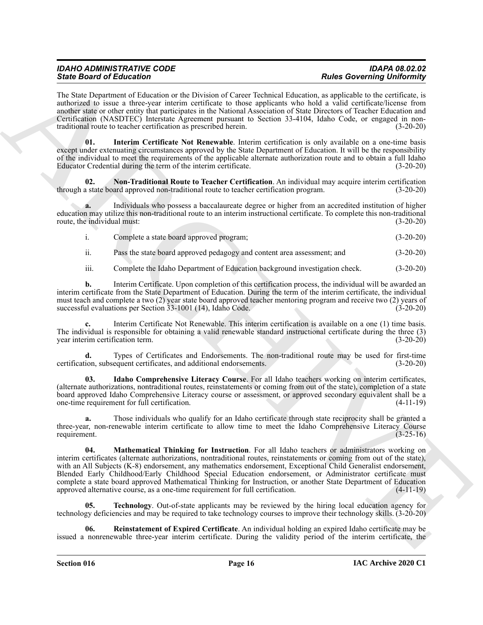## *IDAHO ADMINISTRATIVE CODE IDAPA 08.02.02 State Board of Education Rules Governing Uniformity*

The State Department of Education or the Division of Career Technical Education, as applicable to the certificate, is authorized to issue a three-year interim certificate to those applicants who hold a valid certificate/license from another state or other entity that participates in the National Association of State Directors of Teacher Education and Certification (NASDTEC) Interstate Agreement pursuant to Section 33-4104, Idaho Code, or engaged in nontraditional route to teacher certification as prescribed herein. (3-20-20)

<span id="page-15-1"></span>**01. Interim Certificate Not Renewable**. Interim certification is only available on a one-time basis except under extenuating circumstances approved by the State Department of Education. It will be the responsibility of the individual to meet the requirements of the applicable alternate authorization route and to obtain a full Idaho Educator Credential during the term of the interim certificate. (3-20-20)

<span id="page-15-3"></span>**02.** Non-Traditional Route to Teacher Certification. An individual may acquire interim certification a state board approved non-traditional route to teacher certification program. (3-20-20) through a state board approved non-traditional route to teacher certification program.

**a.** Individuals who possess a baccalaureate degree or higher from an accredited institution of higher education may utilize this non-traditional route to an interim instructional certificate. To complete this non-traditional route, the individual must:

| Complete a state board approved program; | $(3-20-20)$ |
|------------------------------------------|-------------|
|                                          |             |

ii. Pass the state board approved pedagogy and content area assessment; and (3-20-20)

iii. Complete the Idaho Department of Education background investigation check. (3-20-20)

**b.** Interim Certificate. Upon completion of this certification process, the individual will be awarded an interim certificate from the State Department of Education. During the term of the interim certificate, the individual must teach and complete a two (2) year state board approved teacher mentoring program and receive two (2) years of successful evaluations per Section 33-1001 (14), Idaho Code. (3-20-20)

**c.** Interim Certificate Not Renewable. This interim certification is available on a one (1) time basis. The individual is responsible for obtaining a valid renewable standard instructional certificate during the three (3) year interim certification term. (3-20-20)

**d.** Types of Certificates and Endorsements. The non-traditional route may be used for first-time ion, subsequent certificates, and additional endorsements. (3-20-20) certification, subsequent certificates, and additional endorsements.

<span id="page-15-0"></span>**03. Idaho Comprehensive Literacy Course**. For all Idaho teachers working on interim certificates, (alternate authorizations, nontraditional routes, reinstatements or coming from out of the state), completion of a state board approved Idaho Comprehensive Literacy course or assessment, or approved secondary equivalent shall be a one-time requirement for full certification.

<span id="page-15-2"></span>**a.** Those individuals who qualify for an Idaho certificate through state reciprocity shall be granted a three-year, non-renewable interim certificate to allow time to meet the Idaho Comprehensive Literacy Course requirement. (3-25-16) requirement.  $(3-25-16)$ 

Since Bookmain of Education in the Division is Cover Legions and Reads Correlation in the Bookmain of Education in the Bookmain of Cover Legions based on the Correlation in the Cover Legions and the Correlation in the Cov **04. Mathematical Thinking for Instruction**. For all Idaho teachers or administrators working on interim certificates (alternate authorizations, nontraditional routes, reinstatements or coming from out of the state), with an All Subjects (K-8) endorsement, any mathematics endorsement, Exceptional Child Generalist endorsement, Blended Early Childhood/Early Childhood Special Education endorsement, or Administrator certificate must complete a state board approved Mathematical Thinking for Instruction, or another State Department of Education approved alternative course, as a one-time requirement for full certification. (4-11-19) approved alternative course, as a one-time requirement for full certification.

<span id="page-15-5"></span>**05. Technology**. Out-of-state applicants may be reviewed by the hiring local education agency for technology deficiencies and may be required to take technology courses to improve their technology skills. (3-20-20)

<span id="page-15-4"></span>**06. Reinstatement of Expired Certificate**. An individual holding an expired Idaho certificate may be issued a nonrenewable three-year interim certificate. During the validity period of the interim certificate, the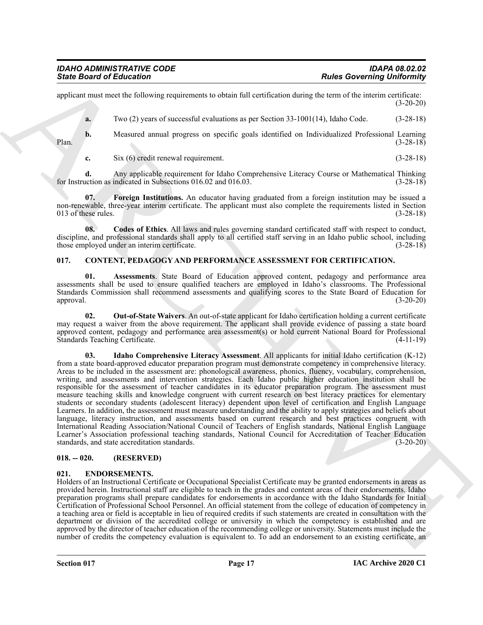applicant must meet the following requirements to obtain full certification during the term of the interim certificate: (3-20-20)

**a.** Two (2) years of successful evaluations as per Section 33-1001(14), Idaho Code. (3-28-18)

**b.** Measured annual progress on specific goals identified on Individualized Professional Learning (3-28-18) Plan. (3-28-18)

<span id="page-16-9"></span>**c.** Six (6) credit renewal requirement. (3-28-18)

**d.** Any applicable requirement for Idaho Comprehensive Literacy Course or Mathematical Thinking action as indicated in Subsections 016.02 and 016.03. (3-28-18) for Instruction as indicated in Subsections 016.02 and 016.03.

**07. Foreign Institutions.** An educator having graduated from a foreign institution may be issued a non-renewable, three-year interim certificate. The applicant must also complete the requirements listed in Section 013 of these rules.  $(3-28-18)$ 

<span id="page-16-8"></span>**08. Codes of Ethics**. All laws and rules governing standard certificated staff with respect to conduct, discipline, and professional standards shall apply to all certified staff serving in an Idaho public school, including those employed under an interim certificate. (3-28-18)

#### <span id="page-16-3"></span><span id="page-16-0"></span>**017. CONTENT, PEDAGOGY AND PERFORMANCE ASSESSMENT FOR CERTIFICATION.**

<span id="page-16-4"></span>**01. Assessments**. State Board of Education approved content, pedagogy and performance area assessments shall be used to ensure qualified teachers are employed in Idaho's classrooms. The Professional Standards Commission shall recommend assessments and qualifying scores to the State Board of Education for approval. (3-20-20) approval. (3-20-20)

<span id="page-16-6"></span><span id="page-16-5"></span>**02. Out-of-State Waivers**. An out-of-state applicant for Idaho certification holding a current certificate may request a waiver from the above requirement. The applicant shall provide evidence of passing a state board approved content, pedagogy and performance area assessment(s) or hold current National Board for Professional Standards Teaching Certificate. (4-11-19)

**Since Board of Eclipsical** Constraints is essiminal scaling the state over the properties of the state of the state of the state of the state of the state of the state of the state of the state of the state of the state **03. Idaho Comprehensive Literacy Assessment**. All applicants for initial Idaho certification (K-12) from a state board-approved educator preparation program must demonstrate competency in comprehensive literacy. Areas to be included in the assessment are: phonological awareness, phonics, fluency, vocabulary, comprehension, writing, and assessments and intervention strategies. Each Idaho public higher education institution shall be responsible for the assessment of teacher candidates in its educator preparation program. The assessment must measure teaching skills and knowledge congruent with current research on best literacy practices for elementary students or secondary students (adolescent literacy) dependent upon level of certification and English Language Learners. In addition, the assessment must measure understanding and the ability to apply strategies and beliefs about language, literacy instruction, and assessments based on current research and best practices congruent with International Reading Association/National Council of Teachers of English standards, National English Language Learner's Association professional teaching standards, National Council for Accreditation of Teacher Education standards, (3-20-20) standards, and state accreditation standards.

#### <span id="page-16-1"></span>**018. -- 020. (RESERVED)**

#### <span id="page-16-7"></span><span id="page-16-2"></span>**021. ENDORSEMENTS.**

Holders of an Instructional Certificate or Occupational Specialist Certificate may be granted endorsements in areas as provided herein. Instructional staff are eligible to teach in the grades and content areas of their endorsements. Idaho preparation programs shall prepare candidates for endorsements in accordance with the Idaho Standards for Initial Certification of Professional School Personnel. An official statement from the college of education of competency in a teaching area or field is acceptable in lieu of required credits if such statements are created in consultation with the department or division of the accredited college or university in which the competency is established and are approved by the director of teacher education of the recommending college or university. Statements must include the number of credits the competency evaluation is equivalent to. To add an endorsement to an existing certificate, an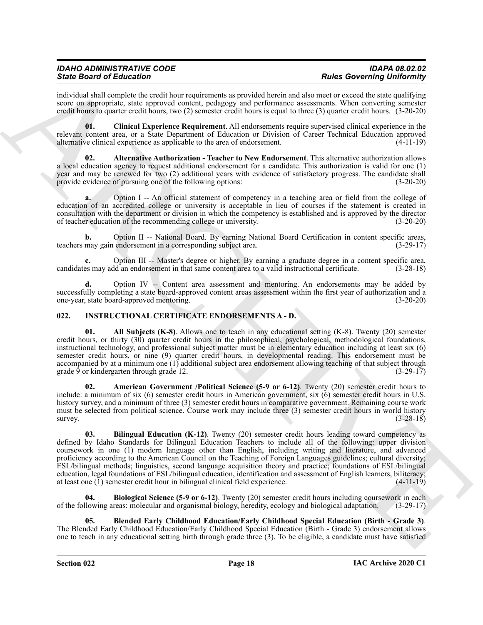### *IDAHO ADMINISTRATIVE CODE IDAPA 08.02.02 State Board of Education Rules Governing Uniformity*

individual shall complete the credit hour requirements as provided herein and also meet or exceed the state qualifying score on appropriate, state approved content, pedagogy and performance assessments. When converting semester credit hours to quarter credit hours, two (2) semester credit hours is equal to three (3) quarter credit hours. (3-20-20)

<span id="page-17-2"></span>**01. Clinical Experience Requirement**. All endorsements require supervised clinical experience in the relevant content area, or a State Department of Education or Division of Career Technical Education approved alternative clinical experience as applicable to the area of endorsement. (4-11-19) alternative clinical experience as applicable to the area of endorsement.

<span id="page-17-1"></span>**02. Alternative Authorization - Teacher to New Endorsement**. This alternative authorization allows a local education agency to request additional endorsement for a candidate. This authorization is valid for one (1) year and may be renewed for two (2) additional years with evidence of satisfactory progress. The candidate shall provide evidence of pursuing one of the following options: (3-20-20)

**a.** Option I -- An official statement of competency in a teaching area or field from the college of education of an accredited college or university is acceptable in lieu of courses if the statement is created in consultation with the department or division in which the competency is established and is approved by the director of teacher education of the recommending college or university. (3-20-20)

Option II -- National Board. By earning National Board Certification in content specific areas, endorsement in a corresponding subject area. (3-29-17) teachers may gain endorsement in a corresponding subject area.

**c.** Option III -- Master's degree or higher. By earning a graduate degree in a content specific area, es may add an endorsement in that same content area to a valid instructional certificate. (3-28-18) candidates may add an endorsement in that same content area to a valid instructional certificate.

**d.** Option IV -- Content area assessment and mentoring. An endorsements may be added by successfully completing a state board-approved content areas assessment within the first year of authorization and a one-year, state board-approved mentoring. (3-20-20) one-year, state board-approved mentoring.

#### <span id="page-17-4"></span><span id="page-17-3"></span><span id="page-17-0"></span>**022. INSTRUCTIONAL CERTIFICATE ENDORSEMENTS A - D.**

**01. All Subjects (K-8)**. Allows one to teach in any educational setting (K-8). Twenty (20) semester credit hours, or thirty (30) quarter credit hours in the philosophical, psychological, methodological foundations, instructional technology, and professional subject matter must be in elementary education including at least six (6) semester credit hours, or nine (9) quarter credit hours, in developmental reading. This endorsement must be accompanied by at a minimum one (1) additional subject area endorsement allowing teaching of that subject through grade 9 or kindergarten through grade 12. (3-29-17)

<span id="page-17-6"></span><span id="page-17-5"></span>**02. American Government /Political Science (5-9 or 6-12)**. Twenty (20) semester credit hours to include: a minimum of six (6) semester credit hours in American government, six (6) semester credit hours in U.S. history survey, and a minimum of three (3) semester credit hours in comparative government. Remaining course work must be selected from political science. Course work may include three (3) semester credit hours in world history survey.  $(3-28-18)$ 

Sink Board of Education Constitution and the strengthenial proposalistics and the matrix canonical proposalistics and the strength of the strength of the strength of the strength of the strength of the strength of the str **03. Bilingual Education (K-12)**. Twenty (20) semester credit hours leading toward competency as defined by Idaho Standards for Bilingual Education Teachers to include all of the following: upper division coursework in one (1) modern language other than English, including writing and literature, and advanced proficiency according to the American Council on the Teaching of Foreign Languages guidelines; cultural diversity; ESL/bilingual methods; linguistics, second language acquisition theory and practice; foundations of ESL/bilingual education, legal foundations of ESL/bilingual education, identification and assessment of English learners, biliteracy; at least one (1) semester credit hour in bilingual clinical field experience. (4-11-19) at least one  $(1)$  semester credit hour in bilingual clinical field experience.

<span id="page-17-7"></span>**04. Biological Science (5-9 or 6-12)**. Twenty (20) semester credit hours including coursework in each of the following areas: molecular and organismal biology, heredity, ecology and biological adaptation. (3-29-17)

<span id="page-17-8"></span>**05. Blended Early Childhood Education/Early Childhood Special Education (Birth - Grade 3)**. The Blended Early Childhood Education/Early Childhood Special Education (Birth - Grade 3) endorsement allows one to teach in any educational setting birth through grade three (3). To be eligible, a candidate must have satisfied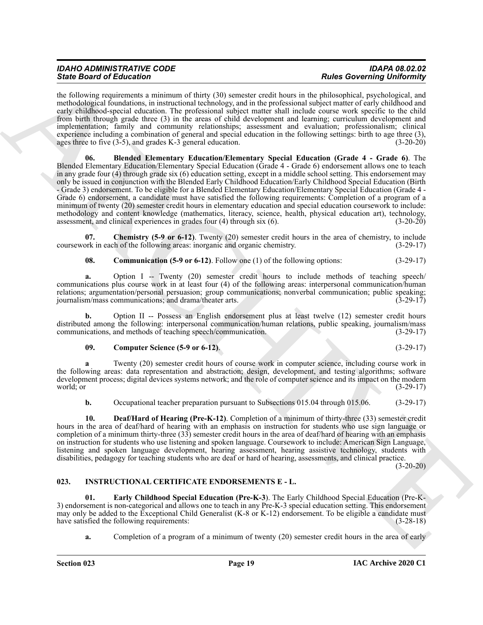<span id="page-18-1"></span>the following requirements a minimum of thirty (30) semester credit hours in the philosophical, psychological, and methodological foundations, in instructional technology, and in the professional subject matter of early childhood and early childhood-special education. The professional subject matter shall include course work specific to the child from birth through grade three (3) in the areas of child development and learning; curriculum development and implementation; family and community relationships; assessment and evaluation; professionalism; clinical experience including a combination of general and special education in the following settings: birth to age three (3), ages three to five (3-5), and grades K-3 general education. (3-20-20) ages three to five  $(3-5)$ , and grades K-3 general education.

Since Boston of Education communication (A) at the CO) system of the boston of the since the since the since the since the since the since the since the since the since the since the since the since the since the since th **06. Blended Elementary Education/Elementary Special Education (Grade 4 - Grade 6)**. The Blended Elementary Education/Elementary Special Education (Grade 4 - Grade 6) endorsement allows one to teach in any grade four (4) through grade six (6) education setting, except in a middle school setting. This endorsement may only be issued in conjunction with the Blended Early Childhood Education/Early Childhood Special Education (Birth - Grade 3) endorsement. To be eligible for a Blended Elementary Education/Elementary Special Education (Grade 4 - Grade 6) endorsement, a candidate must have satisfied the following requirements: Completion of a program of a minimum of twenty (20) semester credit hours in elementary education and special education coursework to include: methodology and content knowledge (mathematics, literacy, science, health, physical education art), technology, assessment, and clinical experiences in grades four (4) through six (6). (3-20-20) assessment, and clinical experiences in grades four  $(4)$  through six  $(6)$ .

**07. Chemistry (5-9 or 6-12)**. Twenty (20) semester credit hours in the area of chemistry, to include coursework in each of the following areas: inorganic and organic chemistry. (3-29-17)

<span id="page-18-3"></span><span id="page-18-2"></span>**08. Communication (5-9 or 6-12)**. Follow one (1) of the following options: (3-29-17)

**a.** Option I -- Twenty (20) semester credit hours to include methods of teaching speech/ communications plus course work in at least four (4) of the following areas: interpersonal communication/human relations; argumentation/personal persuasion; group communications; nonverbal communication; public speaking; journalism/mass communications; and drama/theater arts. (3-29-17) journalism/mass communications; and drama/theater arts.

**b.** Option II -- Possess an English endorsement plus at least twelve (12) semester credit hours distributed among the following: interpersonal communication/human relations, public speaking, journalism/mass<br>communications, and methods of teaching speech/communication. (3-29-17) communications, and methods of teaching speech/communication.

#### <span id="page-18-4"></span>**09. Computer Science (5-9 or 6-12)**. (3-29-17)

**a** Twenty (20) semester credit hours of course work in computer science, including course work in the following areas: data representation and abstraction; design, development, and testing algorithms; software development process; digital devices systems network; and the role of computer science and its impact on the modern world; or  $(3-29-17)$ 

<span id="page-18-5"></span>**b.** Occupational teacher preparation pursuant to Subsections 015.04 through 015.06. (3-29-17)

**10. Deaf/Hard of Hearing (Pre-K-12)**. Completion of a minimum of thirty-three (33) semester credit hours in the area of deaf/hard of hearing with an emphasis on instruction for students who use sign language or completion of a minimum thirty-three (33) semester credit hours in the area of deaf/hard of hearing with an emphasis on instruction for students who use listening and spoken language. Coursework to include: American Sign Language, listening and spoken language development, hearing assessment, hearing assistive technology, students with disabilities, pedagogy for teaching students who are deaf or hard of hearing, assessments, and clinical practice.

 $(3-20-20)$ 

#### <span id="page-18-6"></span><span id="page-18-0"></span>**023. INSTRUCTIONAL CERTIFICATE ENDORSEMENTS E - L.**

**01. Early Childhood Special Education (Pre-K-3**). The Early Childhood Special Education (Pre-K-3) endorsement is non-categorical and allows one to teach in any Pre-K-3 special education setting. This endorsement may only be added to the Exceptional Child Generalist (K-8 or K-12) endorsement. To be eligible a candidate must have satisfied the following requirements: (3-28-18)

<span id="page-18-7"></span>**a.** Completion of a program of a minimum of twenty (20) semester credit hours in the area of early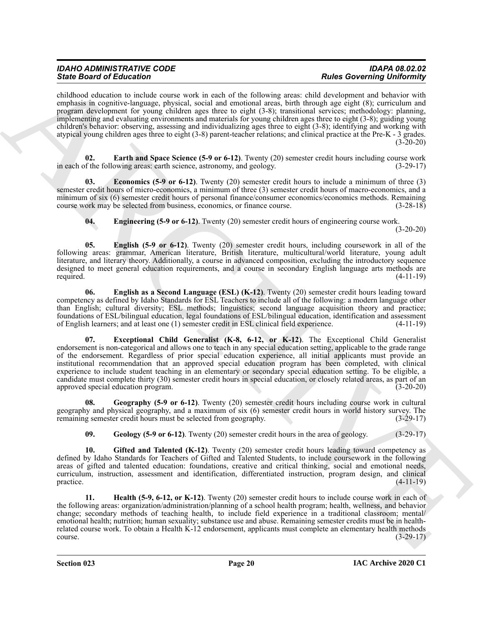| <b>IDAHO ADMINISTRATIVE CODE</b> | <b>IDAPA 08.02.02</b>             |
|----------------------------------|-----------------------------------|
| <b>State Board of Education</b>  | <b>Rules Governing Uniformity</b> |

childhood education to include course work in each of the following areas: child development and behavior with emphasis in cognitive-language, physical, social and emotional areas, birth through age eight (8); curriculum and program development for young children ages three to eight (3-8); transitional services; methodology: planning, implementing and evaluating environments and materials for young children ages three to eight (3-8); guiding young children's behavior: observing, assessing and individualizing ages three to eight (3-8); identifying and working with atypical young children ages three to eight (3-8) parent-teacher relations; and clinical practice at the Pre-K - 3 grades. (3-20-20)

<span id="page-19-0"></span>**02. Earth and Space Science (5-9 or 6-12)**. Twenty (20) semester credit hours including course work in each of the following areas: earth science, astronomy, and geology. (3-29-17)

**03. Economics (5-9 or 6-12)**. Twenty (20) semester credit hours to include a minimum of three (3) semester credit hours of micro-economics, a minimum of three (3) semester credit hours of macro-economics, and a minimum of six (6) semester credit hours of personal finance/consumer economics/economics methods. Remaining course work may be selected from business, economics, or finance course. (3-28-18)

<span id="page-19-3"></span><span id="page-19-2"></span><span id="page-19-1"></span>**04. Engineering (5-9 or 6-12)**. Twenty (20) semester credit hours of engineering course work. (3-20-20)

**05. English (5-9 or 6-12)**. Twenty (20) semester credit hours, including coursework in all of the following areas: grammar, American literature, British literature, multicultural/world literature, young adult literature, and literary theory. Additionally, a course in advanced composition, excluding the introductory sequence designed to meet general education requirements, and a course in secondary English language arts methods are required. (4-11-19) required. (4-11-19)

<span id="page-19-5"></span><span id="page-19-4"></span>**06. English as a Second Language (ESL) (K-12)**. Twenty (20) semester credit hours leading toward competency as defined by Idaho Standards for ESL Teachers to include all of the following: a modern language other than English; cultural diversity; ESL methods; linguistics; second language acquisition theory and practice; foundations of ESL/bilingual education, legal foundations of ESL/bilingual education, identification and assessment of English learners; and at least one (1) semester credit in ESL clinical field experience. (4-11-19)

Sink Bookmain of European Control is a specific or the specific or the specific or the specific or the specific or the specific or the specific or the specific or the specific or the specific or the specific or the specif **07. Exceptional Child Generalist (K-8, 6-12, or K-12)**. The Exceptional Child Generalist endorsement is non-categorical and allows one to teach in any special education setting, applicable to the grade range of the endorsement. Regardless of prior special education experience, all initial applicants must provide an institutional recommendation that an approved special education program has been completed, with clinical experience to include student teaching in an elementary or secondary special education setting. To be eligible, a candidate must complete thirty (30) semester credit hours in special education, or closely related areas, as part of an approved special education program. (3-20-20)

**08. Geography (5-9 or 6-12)**. Twenty (20) semester credit hours including course work in cultural geography and physical geography, and a maximum of six (6) semester credit hours in world history survey. The remaining semester credit hours must be selected from geography. (3-29-17) remaining semester credit hours must be selected from geography.

<span id="page-19-8"></span><span id="page-19-7"></span><span id="page-19-6"></span>**09. Geology (5-9 or 6-12)**. Twenty (20) semester credit hours in the area of geology. (3-29-17)

**10.** Gifted and Talented (K-12). Twenty (20) semester credit hours leading toward competency as defined by Idaho Standards for Teachers of Gifted and Talented Students, to include coursework in the following areas of gifted and talented education: foundations, creative and critical thinking, social and emotional needs, curriculum, instruction, assessment and identification, differentiated instruction, program design, and clinical  $practive.$  (4-11-19)

<span id="page-19-9"></span>**11. Health (5-9, 6-12, or K-12)**. Twenty (20) semester credit hours to include course work in each of the following areas: organization/administration/planning of a school health program; health, wellness, and behavior change; secondary methods of teaching health, to include field experience in a traditional classroom; mental/ emotional health; nutrition; human sexuality; substance use and abuse. Remaining semester credits must be in healthrelated course work. To obtain a Health K-12 endorsement, applicants must complete an elementary health methods course. (3-29-17)  $\frac{1}{3}$  course. (3-29-17)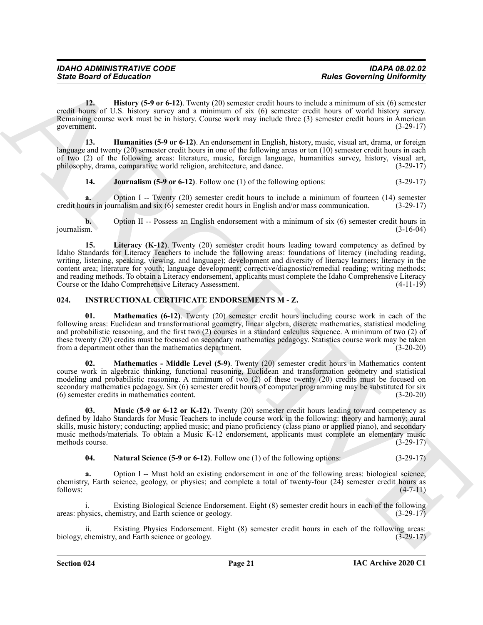<span id="page-20-1"></span>**12. History (5-9 or 6-12)**. Twenty (20) semester credit hours to include a minimum of six (6) semester credit hours of U.S. history survey and a minimum of six (6) semester credit hours of world history survey. Remaining course work must be in history. Course work may include three (3) semester credit hours in American government. (3-29-17)

**13. Humanities (5-9 or 6-12)**. An endorsement in English, history, music, visual art, drama, or foreign language and twenty (20) semester credit hours in one of the following areas or ten (10) semester credit hours in each of two (2) of the following areas: literature, music, foreign language, humanities survey, history, visual art, philosophy, drama, comparative world religion, architecture, and dance. (3-29-17)

<span id="page-20-3"></span><span id="page-20-2"></span>**14. Journalism (5-9 or 6-12)**. Follow one (1) of the following options: (3-29-17)

**a.** Option I -- Twenty (20) semester credit hours to include a minimum of fourteen (14) semester credit hours in journalism and six (6) semester credit hours in English and/or mass communication. (3-29-17)

<span id="page-20-4"></span>**b.** Option II -- Possess an English endorsement with a minimum of six (6) semester credit hours in journalism.  $(3-16-04)$ journalism. (3-16-04)

Since Board of Eclication<br>
Like Covereing University and A ready CPI sensor credit here. Here is a convenient to the transmitted in the transmitted in the convenient of the state of the state of the state of the state of **15. Literacy (K-12)**. Twenty (20) semester credit hours leading toward competency as defined by Idaho Standards for Literacy Teachers to include the following areas: foundations of literacy (including reading, writing, listening, speaking, viewing, and language); development and diversity of literacy learners; literacy in the content area; literature for youth; language development; corrective/diagnostic/remedial reading; writing methods; and reading methods. To obtain a Literacy endorsement, applicants must complete the Idaho Comprehensive Literacy Course or the Idaho Comprehensive Literacy Assessment. (4-11-19)

#### <span id="page-20-5"></span><span id="page-20-0"></span>**024. INSTRUCTIONAL CERTIFICATE ENDORSEMENTS M - Z.**

<span id="page-20-7"></span>**01. Mathematics (6-12)**. Twenty (20) semester credit hours including course work in each of the following areas: Euclidean and transformational geometry, linear algebra, discrete mathematics, statistical modeling and probabilistic reasoning, and the first two (2) courses in a standard calculus sequence. A minimum of two (2) of these twenty (20) credits must be focused on secondary mathematics pedagogy. Statistics course work may be taken from a department other than the mathematics department. (3-20-20)

<span id="page-20-6"></span>**02. Mathematics - Middle Level (5-9)**. Twenty (20) semester credit hours in Mathematics content course work in algebraic thinking, functional reasoning, Euclidean and transformation geometry and statistical modeling and probabilistic reasoning. A minimum of two (2) of these twenty (20) credits must be focused on secondary mathematics pedagogy. Six (6) semester credit hours of computer programming may be substituted for six (6) semester credits in mathematics content. (3-20-20)

<span id="page-20-8"></span>**03. Music (5-9 or 6-12 or K-12)**. Twenty (20) semester credit hours leading toward competency as defined by Idaho Standards for Music Teachers to include course work in the following: theory and harmony; aural skills, music history; conducting; applied music; and piano proficiency (class piano or applied piano), and secondary music methods/materials. To obtain a Music K-12 endorsement, applicants must complete an elementary music methods course. (3-29-17) methods course.

<span id="page-20-9"></span>**04. Natural Science (5-9 or 6-12)**. Follow one (1) of the following options: (3-29-17)

**a.** Option I -- Must hold an existing endorsement in one of the following areas: biological science, chemistry, Earth science, geology, or physics; and complete a total of twenty-four (24) semester credit hours as follows: (4-7-11) follows: (4-7-11)

i. Existing Biological Science Endorsement. Eight (8) semester credit hours in each of the following version changes (3-29-17) areas: physics, chemistry, and Earth science or geology.

Existing Physics Endorsement. Eight (8) semester credit hours in each of the following areas:<br>y, and Earth science or geology. (3-29-17) biology, chemistry, and Earth science or geology.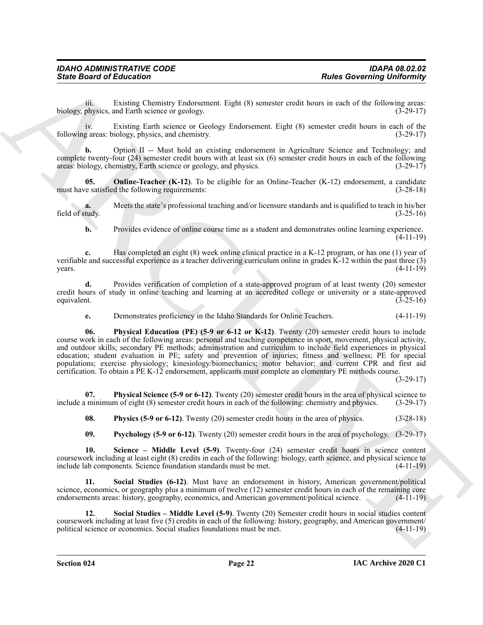iii. Existing Chemistry Endorsement. Eight (8) semester credit hours in each of the following areas:<br>physics, and Earth science or geology. (3-29-17) biology, physics, and Earth science or geology.

iv. Existing Earth science or Geology Endorsement. Eight (8) semester credit hours in each of the following areas: biology, physics, and chemistry. (3-29-17)

**b.** Option II -- Must hold an existing endorsement in Agriculture Science and Technology; and complete twenty-four (24) semester credit hours with at least six (6) semester credit hours in each of the following areas: biology, chemistry, Earth science or geology, and physics. (3-29-17)

<span id="page-21-0"></span>**05. Online-Teacher (K-12)**. To be eligible for an Online-Teacher (K-12) endorsement, a candidate ve satisfied the following requirements: (3-28-18) must have satisfied the following requirements:

**a.** Meets the state's professional teaching and/or licensure standards and is qualified to teach in his/her tudy.  $(3-25-16)$ field of study.

**b.** Provides evidence of online course time as a student and demonstrates online learning experience. (4-11-19)

**c.** Has completed an eight (8) week online clinical practice in a K-12 program, or has one (1) year of verifiable and successful experience as a teacher delivering curriculum online in grades K-12 within the past three (3)  $\gamma$  years. (4-11-19)

**d.** Provides verification of completion of a state-approved program of at least twenty (20) semester credit hours of study in online teaching and learning at an accredited college or university or a state-approved equivalent. (3-25-16)

<span id="page-21-1"></span>**e.** Demonstrates proficiency in the Idaho Standards for Online Teachers. (4-11-19)

Sinks Board of Entrance Company and Equivalent Right (8) converte coeffit home to each of the Chives principle in the Equivalent Sinks and the sink of the sink of the sink of the sink of the sink of the sink of the sink o **06. Physical Education (PE) (5-9 or 6-12 or K-12)**. Twenty (20) semester credit hours to include course work in each of the following areas: personal and teaching competence in sport, movement, physical activity, and outdoor skills; secondary PE methods; administration and curriculum to include field experiences in physical education; student evaluation in PE; safety and prevention of injuries; fitness and wellness; PE for special populations; exercise physiology; kinesiology/biomechanics; motor behavior; and current CPR and first aid certification. To obtain a PE K-12 endorsement, applicants must complete an elementary PE methods course.

(3-29-17)

**07. Physical Science (5-9 or 6-12)**. Twenty (20) semester credit hours in the area of physical science to minimum of eight (8) semester credit hours in each of the following: chemistry and physics. (3-29-17) include a minimum of eight (8) semester credit hours in each of the following: chemistry and physics.

<span id="page-21-3"></span><span id="page-21-2"></span>**08. Physics (5-9 or 6-12)**. Twenty (20) semester credit hours in the area of physics. (3-28-18)

<span id="page-21-7"></span><span id="page-21-5"></span><span id="page-21-4"></span>**09. Psychology (5-9 or 6-12)**. Twenty (20) semester credit hours in the area of psychology. (3-29-17)

**10. Science – Middle Level (5-9)**. Twenty-four (24) semester credit hours in science content coursework including at least eight (8) credits in each of the following: biology, earth science, and physical science to include lab components. Science foundation standards must be met. (4-11-19)

**11. Social Studies (6-12)**. Must have an endorsement in history, American government/political science, economics, or geography plus a minimum of twelve (12) semester credit hours in each of the remaining core endorsements areas: history, geography, economics, and American government/political science. (4-11-19)

<span id="page-21-6"></span>**12. Social Studies – Middle Level (5-9)**. Twenty (20) Semester credit hours in social studies content coursework including at least five (5) credits in each of the following: history, geography, and American government/<br>political science or economics. Social studies foundations must be met. (4-11-19) political science or economics. Social studies foundations must be met.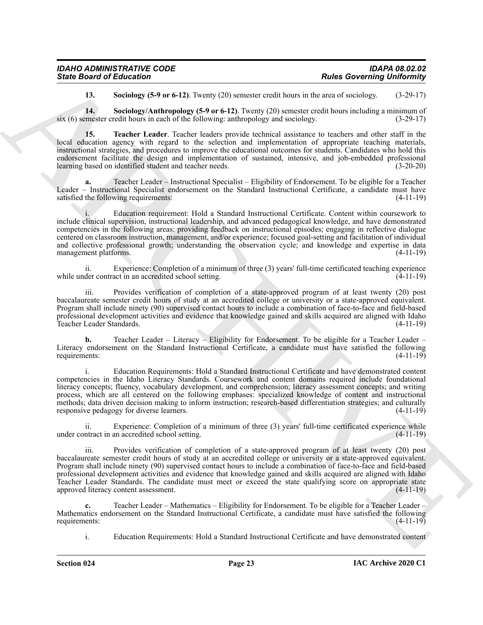| <b>IDAHO ADMINISTRATIVE CODE</b> | <b>IDAPA 08.02.02</b>             |
|----------------------------------|-----------------------------------|
| <b>State Board of Education</b>  | <b>Rules Governing Uniformity</b> |

<span id="page-22-2"></span><span id="page-22-1"></span><span id="page-22-0"></span>**13. Sociology (5-9 or 6-12)**. Twenty (20) semester credit hours in the area of sociology. (3-29-17)

**14.** Sociology/Anthropology (5-9 or 6-12). Twenty (20) semester credit hours including a minimum of mester credit hours in each of the following: anthropology and sociology. (3-29-17) six  $(6)$  semester credit hours in each of the following: anthropology and sociology.

**15. Teacher Leader**. Teacher leaders provide technical assistance to teachers and other staff in the local education agency with regard to the selection and implementation of appropriate teaching materials, instructional strategies, and procedures to improve the educational outcomes for students. Candidates who hold this endorsement facilitate the design and implementation of sustained, intensive, and job-embedded professional learning based on identified student and teacher needs. (3-20-20)

Teacher Leader – Instructional Specialist – Eligibility of Endorsement. To be eligible for a Teacher Leader – Instructional Specialist endorsement on the Standard Instructional Certificate, a candidate must have satisfied the following requirements:  $(4-11-19)$ 

Since Board of Eclication (5-9 km) and 2013 ventors valid bonus and the succession contribution of the succession of the succession of the succession of the succession of the succession of the succession of the succession i. Education requirement: Hold a Standard Instructional Certificate. Content within coursework to include clinical supervision, instructional leadership, and advanced pedagogical knowledge, and have demonstrated competencies in the following areas: providing feedback on instructional episodes; engaging in reflective dialogue centered on classroom instruction, management, and/or experience; focused goal-setting and facilitation of individual and collective professional growth; understanding the observation cycle; and knowledge and expertise in data management platforms. (4-11-19) management platforms.

ii. Experience: Completion of a minimum of three (3) years' full-time certificated teaching experience while under contract in an accredited school setting.

iii. Provides verification of completion of a state-approved program of at least twenty (20) post baccalaureate semester credit hours of study at an accredited college or university or a state-approved equivalent. Program shall include ninety (90) supervised contact hours to include a combination of face-to-face and field-based professional development activities and evidence that knowledge gained and skills acquired are aligned with Idaho<br>(4-11-19) Teacher Leader Standards.

**b.** Teacher Leader – Literacy – Eligibility for Endorsement. To be eligible for a Teacher Leader – Literacy endorsement on the Standard Instructional Certificate, a candidate must have satisfied the following requirements: (4-11-19)

i. Education Requirements: Hold a Standard Instructional Certificate and have demonstrated content competencies in the Idaho Literacy Standards. Coursework and content domains required include foundational literacy concepts; fluency, vocabulary development, and comprehension; literacy assessment concepts; and writing process, which are all centered on the following emphases: specialized knowledge of content and instructional methods; data driven decision making to inform instruction; research-based differentiation strategies; and culturally responsive pedagogy for diverse learners.  $(4-11-19)$ 

ii. Experience: Completion of a minimum of three (3) years' full-time certificated experience while under contract in an accredited school setting.

iii. Provides verification of completion of a state-approved program of at least twenty (20) post baccalaureate semester credit hours of study at an accredited college or university or a state-approved equivalent. Program shall include ninety (90) supervised contact hours to include a combination of face-to-face and field-based professional development activities and evidence that knowledge gained and skills acquired are aligned with Idaho Teacher Leader Standards. The candidate must meet or exceed the state qualifying score on appropriate state approved literacy content assessment. (4-11-19) approved literacy content assessment.

**c.** Teacher Leader – Mathematics – Eligibility for Endorsement. To be eligible for a Teacher Leader – Mathematics endorsement on the Standard Instructional Certificate, a candidate must have satisfied the following requirements: (4-11-19) requirements:

i. Education Requirements: Hold a Standard Instructional Certificate and have demonstrated content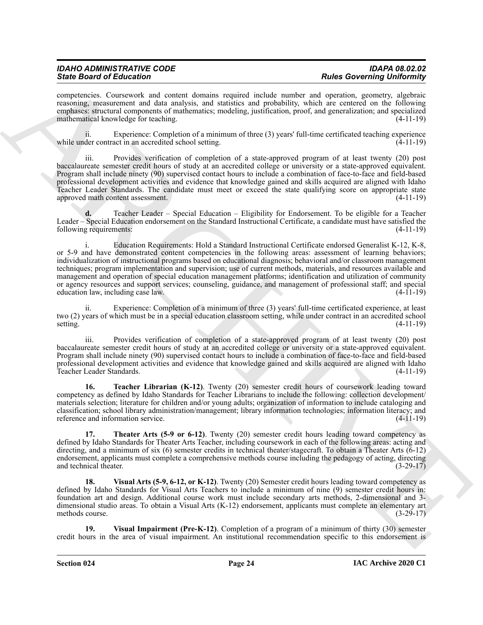| <b>IDAHO ADMINISTRATIVE CODE</b> | <b>IDAPA 08.02.02</b>             |
|----------------------------------|-----------------------------------|
| <b>State Board of Education</b>  | <b>Rules Governing Uniformity</b> |

competencies. Coursework and content domains required include number and operation, geometry, algebraic reasoning, measurement and data analysis, and statistics and probability, which are centered on the following emphases: structural components of mathematics; modeling, justification, proof, and generalization; and specialized mathematical knowledge for teaching. (4-11-19)

ii. Experience: Completion of a minimum of three (3) years' full-time certificated teaching experience while under contract in an accredited school setting.

iii. Provides verification of completion of a state-approved program of at least twenty (20) post baccalaureate semester credit hours of study at an accredited college or university or a state-approved equivalent. Program shall include ninety (90) supervised contact hours to include a combination of face-to-face and field-based professional development activities and evidence that knowledge gained and skills acquired are aligned with Idaho Teacher Leader Standards. The candidate must meet or exceed the state qualifying score on appropriate state approved math content assessment. (4-11-19)

**d.** Teacher Leader – Special Education – Eligibility for Endorsement. To be eligible for a Teacher Leader – Special Education endorsement on the Standard Instructional Certificate, a candidate must have satisfied the following requirements: (4-11-19)

Since Brazil is the three control in the same state of the same state and the same state of the same state of the same state of the same state of the same state of the same state of the same state of the same state of the i. Education Requirements: Hold a Standard Instructional Certificate endorsed Generalist K-12, K-8, or 5-9 and have demonstrated content competencies in the following areas: assessment of learning behaviors; individualization of instructional programs based on educational diagnosis; behavioral and/or classroom management techniques; program implementation and supervision; use of current methods, materials, and resources available and management and operation of special education management platforms; identification and utilization of community or agency resources and support services; counseling, guidance, and management of professional staff; and special education law, including case law. education law, including case law.

ii. Experience: Completion of a minimum of three (3) years' full-time certificated experience, at least two (2) years of which must be in a special education classroom setting, while under contract in an accredited school setting. (4-11-19)

iii. Provides verification of completion of a state-approved program of at least twenty (20) post baccalaureate semester credit hours of study at an accredited college or university or a state-approved equivalent. Program shall include ninety (90) supervised contact hours to include a combination of face-to-face and field-based professional development activities and evidence that knowledge gained and skills acquired are aligned with Idaho Teacher Leader Standards. (4-11-19)

<span id="page-23-0"></span>**16. Teacher Librarian (K-12)**. Twenty (20) semester credit hours of coursework leading toward competency as defined by Idaho Standards for Teacher Librarians to include the following: collection development/ materials selection; literature for children and/or young adults; organization of information to include cataloging and classification; school library administration/management; library information technologies; information literacy; and reference and information service. (4-11-19)

<span id="page-23-1"></span>**17. Theater Arts (5-9 or 6-12)**. Twenty (20) semester credit hours leading toward competency as defined by Idaho Standards for Theater Arts Teacher, including coursework in each of the following areas: acting and directing, and a minimum of six (6) semester credits in technical theater/stagecraft. To obtain a Theater Arts (6-12) endorsement, applicants must complete a comprehensive methods course including the pedagogy of acting, directing and technical theater. (3-29-17)

<span id="page-23-2"></span>**18. Visual Arts (5-9, 6-12, or K-12)**. Twenty (20) Semester credit hours leading toward competency as defined by Idaho Standards for Visual Arts Teachers to include a minimum of nine (9) semester credit hours in: foundation art and design. Additional course work must include secondary arts methods, 2-dimensional and 3 dimensional studio areas. To obtain a Visual Arts (K-12) endorsement, applicants must complete an elementary art methods course. (3-29-17)

<span id="page-23-3"></span>**19. Visual Impairment (Pre-K-12)**. Completion of a program of a minimum of thirty (30) semester credit hours in the area of visual impairment. An institutional recommendation specific to this endorsement is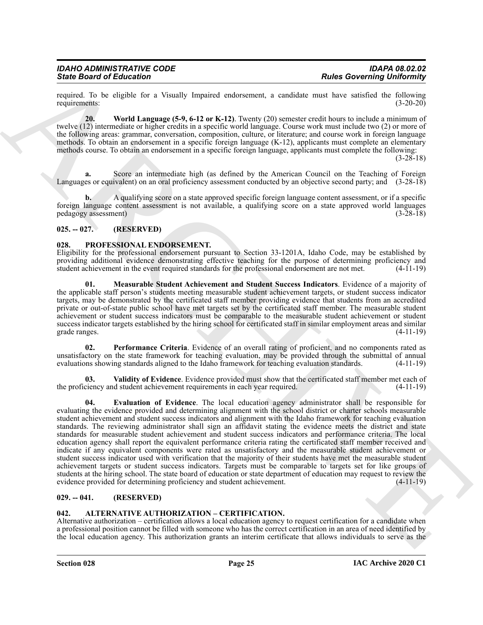required. To be eligible for a Visually Impaired endorsement, a candidate must have satisfied the following requirements: (3-20-20) requirements: (3-20-20)

<span id="page-24-5"></span>**20. World Language (5-9, 6-12 or K-12)**. Twenty (20) semester credit hours to include a minimum of twelve (12) intermediate or higher credits in a specific world language. Course work must include two (2) or more of the following areas: grammar, conversation, composition, culture, or literature; and course work in foreign language methods. To obtain an endorsement in a specific foreign language (K-12), applicants must complete an elementary methods course. To obtain an endorsement in a specific foreign language, applicants must complete the following:

(3-28-18)

**a.** Score an intermediate high (as defined by the American Council on the Teaching of Foreign Languages or equivalent) on an oral proficiency assessment conducted by an objective second party; and (3-28-18)

**b.** A qualifying score on a state approved specific foreign language content assessment, or if a specific foreign language content assessment is not available, a qualifying score on a state approved world languages pedagogy assessment) (3-28-18)

#### <span id="page-24-0"></span>**025. -- 027. (RESERVED)**

#### <span id="page-24-6"></span><span id="page-24-1"></span>**028. PROFESSIONAL ENDORSEMENT.**

Eligibility for the professional endorsement pursuant to Section 33-1201A, Idaho Code, may be established by providing additional evidence demonstrating effective teaching for the purpose of determining proficiency and student achievement in the event required standards for the professional endorsement are not met. (4-11-19) student achievement in the event required standards for the professional endorsement are not met.

<span id="page-24-8"></span>**01. Measurable Student Achievement and Student Success Indicators**. Evidence of a majority of the applicable staff person's students meeting measurable student achievement targets, or student success indicator targets, may be demonstrated by the certificated staff member providing evidence that students from an accredited private or out-of-state public school have met targets set by the certificated staff member. The measurable student achievement or student success indicators must be comparable to the measurable student achievement or student success indicator targets established by the hiring school for certificated staff in similar employment areas and similar grade ranges. (4-11-19) grade ranges. (4-11-19)

<span id="page-24-9"></span>**02. Performance Criteria**. Evidence of an overall rating of proficient, and no components rated as unsatisfactory on the state framework for teaching evaluation, may be provided through the submittal of annual evaluations showing standards aligned to the Idaho framework for teaching evaluation standards. (4-11-19) evaluations showing standards aligned to the Idaho framework for teaching evaluation standards.

<span id="page-24-10"></span><span id="page-24-7"></span>**Validity of Evidence**. Evidence provided must show that the certificated staff member met each of d student achievement requirements in each year required. (4-11-19) the proficiency and student achievement requirements in each year required.

Since Bookmain of Ethical is a vessel) humanical variables to sensing the sensing builder of the sensing of the sensing term in the sensing of the sensing of the sensing of the sensing of the sensing of the sensing of the **04. Evaluation of Evidence**. The local education agency administrator shall be responsible for evaluating the evidence provided and determining alignment with the school district or charter schools measurable student achievement and student success indicators and alignment with the Idaho framework for teaching evaluation standards. The reviewing administrator shall sign an affidavit stating the evidence meets the district and state standards for measurable student achievement and student success indicators and performance criteria. The local education agency shall report the equivalent performance criteria rating the certificated staff member received and indicate if any equivalent components were rated as unsatisfactory and the measurable student achievement or student success indicator used with verification that the majority of their students have met the measurable student achievement targets or student success indicators. Targets must be comparable to targets set for like groups of students at the hiring school. The state board of education or state department of education may request to review the evidence provided for determining proficiency and student achievement. (4-11-19) evidence provided for determining proficiency and student achievement.

#### <span id="page-24-2"></span>**029. -- 041. (RESERVED)**

#### <span id="page-24-4"></span><span id="page-24-3"></span>**042. ALTERNATIVE AUTHORIZATION – CERTIFICATION.**

Alternative authorization – certification allows a local education agency to request certification for a candidate when a professional position cannot be filled with someone who has the correct certification in an area of need identified by the local education agency. This authorization grants an interim certificate that allows individuals to serve as the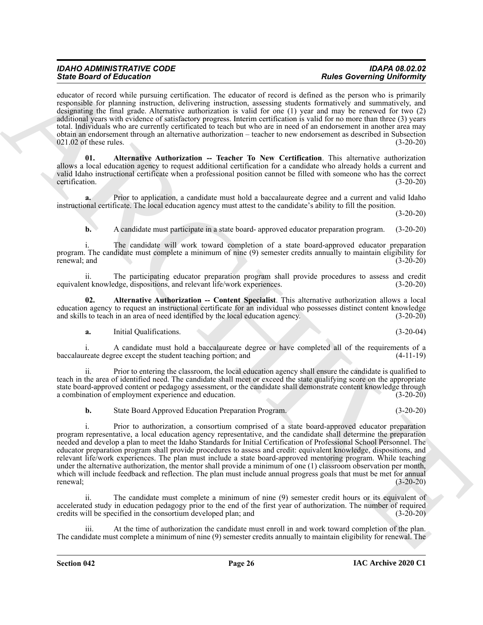educator of record while pursuing certification. The educator of record is defined as the person who is primarily responsible for planning instruction, delivering instruction, assessing students formatively and summatively, and designating the final grade. Alternative authorization is valid for one (1) year and may be renewed for two (2) additional years with evidence of satisfactory progress. Interim certification is valid for no more than three (3) years total. Individuals who are currently certificated to teach but who are in need of an endorsement in another area may obtain an endorsement through an alternative authorization – teacher to new endorsement as described in Subsection  $021.02$  of these rules.

<span id="page-25-1"></span>**01. Alternative Authorization -- Teacher To New Certification**. This alternative authorization allows a local education agency to request additional certification for a candidate who already holds a current and valid Idaho instructional certificate when a professional position cannot be filled with someone who has the correct certification. (3-20-20)

**a.** Prior to application, a candidate must hold a baccalaureate degree and a current and valid Idaho instructional certificate. The local education agency must attest to the candidate's ability to fill the position.

(3-20-20)

*State Board of Education Rules Governing Uniformity*

**b.** A candidate must participate in a state board- approved educator preparation program. (3-20-20)

i. The candidate will work toward completion of a state board-approved educator preparation program. The candidate must complete a minimum of nine (9) semester credits annually to maintain eligibility for renewal; and (3-20-20) (3-20-20)

ii. The participating educator preparation program shall provide procedures to assess and credit equivalent knowledge, dispositions, and relevant life/work experiences. (3-20-20)

**02. Alternative Authorization -- Content Specialist**. This alternative authorization allows a local education agency to request an instructional certificate for an individual who possesses distinct content knowledge and skills to teach in an area of need identified by the local education agency. (3-20-20)

<span id="page-25-0"></span>**a.** Initial Qualifications. (3-20-04)

i. A candidate must hold a baccalaureate degree or have completed all of the requirements of a baccalaureate degree except the student teaching portion; and (4-11-19)

ii. Prior to entering the classroom, the local education agency shall ensure the candidate is qualified to teach in the area of identified need. The candidate shall meet or exceed the state qualifying score on the appropriate state board-approved content or pedagogy assessment, or the candidate shall demonstrate content knowledge through a combination of employment experience and education. (3-20-20)

**b.** State Board Approved Education Preparation Program. (3-20-20)

Since Book of Editorion of Controlling and solicities and the state of the state of the state of the state of the state of the state of the state of the state of the state of the state of the state of the state of the sta i. Prior to authorization, a consortium comprised of a state board-approved educator preparation program representative, a local education agency representative, and the candidate shall determine the preparation needed and develop a plan to meet the Idaho Standards for Initial Certification of Professional School Personnel. The educator preparation program shall provide procedures to assess and credit: equivalent knowledge, dispositions, and relevant life/work experiences. The plan must include a state board-approved mentoring program. While teaching under the alternative authorization, the mentor shall provide a minimum of one (1) classroom observation per month, which will include feedback and reflection. The plan must include annual progress goals that must be met for annual renewal; (3-20-20) renewal; (3-20-20)

The candidate must complete a minimum of nine (9) semester credit hours or its equivalent of accelerated study in education pedagogy prior to the end of the first year of authorization. The number of required credits will be specified in the consortium developed plan; and (3-20-20)

At the time of authorization the candidate must enroll in and work toward completion of the plan. The candidate must complete a minimum of nine (9) semester credits annually to maintain eligibility for renewal. The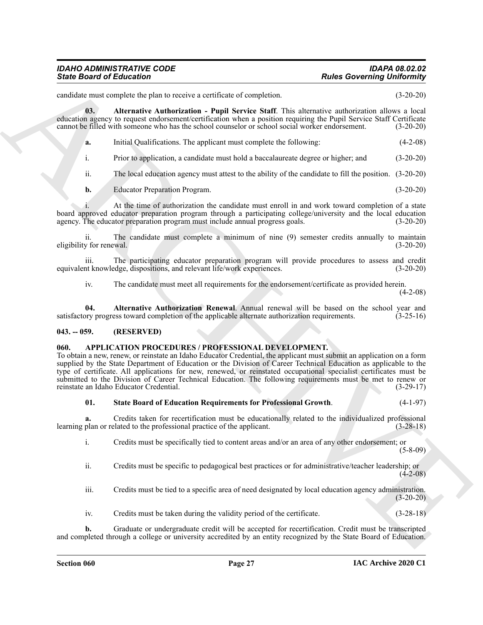# *IDAHO ADMINISTRATIVE CODE IDAPA 08.02.02*

candidate must complete the plan to receive a certificate of completion. (3-20-20)

**03. Alternative Authorization - Pupil Service Staff**. This alternative authorization allows a local education agency to request endorsement/certification when a position requiring the Pupil Service Staff Certificate cannot be filled with someone who has the school counselor or school social worker endorsement. (3-20-20)

<span id="page-26-2"></span>

|  | Initial Qualifications. The applicant must complete the following: | $(4-2-08)$ |
|--|--------------------------------------------------------------------|------------|
|--|--------------------------------------------------------------------|------------|

i. Prior to application, a candidate must hold a baccalaureate degree or higher; and (3-20-20)

ii. The local education agency must attest to the ability of the candidate to fill the position. (3-20-20)

**b.** Educator Preparation Program. (3-20-20)

At the time of authorization the candidate must enroll in and work toward completion of a state board approved educator preparation program through a participating college/university and the local education agency. The educator preparation program must include annual progress goals. (3-20-20) agency. The educator preparation program must include annual progress goals.

ii. The candidate must complete a minimum of nine (9) semester credits annually to maintain eligibility for renewal. (3-20-20)

iii. The participating educator preparation program will provide procedures to assess and credit the knowledge, dispositions, and relevant life/work experiences. (3-20-20) equivalent knowledge, dispositions, and relevant life/work experiences.

<span id="page-26-3"></span>iv. The candidate must meet all requirements for the endorsement/certificate as provided herein.

(4-2-08)

**04. Alternative Authorization Renewal**. Annual renewal will be based on the school year and ory progress toward completion of the applicable alternate authorization requirements. (3-25-16) satisfactory progress toward completion of the applicable alternate authorization requirements.

#### <span id="page-26-0"></span>**043. -- 059. (RESERVED)**

#### <span id="page-26-4"></span><span id="page-26-1"></span>**060. APPLICATION PROCEDURES / PROFESSIONAL DEVELOPMENT.**

Since Board of Eclication<br>
consider the result of the state of the state of the state of the state of the state of the state of the state of the state of the state of the state of the state of the state of the state of th To obtain a new, renew, or reinstate an Idaho Educator Credential, the applicant must submit an application on a form supplied by the State Department of Education or the Division of Career Technical Education as applicable to the type of certificate. All applications for new, renewed, or reinstated occupational specialist certificates must be submitted to the Division of Career Technical Education. The following requirements must be met to renew or reinstate an Idaho Educator Credential. (3-29-17)

<span id="page-26-5"></span>

| 01. | <b>State Board of Education Requirements for Professional Growth.</b> |  | $(4-1-97)$ |
|-----|-----------------------------------------------------------------------|--|------------|
|-----|-----------------------------------------------------------------------|--|------------|

**a.** Credits taken for recertification must be educationally related to the individualized professional learning plan or related to the professional practice of the applicant. (3-28-18)

i. Credits must be specifically tied to content areas and/or an area of any other endorsement; or  $(5-8-09)$ 

ii. Credits must be specific to pedagogical best practices or for administrative/teacher leadership; or  $(4-2-08)$ 

iii. Credits must be tied to a specific area of need designated by local education agency administration. (3-20-20)

iv. Credits must be taken during the validity period of the certificate. (3-28-18)

**b.** Graduate or undergraduate credit will be accepted for recertification. Credit must be transcripted and completed through a college or university accredited by an entity recognized by the State Board of Education.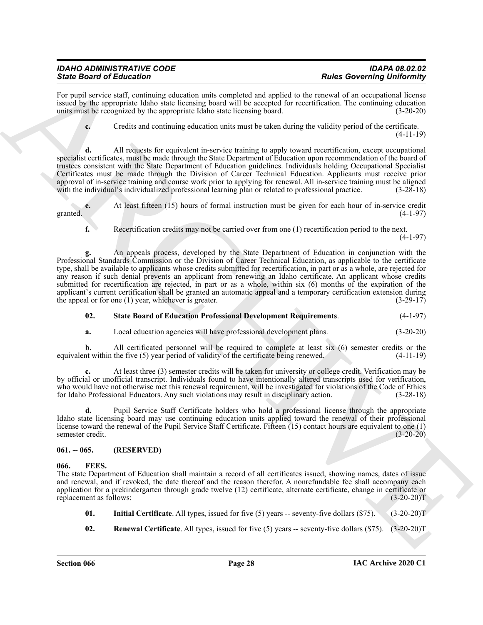| IDAHO ADMINISTRATIVE CODE       | <b>IDAPA 08.02.02</b>             |
|---------------------------------|-----------------------------------|
| <b>State Board of Education</b> | <b>Rules Governing Uniformity</b> |

For pupil service staff, continuing education units completed and applied to the renewal of an occupational license issued by the appropriate Idaho state licensing board will be accepted for recertification. The continuing education units must be recognized by the appropriate Idaho state licensing board. (3-20-20)

**c.** Credits and continuing education units must be taken during the validity period of the certificate. (4-11-19)

**d.** All requests for equivalent in-service training to apply toward recertification, except occupational specialist certificates, must be made through the State Department of Education upon recommendation of the board of trustees consistent with the State Department of Education guidelines. Individuals holding Occupational Specialist Certificates must be made through the Division of Career Technical Education. Applicants must receive prior approval of in-service training and course work prior to applying for renewal. All in-service training must be aligned with the individual's individualized professional learning plan or related to professional practice. (3 with the individual's individualized professional learning plan or related to professional practice.

**e.** At least fifteen (15) hours of formal instruction must be given for each hour of in-service credit granted.  $(4-1-97)$ 

**f.** Recertification credits may not be carried over from one (1) recertification period to the next.  $(4-1-97)$ 

Sink Bookmain of Editorial continues undo control do any projected accounted the material control of the state of the state of the state of the state of the state of the state of the state of the state of the state of the **g.** An appeals process, developed by the State Department of Education in conjunction with the Professional Standards Commission or the Division of Career Technical Education, as applicable to the certificate type, shall be available to applicants whose credits submitted for recertification, in part or as a whole, are rejected for any reason if such denial prevents an applicant from renewing an Idaho certificate. An applicant whose credits submitted for recertification are rejected, in part or as a whole, within six (6) months of the expiration of the applicant's current certification shall be granted an automatic appeal and a temporary certification extension during<br>the appeal or for one (1) year, whichever is greater. (3-29-17) the appeal or for one  $(1)$  year, whichever is greater.

#### <span id="page-27-2"></span>**02. State Board of Education Professional Development Requirements**. (4-1-97)

**a.** Local education agencies will have professional development plans. (3-20-20)

**b.** All certificated personnel will be required to complete at least six (6) semester credits or the equivalent within the five (5) year period of validity of the certificate being renewed. (4-11-19)

**c.** At least three (3) semester credits will be taken for university or college credit. Verification may be by official or unofficial transcript. Individuals found to have intentionally altered transcripts used for verification, who would have not otherwise met this renewal requirement, will be investigated for violations of the Code of Ethics for Idaho Professional Educators. Any such violations may result in disciplinary action. (3-28-18)

**d.** Pupil Service Staff Certificate holders who hold a professional license through the appropriate Idaho state licensing board may use continuing education units applied toward the renewal of their professional license toward the renewal of the Pupil Service Staff Certificate. Fifteen (15) contact hours are equivalent to one (1) semester credit. (3-20-20)

#### <span id="page-27-0"></span>**061. -- 065. (RESERVED)**

#### <span id="page-27-3"></span><span id="page-27-1"></span>**066. FEES.**

The state Department of Education shall maintain a record of all certificates issued, showing names, dates of issue and renewal, and if revoked, the date thereof and the reason therefor. A nonrefundable fee shall accompany each application for a prekindergarten through grade twelve (12) certificate, alternate certificate, change in certificate or replacement as follows: (3-20-20)T

- <span id="page-27-4"></span>**01.** Initial Certificate. All types, issued for five (5) years -- seventy-five dollars (\$75). (3-20-20)T
- <span id="page-27-5"></span>**02. Renewal Certificate**. All types, issued for five (5) years -- seventy-five dollars (\$75). (3-20-20)T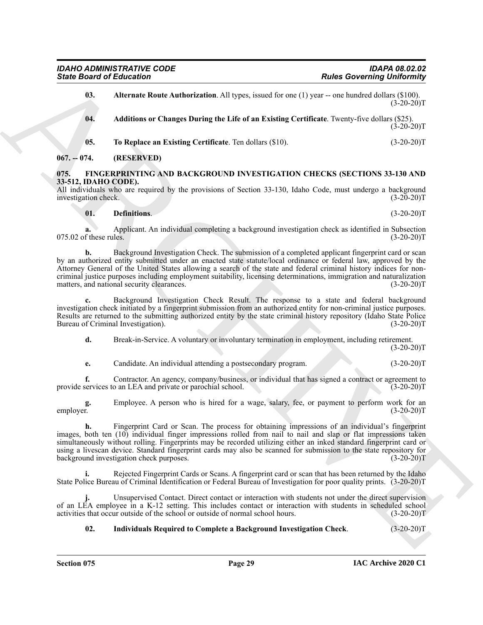<span id="page-28-3"></span>

| <b>Rules Governing Uniformity</b> |                                                                                                                                                                                                                                                                                                                                                                                                                                                                                                                  | <b>State Board of Education</b>                      |
|-----------------------------------|------------------------------------------------------------------------------------------------------------------------------------------------------------------------------------------------------------------------------------------------------------------------------------------------------------------------------------------------------------------------------------------------------------------------------------------------------------------------------------------------------------------|------------------------------------------------------|
| $(3-20-20)T$                      | Alternate Route Authorization. All types, issued for one (1) year -- one hundred dollars (\$100).                                                                                                                                                                                                                                                                                                                                                                                                                | 03.                                                  |
| $(3-20-20)T$                      | Additions or Changes During the Life of an Existing Certificate. Twenty-five dollars (\$25).                                                                                                                                                                                                                                                                                                                                                                                                                     | 04.                                                  |
| $(3-20-20)T$                      | To Replace an Existing Certificate. Ten dollars (\$10).                                                                                                                                                                                                                                                                                                                                                                                                                                                          | 05.                                                  |
|                                   | (RESERVED)                                                                                                                                                                                                                                                                                                                                                                                                                                                                                                       | $067. - 074.$                                        |
| $(3-20-20)T$                      | <b>FINGERPRINTING AND BACKGROUND INVESTIGATION CHECKS (SECTIONS 33-130 AND</b><br>All individuals who are required by the provisions of Section 33-130, Idaho Code, must undergo a background                                                                                                                                                                                                                                                                                                                    | 075.<br>33-512, IDAHO CODE).<br>investigation check. |
| $(3-20-20)T$                      | <b>Definitions.</b>                                                                                                                                                                                                                                                                                                                                                                                                                                                                                              | 01.                                                  |
| $(3-20-20)T$                      | Applicant. An individual completing a background investigation check as identified in Subsection                                                                                                                                                                                                                                                                                                                                                                                                                 | a.<br>075.02 of these rules.                         |
| $(3-20-20)T$                      | Background Investigation Check. The submission of a completed applicant fingerprint card or scan<br>by an authorized entity submitted under an enacted state statute/local ordinance or federal law, approved by the<br>Attorney General of the United States allowing a search of the state and federal criminal history indices for non-<br>criminal justice purposes including employment suitability, licensing determinations, immigration and naturalization<br>matters, and national security clearances. | b.                                                   |
| $(3-20-20)T$                      | Background Investigation Check Result. The response to a state and federal background<br>investigation check initiated by a fingerprint submission from an authorized entity for non-criminal justice purposes.<br>Results are returned to the submitting authorized entity by the state criminal history repository (Idaho State Police<br>Bureau of Criminal Investigation).                                                                                                                                   | c.                                                   |
| $(3-20-20)T$                      | Break-in-Service. A voluntary or involuntary termination in employment, including retirement.                                                                                                                                                                                                                                                                                                                                                                                                                    | d.                                                   |
| $(3-20-20)T$                      | Candidate. An individual attending a postsecondary program.                                                                                                                                                                                                                                                                                                                                                                                                                                                      | e.                                                   |
| $(3-20-20)T$                      | Contractor. An agency, company/business, or individual that has signed a contract or agreement to<br>provide services to an LEA and private or parochial school.                                                                                                                                                                                                                                                                                                                                                 | f.                                                   |
| $(3-20-20)T$                      | Employee. A person who is hired for a wage, salary, fee, or payment to perform work for an                                                                                                                                                                                                                                                                                                                                                                                                                       | g.<br>employer.                                      |
| $(3-20-20)T$                      | Fingerprint Card or Scan. The process for obtaining impressions of an individual's fingerprint<br>images, both ten (10) individual finger impressions rolled from nail to nail and slap or flat impressions taken<br>simultaneously without rolling. Fingerprints may be recorded utilizing either an inked standard fingerprint card or<br>using a livescan device. Standard fingerprint cards may also be scanned for submission to the state repository for<br>background investigation check purposes.       | n.                                                   |
|                                   | Rejected Fingerprint Cards or Scans. A fingerprint card or scan that has been returned by the Idaho<br>State Police Bureau of Criminal Identification or Federal Bureau of Investigation for poor quality prints. (3-20-20)T                                                                                                                                                                                                                                                                                     | i.                                                   |
| $(3-20-20)T$                      | Unsupervised Contact. Direct contact or interaction with students not under the direct supervision<br>of an LEA employee in a K-12 setting. This includes contact or interaction with students in scheduled school<br>activities that occur outside of the school or outside of normal school hours.                                                                                                                                                                                                             |                                                      |
|                                   |                                                                                                                                                                                                                                                                                                                                                                                                                                                                                                                  |                                                      |

#### <span id="page-28-6"></span><span id="page-28-5"></span><span id="page-28-4"></span><span id="page-28-2"></span><span id="page-28-1"></span><span id="page-28-0"></span>**01. Definitions**. (3-20-20)T

#### <span id="page-28-7"></span>**02. Individuals Required to Complete a Background Investigation Check**. (3-20-20)T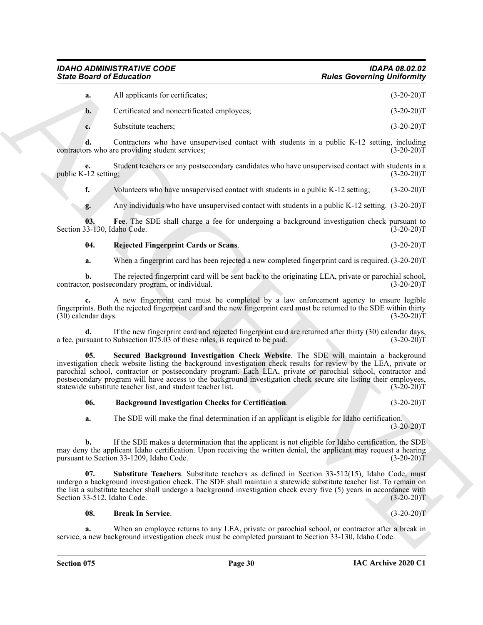|    | All applicants for certificates;            | $(3-20-20)T$ |
|----|---------------------------------------------|--------------|
| b. | Certificated and noncertificated employees; | $(3-20-20)T$ |
|    | Substitute teachers:                        | $(3-20-20)T$ |

**d.** Contractors who have unsupervised contact with students in a public K-12 setting, including ors who are providing student services: contractors who are providing student services;

**e.** Student teachers or any postsecondary candidates who have unsupervised contact with students in a -12 setting; (3-20-20) public K-12 setting;

**f.** Volunteers who have unsupervised contact with students in a public K-12 setting; (3-20-20)T

<span id="page-29-2"></span>**g.** Any individuals who have unsupervised contact with students in a public K-12 setting. (3-20-20)T

**03.** Fee. The SDE shall charge a fee for undergoing a background investigation check pursuant to  $(3-130, \text{Idaho Code.})$  (3-20-20) Section 33-130, Idaho Code.

#### <span id="page-29-3"></span>**04. Rejected Fingerprint Cards or Scans**. (3-20-20)T

**a.** When a fingerprint card has been rejected a new completed fingerprint card is required. (3-20-20)T

**b.** The rejected fingerprint card will be sent back to the originating LEA, private or parochial school, por, postsecondary program, or individual. (3-20-20) contractor, postsecondary program, or individual.

**c.** A new fingerprint card must be completed by a law enforcement agency to ensure legible fingerprints. Both the rejected fingerprint card and the new fingerprint card must be returned to the SDE within thirty  $(30)$  calendar days.

<span id="page-29-4"></span>**d.** If the new fingerprint card and rejected fingerprint card are returned after thirty (30) calendar days, requared to be paid. (3-20-20) a fee, pursuant to Subsection  $075.03$  of these rules, is required to be paid.

Since Board of Entremotion Section 1981<br>
A carefronted and constraints of the carefronted and proposes.<br>
A carefronted and constraints are proposed and the distribution in the splitter  $(1, 2, 2, 0)$ <br>
Constraints were the **05. Secured Background Investigation Check Website**. The SDE will maintain a background investigation check website listing the background investigation check results for review by the LEA, private or parochial school, contractor or postsecondary program. Each LEA, private or parochial school, contractor and postsecondary program will have access to the background investigation check secure site listing their employees, statewide substitute teacher list, and student teacher list. (3-20-20)T

#### <span id="page-29-0"></span>**06. Background Investigation Checks for Certification**. (3-20-20)T

**a.** The SDE will make the final determination if an applicant is eligible for Idaho certification.  $(3-20-20)T$ 

**b.** If the SDE makes a determination that the applicant is not eligible for Idaho certification, the SDE may deny the applicant Idaho certification. Upon receiving the written denial, the applicant may request a hearing pursuant to Section 33-1209, Idaho Code. (3-20-20)T

**07. Substitute Teachers**. Substitute teachers as defined in Section 33-512(15), Idaho Code, must undergo a background investigation check. The SDE shall maintain a statewide substitute teacher list. To remain on the list a substitute teacher shall undergo a background investigation check every five (5) years in accordance with Section 33-512, Idaho Code. (3-20-20)T

#### <span id="page-29-5"></span><span id="page-29-1"></span>**08. Break In Service**. (3-20-20)T

When an employee returns to any LEA, private or parochial school, or contractor after a break in service, a new background investigation check must be completed pursuant to Section 33-130, Idaho Code.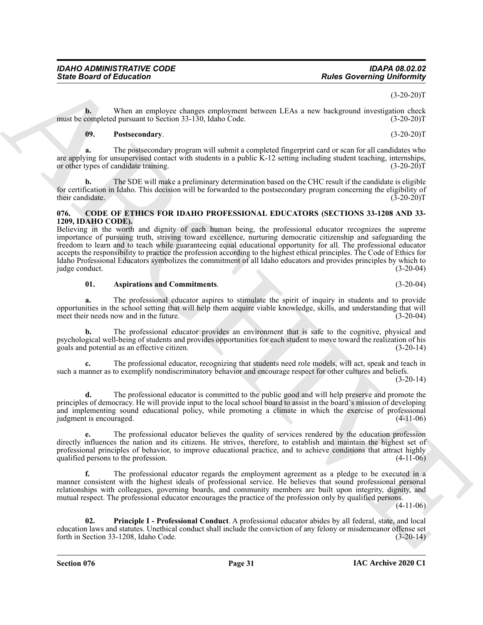#### $(3-20-20)T$

**b.** When an employee changes employment between LEAs a new background investigation check completed pursuant to Section 33-130. Idaho Code. (3-20-20) must be completed pursuant to Section 33-130, Idaho Code.

#### <span id="page-30-4"></span>**09. Postsecondary**. (3-20-20)T

**a.** The postsecondary program will submit a completed fingerprint card or scan for all candidates who are applying for unsupervised contact with students in a public K-12 setting including student teaching, internships, or other types of candidate training. (3-20-20)T

**b.** The SDE will make a preliminary determination based on the CHC result if the candidate is eligible for certification in Idaho. This decision will be forwarded to the postsecondary program concerning the eligibility of their candidate. (3-20-20)T

#### <span id="page-30-1"></span><span id="page-30-0"></span>**076. CODE OF ETHICS FOR IDAHO PROFESSIONAL EDUCATORS (SECTIONS 33-1208 AND 33- 1209, IDAHO CODE).**

Since Board of Entrances Comparison and the property of the subsection of the subsection of the subsection of the subsection of the subsection of the subsection of the subsection of the subsection of the subsection of the Believing in the worth and dignity of each human being, the professional educator recognizes the supreme importance of pursuing truth, striving toward excellence, nurturing democratic citizenship and safeguarding the freedom to learn and to teach while guaranteeing equal educational opportunity for all. The professional educator accepts the responsibility to practice the profession according to the highest ethical principles. The Code of Ethics for Idaho Professional Educators symbolizes the commitment of all Idaho educators and provides principles by which to judge conduct.

#### <span id="page-30-2"></span>**01. Aspirations and Commitments**. (3-20-04)

**a.** The professional educator aspires to stimulate the spirit of inquiry in students and to provide opportunities in the school setting that will help them acquire viable knowledge, skills, and understanding that will meet their needs now and in the future. (3-20-04)

**b.** The professional educator provides an environment that is safe to the cognitive, physical and psychological well-being of students and provides opportunities for each student to move toward the realization of his goals and potential as an effective citizen. (3-20-14)

**c.** The professional educator, recognizing that students need role models, will act, speak and teach in such a manner as to exemplify nondiscriminatory behavior and encourage respect for other cultures and beliefs.

(3-20-14)

**d.** The professional educator is committed to the public good and will help preserve and promote the principles of democracy. He will provide input to the local school board to assist in the board's mission of developing and implementing sound educational policy, while promoting a climate in which the exercise of professional judgment is encouraged. (4-11-06) judgment is encouraged.

**e.** The professional educator believes the quality of services rendered by the education profession directly influences the nation and its citizens. He strives, therefore, to establish and maintain the highest set of professional principles of behavior, to improve educational practice, and to achieve conditions that attract highly qualified persons to the profession. (4-11-06)

**f.** The professional educator regards the employment agreement as a pledge to be executed in a manner consistent with the highest ideals of professional service. He believes that sound professional personal relationships with colleagues, governing boards, and community members are built upon integrity, dignity, and mutual respect. The professional educator encourages the practice of the profession only by qualified persons.

 $(4-11-06)$ 

<span id="page-30-3"></span>**02. Principle I - Professional Conduct**. A professional educator abides by all federal, state, and local education laws and statutes. Unethical conduct shall include the conviction of any felony or misdemeanor offense set forth in Section 33-1208, Idaho Code.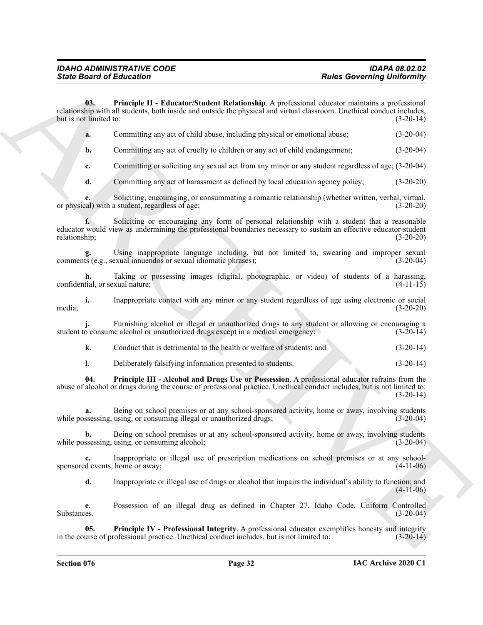**03. Principle II - Educator/Student Relationship**. A professional educator maintains a professional relationship with all students, both inside and outside the physical and virtual classroom. Unethical conduct includes, but is not limited to:  $(3-20-14)$ 

<span id="page-31-0"></span>

|  | Committing any act of child abuse, including physical or emotional abuse; | $(3-20-04)$ |
|--|---------------------------------------------------------------------------|-------------|
|--|---------------------------------------------------------------------------|-------------|

**b.** Committing any act of cruelty to children or any act of child endangerment; (3-20-04)

**c.** Committing or soliciting any sexual act from any minor or any student regardless of age; (3-20-04)

**d.** Committing any act of harassment as defined by local education agency policy; (3-20-20)

**e.** Soliciting, encouraging, or consummating a romantic relationship (whether written, verbal, virtual, or physical) with a student, regardless of age; (3-20-20)

**f.** Soliciting or encouraging any form of personal relationship with a student that a reasonable educator would view as undermining the professional boundaries necessary to sustain an effective educator-student relationship; (3-20-20)

**g.** Using inappropriate language including, but not limited to, swearing and improper sexual is (e.g., sexual innuendos or sexual idiomatic phrases); (3-20-04) comments (e.g., sexual innuendos or sexual idiomatic phrases);

**h.** Taking or possessing images (digital, photographic, or video) of students of a harassing, confidential, or sexual nature;  $(4-11-15)$ 

**i.** Inappropriate contact with any minor or any student regardless of age using electronic or social (3-20-20) media; (3-20-20)

**j.** Furnishing alcohol or illegal or unauthorized drugs to any student or allowing or encouraging a o consume alcohol or unauthorized drugs except in a medical emergency; (3-20-14) student to consume alcohol or unauthorized drugs except in a medical emergency;

**k.** Conduct that is detrimental to the health or welfare of students; and (3-20-14)

<span id="page-31-1"></span>**l.** Deliberately falsifying information presented to students.  $(3-20-14)$ 

Since Board of Eclipscians \*\*\*\*\*<br>
Blue Governing Uniformly and<br>
the latter of the space of the space of the space of the space of the space of the space of the space of the space of the space of the space of the space of **04. Principle III - Alcohol and Drugs Use or Possession**. A professional educator refrains from the abuse of alcohol or drugs during the course of professional practice. Unethical conduct includes, but is not limited to:  $(3-20-14)$ 

**a.** Being on school premises or at any school-sponsored activity, home or away, involving students ssessing, using, or consuming illegal or unauthorized drugs: (3-20-04) while possessing, using, or consuming illegal or unauthorized drugs;

**b.** Being on school premises or at any school-sponsored activity, home or away, involving students ssessing, using, or consuming alcohol; (3-20-04) while possessing, using, or consuming alcohol;

**c.** Inappropriate or illegal use of prescription medications on school premises or at any schoolsponsored events, home or away; (4-11-06)

<span id="page-31-2"></span>**d.** Inappropriate or illegal use of drugs or alcohol that impairs the individual's ability to function; and (4-11-06)

**e.** Possession of an illegal drug as defined in Chapter 27, Idaho Code, Uniform Controlled Substances. (3-20-04)

**05. Principle IV - Professional Integrity**. A professional educator exemplifies honesty and integrity urse of professional practice. Unethical conduct includes, but is not limited to: (3-20-14) in the course of professional practice. Unethical conduct includes, but is not limited to: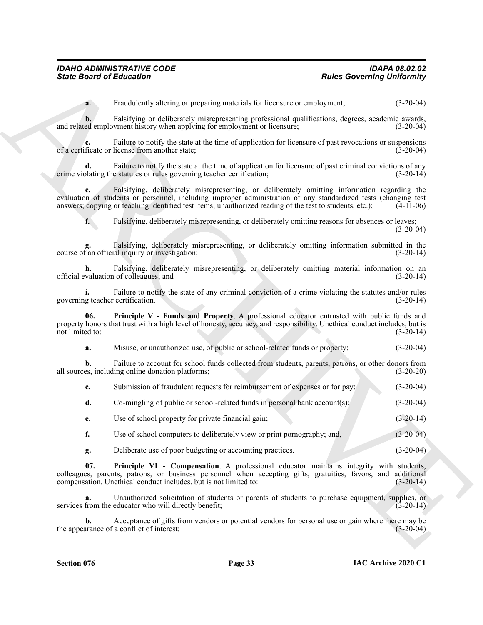**a.** Fraudulently altering or preparing materials for licensure or employment; (3-20-04)

**b.** Falsifying or deliberately misrepresenting professional qualifications, degrees, academic awards, ed employment history when applying for employment or licensure; (3-20-04) and related employment history when applying for employment or licensure;

Failure to notify the state at the time of application for licensure of past revocations or suspensions<br>license from another state: (3-20-04) of a certificate or license from another state;

Failure to notify the state at the time of application for licensure of past criminal convictions of any e statutes or rules governing teacher certification; (3-20-14) crime violating the statutes or rules governing teacher certification;

**e.** Falsifying, deliberately misrepresenting, or deliberately omitting information regarding the evaluation of students or personnel, including improper administration of any standardized tests (changing test answers; copying or teaching identified test items; unauthorized reading of the test to students, etc.); (4-11-06)

**f.** Falsifying, deliberately misrepresenting, or deliberately omitting reasons for absences or leaves; (3-20-04)

Falsifying, deliberately misrepresenting, or deliberately omitting information submitted in the ial inquiry or investigation; (3-20-14) course of an official inquiry or investigation;

**h.** Falsifying, deliberately misrepresenting, or deliberately omitting material information on an valuation of colleagues; and (3-20-14) official evaluation of colleagues; and (3-20-14)

**i.** Failure to notify the state of any criminal conviction of a crime violating the statutes and/or rules g teacher certification. (3-20-14) governing teacher certification.

Since Board of Ethical intermediation and the tensor energy controlled the controlled controlled the controlled controlled the state of the state of the state of the state of the state of the state of the state of the sta **06. Principle V - Funds and Property**. A professional educator entrusted with public funds and property honors that trust with a high level of honesty, accuracy, and responsibility. Unethical conduct includes, but is not limited to: (3-20-14) not limited to: (3-20-14)

<span id="page-32-0"></span>**a.** Misuse, or unauthorized use, of public or school-related funds or property; (3-20-04)

**b.** Failure to account for school funds collected from students, parents, patrons, or other donors from es, including online donation platforms; (3-20-20) all sources, including online donation platforms;

**c.** Submission of fraudulent requests for reimbursement of expenses or for pay; (3-20-04)

**d.** Co-mingling of public or school-related funds in personal bank account(s); (3-20-04)

**e.** Use of school property for private financial gain; (3-20-14)

**f.** Use of school computers to deliberately view or print pornography; and,  $(3-20-04)$ 

<span id="page-32-1"></span>**g.** Deliberate use of poor budgeting or accounting practices. (3-20-04)

**07. Principle VI - Compensation**. A professional educator maintains integrity with students, colleagues, parents, patrons, or business personnel when accepting gifts, gratuities, favors, and additional compensation. Unethical conduct includes, but is not limited to:

**a.** Unauthorized solicitation of students or parents of students to purchase equipment, supplies, or from the educator who will directly benefit; (3-20-14) services from the educator who will directly benefit;

**b.** Acceptance of gifts from vendors or potential vendors for personal use or gain where there may be arance of a conflict of interest; the appearance of a conflict of interest;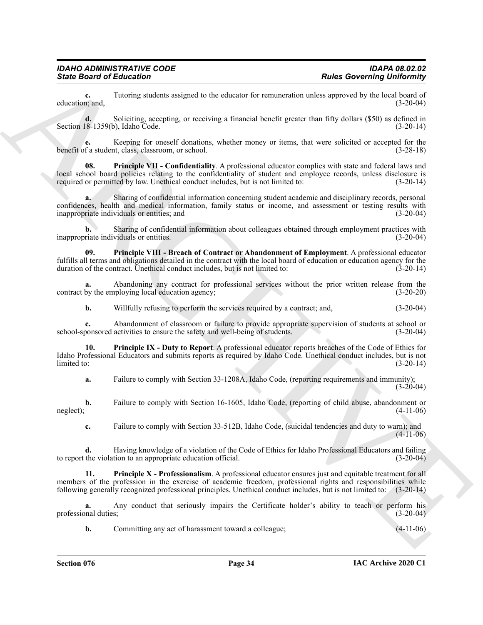**c.** Tutoring students assigned to the educator for remuneration unless approved by the local board of n; and,  $(3-20-04)$ education; and,

**d.** Soliciting, accepting, or receiving a financial benefit greater than fifty dollars (\$50) as defined in 18-1359(b), Idaho Code. (3-20-14) Section 18-1359(b), Idaho Code.

<span id="page-33-1"></span>**e.** Keeping for oneself donations, whether money or items, that were solicited or accepted for the f a student, class, classroom, or school.  $(3-28-18)$ benefit of a student, class, classroom, or school.

Since Board of Eclication<br>
Constitution <sup>2</sup> and the stationary are constituted by the stationary intermediate resolution (1) and the stationary of the stationary of the stationary of the stationary of the stationary of th **08. Principle VII - Confidentiality**. A professional educator complies with state and federal laws and local school board policies relating to the confidentiality of student and employee records, unless disclosure is required or permitted by law. Unethical conduct includes, but is not limited to: (3-20-14)

**a.** Sharing of confidential information concerning student academic and disciplinary records, personal confidences, health and medical information, family status or income, and assessment or testing results with inappropriate individuals or entities; and (3-20-04)

**b.** Sharing of confidential information about colleagues obtained through employment practices with inappropriate individuals or entities. (3-20-04)

<span id="page-33-2"></span>**09. Principle VIII - Breach of Contract or Abandonment of Employment**. A professional educator fulfills all terms and obligations detailed in the contract with the local board of education or education agency for the duration of the contract. Unethical conduct includes, but is not limited to: (3-20-14) duration of the contract. Unethical conduct includes, but is not limited to:

**a.** Abandoning any contract for professional services without the prior written release from the by the employing local education agency:  $(3-20-20)$ contract by the employing local education agency;

<span id="page-33-0"></span>**b.** Willfully refusing to perform the services required by a contract; and,  $(3-20-04)$ 

**c.** Abandonment of classroom or failure to provide appropriate supervision of students at school or ponsored activities to ensure the safety and well-being of students. (3-20-04) school-sponsored activities to ensure the safety and well-being of students.

**10. Principle IX - Duty to Report**. A professional educator reports breaches of the Code of Ethics for Idaho Professional Educators and submits reports as required by Idaho Code. Unethical conduct includes, but is not  $\lim \begin{pmatrix} 3-20-14 \end{pmatrix}$ 

**a.** Failure to comply with Section 33-1208A, Idaho Code, (reporting requirements and immunity);  $(3-20-04)$ 

**b.** Failure to comply with Section 16-1605, Idaho Code, (reporting of child abuse, abandonment or (4-11-06) neglect);  $(4-11-06)$ 

<span id="page-33-3"></span>**c.** Failure to comply with Section 33-512B, Idaho Code, (suicidal tendencies and duty to warn); and  $(4-11-06)$ 

**d.** Having knowledge of a violation of the Code of Ethics for Idaho Professional Educators and failing the violation to an appropriate education official. (3-20-04) to report the violation to an appropriate education official.

**11. Principle X - Professionalism**. A professional educator ensures just and equitable treatment for all members of the profession in the exercise of academic freedom, professional rights and responsibilities while following generally recognized professional principles. Unethical conduct includes, but is not limited to: (3-20-14)

**a.** Any conduct that seriously impairs the Certificate holder's ability to teach or perform his professional duties; (3-20-04)

**b.** Committing any act of harassment toward a colleague;  $(4-11-06)$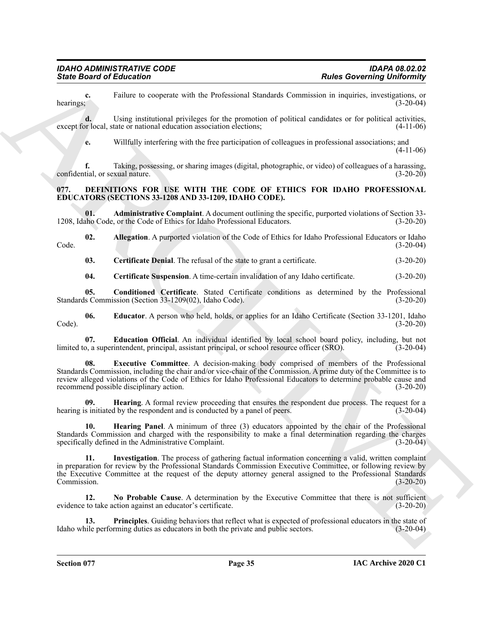**c.** Failure to cooperate with the Professional Standards Commission in inquiries, investigations, or hearings;<br>(3-20-04) hearings;  $(3-20-04)$ 

**d.** Using institutional privileges for the promotion of political candidates or for political activities, or local, state or national education association elections; (4-11-06) except for local, state or national education association elections;

**e.** Willfully interfering with the free participation of colleagues in professional associations; and (4-11-06)

**f.** Taking, possessing, or sharing images (digital, photographic, or video) of colleagues of a harassing, tial, or sexual nature. (3-20-20) confidential, or sexual nature.

#### <span id="page-34-1"></span><span id="page-34-0"></span>**077. DEFINITIONS FOR USE WITH THE CODE OF ETHICS FOR IDAHO PROFESSIONAL EDUCATORS (SECTIONS 33-1208 AND 33-1209, IDAHO CODE).**

<span id="page-34-2"></span>**01. Administrative Complaint**. A document outlining the specific, purported violations of Section 33-<br>ho Code, or the Code of Ethics for Idaho Professional Educators. (3-20-20) 1208, Idaho Code, or the Code of Ethics for Idaho Professional Educators.

**02.** Allegation. A purported violation of the Code of Ethics for Idaho Professional Educators or Idaho (3-20-04) Code. (3-20-04)

<span id="page-34-4"></span><span id="page-34-3"></span>**03. Certificate Denial**. The refusal of the state to grant a certificate. (3-20-20)

<span id="page-34-8"></span><span id="page-34-6"></span><span id="page-34-5"></span>**04. Certificate Suspension**. A time-certain invalidation of any Idaho certificate. (3-20-20)

**05.** Conditioned Certificate. Stated Certificate conditions as determined by the Professional s Commission (Section 33-1209(02), Idaho Code). (3-20-20) Standards Commission (Section 33-1209(02), Idaho Code).

**06. Educator**. A person who held, holds, or applies for an Idaho Certificate (Section 33-1201, Idaho Code). (3-20-20)

<span id="page-34-9"></span><span id="page-34-7"></span>**07. Education Official**. An individual identified by local school board policy, including, but not by a superintendent, principal, assistant principal, or school resource officer (SRO). (3-20-04) limited to, a superintendent, principal, assistant principal, or school resource officer (SRO).

Since Board of Ethicals (vertex the the Universe of School Simulate Convention in supercolonic process of the Universe of School Simulate Convention in the Universe of School Simulate Convention in the Universe of the Uni **08. Executive Committee**. A decision-making body comprised of members of the Professional Standards Commission, including the chair and/or vice-chair of the Commission. A prime duty of the Committee is to review alleged violations of the Code of Ethics for Idaho Professional Educators to determine probable cause and recommend possible disciplinary action. (3-20-20)

<span id="page-34-10"></span>**19. Hearing**. A formal review proceeding that ensures the respondent due process. The request for a by the respondent and is conducted by a panel of peers. hearing is initiated by the respondent and is conducted by a panel of peers.

<span id="page-34-11"></span>**10. Hearing Panel**. A minimum of three (3) educators appointed by the chair of the Professional Standards Commission and charged with the responsibility to make a final determination regarding the charges specifically defined in the Administrative Complaint. (3-20-04) specifically defined in the Administrative Complaint.

<span id="page-34-12"></span>**11. Investigation**. The process of gathering factual information concerning a valid, written complaint in preparation for review by the Professional Standards Commission Executive Committee, or following review by the Executive Committee at the request of the deputy attorney general assigned to the Professional Standards Commission. (3-20-20)

<span id="page-34-13"></span>**12. No Probable Cause**. A determination by the Executive Committee that there is not sufficient evidence to take action against an educator's certificate. (3-20-20)

<span id="page-34-14"></span>**13. Principles**. Guiding behaviors that reflect what is expected of professional educators in the state of ille performing duties as educators in both the private and public sectors. (3-20-04) Idaho while performing duties as educators in both the private and public sectors.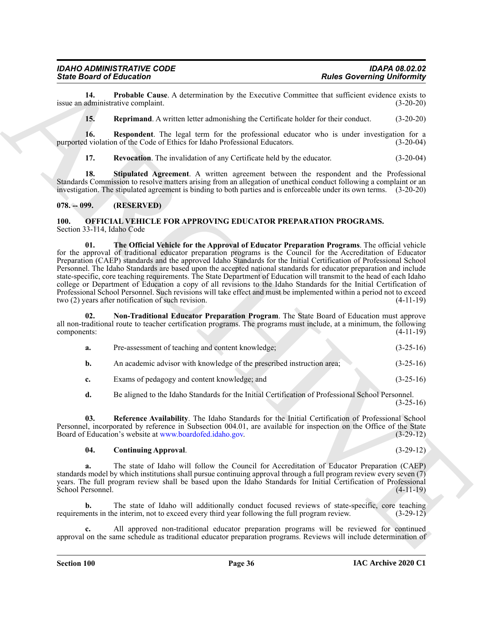**14. Probable Cause**. A determination by the Executive Committee that sufficient evidence exists to administrative complaint. (3-20-20) issue an administrative complaint.

<span id="page-35-4"></span><span id="page-35-3"></span><span id="page-35-2"></span>**15. Reprimand**. A written letter admonishing the Certificate holder for their conduct. (3-20-20)

**16.** Respondent. The legal term for the professional educator who is under investigation for a d violation of the Code of Ethics for Idaho Professional Educators. (3-20-04) purported violation of the Code of Ethics for Idaho Professional Educators.

<span id="page-35-6"></span><span id="page-35-5"></span>**17. Revocation**. The invalidation of any Certificate held by the educator. (3-20-04)

**18. Stipulated Agreement**. A written agreement between the respondent and the Professional Standards Commission to resolve matters arising from an allegation of unethical conduct following a complaint or an investigation. The stipulated agreement is binding to both parties and is enforceable under its own terms. (3-20-20)

#### <span id="page-35-0"></span>**078. -- 099. (RESERVED)**

#### <span id="page-35-11"></span><span id="page-35-7"></span><span id="page-35-1"></span>**100. OFFICIAL VEHICLE FOR APPROVING EDUCATOR PREPARATION PROGRAMS.** Section 33-114, Idaho Code

Since Brazil Entertainment Cause A distantanties by the Encoring Convention Counter of the Convention Counter of the Counter of the Counter of the Counter of the Counter of the Counter of the Counter of the Counter of the **01. The Official Vehicle for the Approval of Educator Preparation Programs**. The official vehicle for the approval of traditional educator preparation programs is the Council for the Accreditation of Educator Preparation (CAEP) standards and the approved Idaho Standards for the Initial Certification of Professional School Personnel. The Idaho Standards are based upon the accepted national standards for educator preparation and include state-specific, core teaching requirements. The State Department of Education will transmit to the head of each Idaho college or Department of Education a copy of all revisions to the Idaho Standards for the Initial Certification of Professional School Personnel. Such revisions will take effect and must be implemented within a period not to exceed two (2) years after notification of such revision. (4-11-19) two  $(2)$  years after notification of such revision.

**02. Non-Traditional Educator Preparation Program**. The State Board of Education must approve all non-traditional route to teacher certification programs. The programs must include, at a minimum, the following components: (4-11-19)

<span id="page-35-9"></span>

| а. | Pre-assessment of teaching and content knowledge;                      | $(3-25-16)$ |
|----|------------------------------------------------------------------------|-------------|
| b. | An academic advisor with knowledge of the prescribed instruction area; | $(3-25-16)$ |
|    | Exams of pedagogy and content knowledge; and                           | $(3-25-16)$ |

<span id="page-35-10"></span>**d.** Be aligned to the Idaho Standards for the Initial Certification of Professional School Personnel. (3-25-16)

**03. Reference Availability**. The Idaho Standards for the Initial Certification of Professional School Personnel, incorporated by reference in Subsection 004.01, are available for inspection on the Office of the State Board of Education's website at www.boardofed.idaho.gov. (3-29-12) Board of Education's website at www.boardofed.idaho.gov.

#### <span id="page-35-8"></span>**04. Continuing Approval**. (3-29-12)

**a.** The state of Idaho will follow the Council for Accreditation of Educator Preparation (CAEP) standards model by which institutions shall pursue continuing approval through a full program review every seven (7) years. The full program review shall be based upon the Idaho Standards for Initial Certification of Professional School Personnel. (4-11-19) School Personnel.

**b.** The state of Idaho will additionally conduct focused reviews of state-specific, core teaching ents in the interim, not to exceed every third year following the full program review. (3-29-12) requirements in the interim, not to exceed every third year following the full program review.

**c.** All approved non-traditional educator preparation programs will be reviewed for continued approval on the same schedule as traditional educator preparation programs. Reviews will include determination of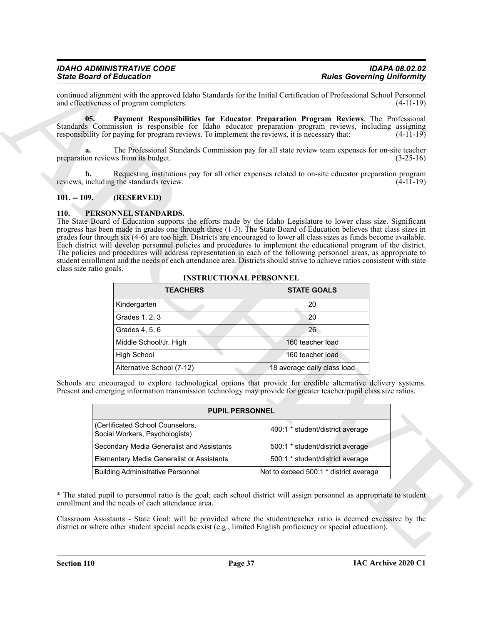# <span id="page-36-2"></span>*IDAHO ADMINISTRATIVE CODE IDAPA 08.02.02*

#### <span id="page-36-0"></span>**101. -- 109. (RESERVED)**

#### <span id="page-36-3"></span><span id="page-36-1"></span>**110. PERSONNEL STANDARDS.**

|                         | and effectiveness of program completers.                                                       | continued alignment with the approved Idaho Standards for the Initial Certification of Professional School Personnel<br>$(4-11-19)$                                                                                                                                                                                                                                                                                                                                                                                                                                                                                       |
|-------------------------|------------------------------------------------------------------------------------------------|---------------------------------------------------------------------------------------------------------------------------------------------------------------------------------------------------------------------------------------------------------------------------------------------------------------------------------------------------------------------------------------------------------------------------------------------------------------------------------------------------------------------------------------------------------------------------------------------------------------------------|
| 05.                     | responsibility for paying for program reviews. To implement the reviews, it is necessary that: | Payment Responsibilities for Educator Preparation Program Reviews. The Professional<br>Standards Commission is responsible for Idaho educator preparation program reviews, including assigning<br>$(4-11-19)$                                                                                                                                                                                                                                                                                                                                                                                                             |
| a.                      | preparation reviews from its budget.                                                           | The Professional Standards Commission pay for all state review team expenses for on-site teacher<br>$(3-25-16)$                                                                                                                                                                                                                                                                                                                                                                                                                                                                                                           |
| b.                      | reviews, including the standards review.                                                       | Requesting institutions pay for all other expenses related to on-site educator preparation program<br>$(4-11-19)$                                                                                                                                                                                                                                                                                                                                                                                                                                                                                                         |
| $101. - 109.$           | (RESERVED)                                                                                     |                                                                                                                                                                                                                                                                                                                                                                                                                                                                                                                                                                                                                           |
| class size ratio goals. | <b>INSTRUCTIONAL PERSONNEL</b>                                                                 | progress has been made in grades one through three (1-3). The State Board of Education believes that class sizes in<br>grades four through six (4-6) are too high. Districts are encouraged to lower all class sizes as funds become available.<br>Each district will develop personnel policies and procedures to implement the educational program of the district.<br>The policies and procedures will address representation in each of the following personnel areas, as appropriate to<br>student enrollment and the needs of each attendance area. Districts should strive to achieve ratios consistent with state |
|                         | <b>TEACHERS</b>                                                                                | <b>STATE GOALS</b>                                                                                                                                                                                                                                                                                                                                                                                                                                                                                                                                                                                                        |
|                         | Kindergarten                                                                                   | 20                                                                                                                                                                                                                                                                                                                                                                                                                                                                                                                                                                                                                        |
|                         | Grades 1, 2, 3                                                                                 | 20                                                                                                                                                                                                                                                                                                                                                                                                                                                                                                                                                                                                                        |
|                         | Grades 4, 5, 6                                                                                 | 26 <sup>2</sup>                                                                                                                                                                                                                                                                                                                                                                                                                                                                                                                                                                                                           |
|                         | Middle School/Jr. High                                                                         | 160 teacher load                                                                                                                                                                                                                                                                                                                                                                                                                                                                                                                                                                                                          |
|                         | <b>High School</b>                                                                             | 160 teacher load                                                                                                                                                                                                                                                                                                                                                                                                                                                                                                                                                                                                          |
|                         | Alternative School (7-12)                                                                      | 18 average daily class load                                                                                                                                                                                                                                                                                                                                                                                                                                                                                                                                                                                               |
|                         |                                                                                                | Schools are encouraged to explore technological options that provide for credible alternative delivery systems.<br>Present and emerging information transmission technology may provide for greater teacher/pupil class size ratios.                                                                                                                                                                                                                                                                                                                                                                                      |
|                         |                                                                                                |                                                                                                                                                                                                                                                                                                                                                                                                                                                                                                                                                                                                                           |
|                         | <b>PUPIL PERSONNEL</b>                                                                         |                                                                                                                                                                                                                                                                                                                                                                                                                                                                                                                                                                                                                           |
|                         | (Certificated School Counselors,<br>Social Workers, Psychologists)                             | 400:1 * student/district average                                                                                                                                                                                                                                                                                                                                                                                                                                                                                                                                                                                          |
|                         | Secondary Media Generalist and Assistants                                                      | 500:1 * student/district average                                                                                                                                                                                                                                                                                                                                                                                                                                                                                                                                                                                          |
|                         | <b>Elementary Media Generalist or Assistants</b>                                               | 500:1 * student/district average                                                                                                                                                                                                                                                                                                                                                                                                                                                                                                                                                                                          |
|                         | <b>Building Administrative Personnel</b>                                                       | Not to exceed 500:1 * district average                                                                                                                                                                                                                                                                                                                                                                                                                                                                                                                                                                                    |
|                         | enrollment and the needs of each attendance area.                                              | * The stated pupil to personnel ratio is the goal; each school district will assign personnel as appropriate to student                                                                                                                                                                                                                                                                                                                                                                                                                                                                                                   |

**INSTRUCTIONAL PERSONNEL**

| <b>PUPIL PERSONNEL</b>                                             |                                        |  |  |
|--------------------------------------------------------------------|----------------------------------------|--|--|
| (Certificated School Counselors,<br>Social Workers, Psychologists) | 400:1 * student/district average       |  |  |
| Secondary Media Generalist and Assistants                          | 500:1 * student/district average       |  |  |
| <b>Elementary Media Generalist or Assistants</b>                   | 500:1 * student/district average       |  |  |
| <b>Building Administrative Personnel</b>                           | Not to exceed 500:1 * district average |  |  |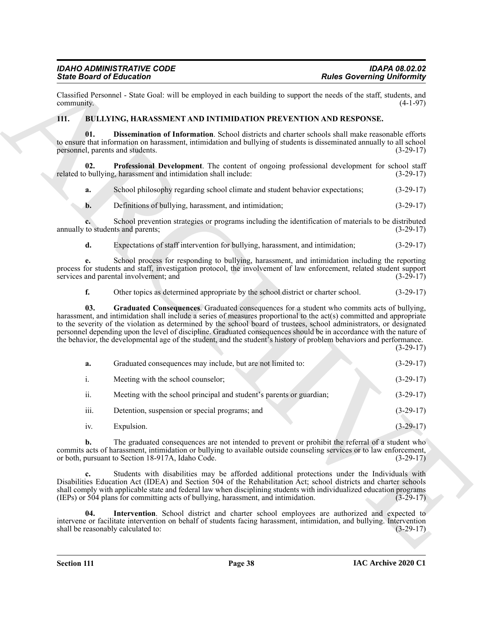#### <span id="page-37-5"></span><span id="page-37-4"></span><span id="page-37-3"></span><span id="page-37-2"></span><span id="page-37-1"></span><span id="page-37-0"></span>**111. BULLYING, HARASSMENT AND INTIMIDATION PREVENTION AND RESPONSE.**

| <b>State Board of Education</b>           |                                                                                                                                                                                                                                                                                                                                                                                                                                                                                                                                                                                          | <b>Rules Governing Uniformity</b> |
|-------------------------------------------|------------------------------------------------------------------------------------------------------------------------------------------------------------------------------------------------------------------------------------------------------------------------------------------------------------------------------------------------------------------------------------------------------------------------------------------------------------------------------------------------------------------------------------------------------------------------------------------|-----------------------------------|
| community.                                | Classified Personnel - State Goal: will be employed in each building to support the needs of the staff, students, and                                                                                                                                                                                                                                                                                                                                                                                                                                                                    | $(4-1-97)$                        |
| 111.                                      | BULLYING, HARASSMENT AND INTIMIDATION PREVENTION AND RESPONSE.                                                                                                                                                                                                                                                                                                                                                                                                                                                                                                                           |                                   |
| 01.<br>personnel, parents and students.   | Dissemination of Information. School districts and charter schools shall make reasonable efforts<br>to ensure that information on harassment, intimidation and bullying of students is disseminated annually to all school                                                                                                                                                                                                                                                                                                                                                               | $(3-29-17)$                       |
| 02.                                       | Professional Development. The content of ongoing professional development for school staff<br>related to bullying, harassment and intimidation shall include:                                                                                                                                                                                                                                                                                                                                                                                                                            | $(3-29-17)$                       |
| a.                                        | School philosophy regarding school climate and student behavior expectations;                                                                                                                                                                                                                                                                                                                                                                                                                                                                                                            | $(3-29-17)$                       |
| b.                                        | Definitions of bullying, harassment, and intimidation;                                                                                                                                                                                                                                                                                                                                                                                                                                                                                                                                   | $(3-29-17)$                       |
| annually to students and parents;         | School prevention strategies or programs including the identification of materials to be distributed                                                                                                                                                                                                                                                                                                                                                                                                                                                                                     | $(3-29-17)$                       |
| d.                                        | Expectations of staff intervention for bullying, harassment, and intimidation;                                                                                                                                                                                                                                                                                                                                                                                                                                                                                                           | $(3-29-17)$                       |
| е.                                        | School process for responding to bullying, harassment, and intimidation including the reporting<br>process for students and staff, investigation protocol, the involvement of law enforcement, related student support<br>services and parental involvement; and                                                                                                                                                                                                                                                                                                                         | $(3-29-17)$                       |
| f.                                        | Other topics as determined appropriate by the school district or charter school.                                                                                                                                                                                                                                                                                                                                                                                                                                                                                                         | $(3-29-17)$                       |
| 03.                                       | Graduated Consequences. Graduated consequences for a student who commits acts of bullying,<br>harassment, and intimidation shall include a series of measures proportional to the act(s) committed and appropriate<br>to the severity of the violation as determined by the school board of trustees, school administrators, or designated<br>personnel depending upon the level of discipline. Graduated consequences should be in accordance with the nature of<br>the behavior, the developmental age of the student, and the student's history of problem behaviors and performance. | $(3-29-17)$                       |
| a.                                        | Graduated consequences may include, but are not limited to:                                                                                                                                                                                                                                                                                                                                                                                                                                                                                                                              | $(3-29-17)$                       |
| $\mathbf{i}$ .                            | Meeting with the school counselor;                                                                                                                                                                                                                                                                                                                                                                                                                                                                                                                                                       | $(3-29-17)$                       |
| ii.                                       | Meeting with the school principal and student's parents or guardian;                                                                                                                                                                                                                                                                                                                                                                                                                                                                                                                     | $(3-29-17)$                       |
| iii.                                      | Detention, suspension or special programs; and                                                                                                                                                                                                                                                                                                                                                                                                                                                                                                                                           | $(3-29-17)$                       |
| iv.                                       | Expulsion.                                                                                                                                                                                                                                                                                                                                                                                                                                                                                                                                                                               | $(3-29-17)$                       |
| $\mathbf{b}$ .                            | The graduated consequences are not intended to prevent or prohibit the referral of a student who<br>commits acts of harassment, intimidation or bullying to available outside counseling services or to law enforcement,<br>or both, pursuant to Section 18-917A, Idaho Code.                                                                                                                                                                                                                                                                                                            | $(3-29-17)$                       |
| c.                                        | Students with disabilities may be afforded additional protections under the Individuals with<br>Disabilities Education Act (IDEA) and Section 504 of the Rehabilitation Act; school districts and charter schools<br>shall comply with applicable state and federal law when disciplining students with individualized education programs<br>(IEPs) or 504 plans for committing acts of bullying, harassment, and intimidation.                                                                                                                                                          | $(3-29-17)$                       |
| 04.<br>shall be reasonably calculated to: | Intervention. School district and charter school employees are authorized and expected to<br>intervene or facilitate intervention on behalf of students facing harassment, intimidation, and bullying. Intervention                                                                                                                                                                                                                                                                                                                                                                      | $(3-29-17)$                       |
|                                           |                                                                                                                                                                                                                                                                                                                                                                                                                                                                                                                                                                                          |                                   |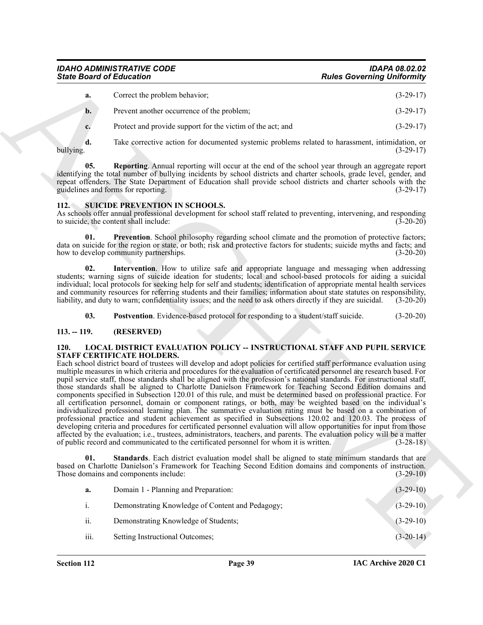# *IDAHO ADMINISTRATIVE CODE IDAPA 08.02.02*

| а.             | Correct the problem behavior;                              | $(3-29-17)$ |
|----------------|------------------------------------------------------------|-------------|
| $\mathbf{b}$ . | Prevent another occurrence of the problem;                 | $(3-29-17)$ |
|                | Protect and provide support for the victim of the act; and | $(3-29-17)$ |

**d.** Take corrective action for documented systemic problems related to harassment, intimidation, or bullying. (3-29-17)

<span id="page-38-3"></span>**05. Reporting**. Annual reporting will occur at the end of the school year through an aggregate report identifying the total number of bullying incidents by school districts and charter schools, grade level, gender, and repeat offenders. The State Department of Education shall provide school districts and charter schools with the guidelines and forms for reporting. (3-29-17) guidelines and forms for reporting.

#### <span id="page-38-6"></span><span id="page-38-0"></span>**112. SUICIDE PREVENTION IN SCHOOLS.**

As schools offer annual professional development for school staff related to preventing, intervening, and responding to suicide, the content shall include: (3-20-20) to suicide, the content shall include:

<span id="page-38-9"></span>**01. Prevention**. School philosophy regarding school climate and the promotion of protective factors; data on suicide for the region or state, or both; risk and protective factors for students; suicide myths and facts; and how to develop community partnerships. (3-20-20) how to develop community partnerships.

<span id="page-38-7"></span>**02. Intervention**. How to utilize safe and appropriate language and messaging when addressing students; warning signs of suicide ideation for students; local and school-based protocols for aiding a suicidal individual; local protocols for seeking help for self and students; identification of appropriate mental health services and community resources for referring students and their families; information about state statutes on responsibility, liability, and duty to warn; confidentiality issues; and the need to ask others directly if they are suicidal. (3-20-20)

<span id="page-38-8"></span><span id="page-38-4"></span>**03. Postvention**. Evidence-based protocol for responding to a student/staff suicide. (3-20-20)

#### <span id="page-38-1"></span>**113. -- 119. (RESERVED)**

#### <span id="page-38-2"></span>**120. LOCAL DISTRICT EVALUATION POLICY -- INSTRUCTIONAL STAFF AND PUPIL SERVICE STAFF CERTIFICATE HOLDERS.**

Since Board of Eclassical contents and the set of the set of the set of the set of the set of the set of the set of the set of the set of the set of the set of the set of the set of the set of the set of the set of the se Each school district board of trustees will develop and adopt policies for certified staff performance evaluation using multiple measures in which criteria and procedures for the evaluation of certificated personnel are research based. For pupil service staff, those standards shall be aligned with the profession's national standards. For instructional staff, those standards shall be aligned to Charlotte Danielson Framework for Teaching Second Edition domains and components specified in Subsection 120.01 of this rule, and must be determined based on professional practice. For all certification personnel, domain or component ratings, or both, may be weighted based on the individual's individualized professional learning plan. The summative evaluation rating must be based on a combination of professional practice and student achievement as specified in Subsections 120.02 and 120.03. The process of developing criteria and procedures for certificated personnel evaluation will allow opportunities for input from those affected by the evaluation; i.e., trustees, administrators, teachers, and parents. The evaluation policy will be a matter of public record and communicated to the certificated personnel for whom it is written. (3-28-18)

**Standards**. Each district evaluation model shall be aligned to state minimum standards that are based on Charlotte Danielson's Framework for Teaching Second Edition domains and components of instruction. Those domains and components include: (3-29-10)

<span id="page-38-5"></span>

| a.   | Domain 1 - Planning and Preparation:             | $(3-29-10)$ |
|------|--------------------------------------------------|-------------|
| 1.   | Demonstrating Knowledge of Content and Pedagogy; | $(3-29-10)$ |
| ii.  | Demonstrating Knowledge of Students;             | $(3-29-10)$ |
| iii. | Setting Instructional Outcomes;                  | $(3-20-14)$ |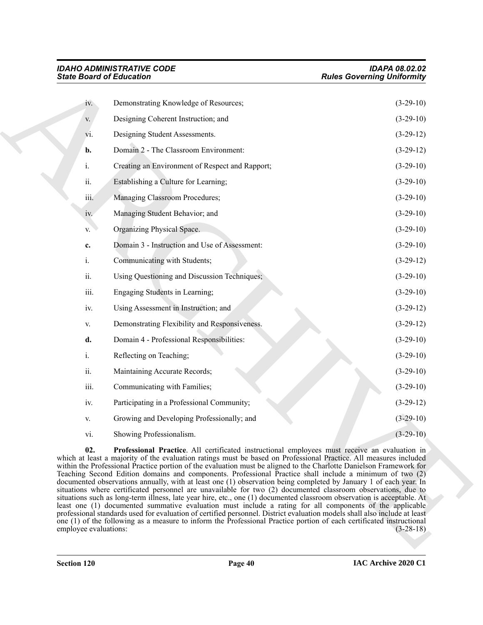<span id="page-39-0"></span>

|                              | <b>State Board of Education</b>                                                                                                                                                                                                                                                                                                                                                                                                                                                                                                                                                                                                                                                                                                                                                                                                                                                                                                                                                                                                                                                                                                                                                        | <b>Rules Governing Uniformity</b> |
|------------------------------|----------------------------------------------------------------------------------------------------------------------------------------------------------------------------------------------------------------------------------------------------------------------------------------------------------------------------------------------------------------------------------------------------------------------------------------------------------------------------------------------------------------------------------------------------------------------------------------------------------------------------------------------------------------------------------------------------------------------------------------------------------------------------------------------------------------------------------------------------------------------------------------------------------------------------------------------------------------------------------------------------------------------------------------------------------------------------------------------------------------------------------------------------------------------------------------|-----------------------------------|
| iv.                          | Demonstrating Knowledge of Resources;                                                                                                                                                                                                                                                                                                                                                                                                                                                                                                                                                                                                                                                                                                                                                                                                                                                                                                                                                                                                                                                                                                                                                  | $(3-29-10)$                       |
| V.                           | Designing Coherent Instruction; and                                                                                                                                                                                                                                                                                                                                                                                                                                                                                                                                                                                                                                                                                                                                                                                                                                                                                                                                                                                                                                                                                                                                                    | $(3-29-10)$                       |
| vi.                          | Designing Student Assessments.                                                                                                                                                                                                                                                                                                                                                                                                                                                                                                                                                                                                                                                                                                                                                                                                                                                                                                                                                                                                                                                                                                                                                         | $(3-29-12)$                       |
| b.                           | Domain 2 - The Classroom Environment:                                                                                                                                                                                                                                                                                                                                                                                                                                                                                                                                                                                                                                                                                                                                                                                                                                                                                                                                                                                                                                                                                                                                                  | $(3-29-12)$                       |
| i.                           | Creating an Environment of Respect and Rapport;                                                                                                                                                                                                                                                                                                                                                                                                                                                                                                                                                                                                                                                                                                                                                                                                                                                                                                                                                                                                                                                                                                                                        | $(3-29-10)$                       |
| ii.                          | Establishing a Culture for Learning;                                                                                                                                                                                                                                                                                                                                                                                                                                                                                                                                                                                                                                                                                                                                                                                                                                                                                                                                                                                                                                                                                                                                                   | $(3-29-10)$                       |
| iii.                         | Managing Classroom Procedures;                                                                                                                                                                                                                                                                                                                                                                                                                                                                                                                                                                                                                                                                                                                                                                                                                                                                                                                                                                                                                                                                                                                                                         | $(3-29-10)$                       |
| iv.                          | Managing Student Behavior; and                                                                                                                                                                                                                                                                                                                                                                                                                                                                                                                                                                                                                                                                                                                                                                                                                                                                                                                                                                                                                                                                                                                                                         | $(3-29-10)$                       |
| V.                           | Organizing Physical Space.                                                                                                                                                                                                                                                                                                                                                                                                                                                                                                                                                                                                                                                                                                                                                                                                                                                                                                                                                                                                                                                                                                                                                             | $(3-29-10)$                       |
| c.                           | Domain 3 - Instruction and Use of Assessment:                                                                                                                                                                                                                                                                                                                                                                                                                                                                                                                                                                                                                                                                                                                                                                                                                                                                                                                                                                                                                                                                                                                                          | $(3-29-10)$                       |
| i.                           | Communicating with Students;                                                                                                                                                                                                                                                                                                                                                                                                                                                                                                                                                                                                                                                                                                                                                                                                                                                                                                                                                                                                                                                                                                                                                           | $(3-29-12)$                       |
| ii.                          | Using Questioning and Discussion Techniques;                                                                                                                                                                                                                                                                                                                                                                                                                                                                                                                                                                                                                                                                                                                                                                                                                                                                                                                                                                                                                                                                                                                                           | $(3-29-10)$                       |
| iii.                         | Engaging Students in Learning;                                                                                                                                                                                                                                                                                                                                                                                                                                                                                                                                                                                                                                                                                                                                                                                                                                                                                                                                                                                                                                                                                                                                                         | $(3-29-10)$                       |
| iv.                          | Using Assessment in Instruction; and                                                                                                                                                                                                                                                                                                                                                                                                                                                                                                                                                                                                                                                                                                                                                                                                                                                                                                                                                                                                                                                                                                                                                   | $(3-29-12)$                       |
| V.                           | Demonstrating Flexibility and Responsiveness.                                                                                                                                                                                                                                                                                                                                                                                                                                                                                                                                                                                                                                                                                                                                                                                                                                                                                                                                                                                                                                                                                                                                          | $(3-29-12)$                       |
| d.                           | Domain 4 - Professional Responsibilities:                                                                                                                                                                                                                                                                                                                                                                                                                                                                                                                                                                                                                                                                                                                                                                                                                                                                                                                                                                                                                                                                                                                                              | $(3-29-10)$                       |
| i.                           | Reflecting on Teaching;                                                                                                                                                                                                                                                                                                                                                                                                                                                                                                                                                                                                                                                                                                                                                                                                                                                                                                                                                                                                                                                                                                                                                                | $(3-29-10)$                       |
| ii.                          | Maintaining Accurate Records;                                                                                                                                                                                                                                                                                                                                                                                                                                                                                                                                                                                                                                                                                                                                                                                                                                                                                                                                                                                                                                                                                                                                                          | $(3-29-10)$                       |
| iii.                         | Communicating with Families;                                                                                                                                                                                                                                                                                                                                                                                                                                                                                                                                                                                                                                                                                                                                                                                                                                                                                                                                                                                                                                                                                                                                                           | $(3-29-10)$                       |
| iv.                          | Participating in a Professional Community;                                                                                                                                                                                                                                                                                                                                                                                                                                                                                                                                                                                                                                                                                                                                                                                                                                                                                                                                                                                                                                                                                                                                             | $(3-29-12)$                       |
| V.                           | Growing and Developing Professionally; and                                                                                                                                                                                                                                                                                                                                                                                                                                                                                                                                                                                                                                                                                                                                                                                                                                                                                                                                                                                                                                                                                                                                             | $(3-29-10)$                       |
| vi.                          | Showing Professionalism.                                                                                                                                                                                                                                                                                                                                                                                                                                                                                                                                                                                                                                                                                                                                                                                                                                                                                                                                                                                                                                                                                                                                                               | $(3-29-10)$                       |
| 02.<br>employee evaluations: | Professional Practice. All certificated instructional employees must receive an evaluation in<br>which at least a majority of the evaluation ratings must be based on Professional Practice. All measures included<br>within the Professional Practice portion of the evaluation must be aligned to the Charlotte Danielson Framework for<br>Teaching Second Edition domains and components. Professional Practice shall include a minimum of two (2)<br>documented observations annually, with at least one (1) observation being completed by January 1 of each year. In<br>situations where certificated personnel are unavailable for two (2) documented classroom observations, due to<br>situations such as long-term illness, late year hire, etc., one (1) documented classroom observation is acceptable. At<br>least one (1) documented summative evaluation must include a rating for all components of the applicable<br>professional standards used for evaluation of certified personnel. District evaluation models shall also include at least<br>one (1) of the following as a measure to inform the Professional Practice portion of each certificated instructional | $(3-28-18)$                       |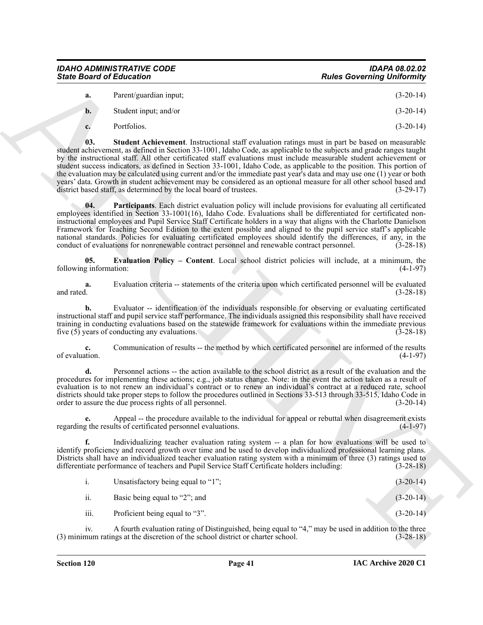| <b>State Board of Education</b>  | <b>Rules Governing Uniformity</b> |
|----------------------------------|-----------------------------------|
| <b>IDAHO ADMINISTRATIVE CODE</b> | <b>IDAPA 08.02.02</b>             |
|                                  |                                   |

<span id="page-40-1"></span>

| a. | Parent/guardian input; | $(3-20-14)$ |
|----|------------------------|-------------|
| b. | Student input; and/or  | $(3-20-14)$ |
|    | Portfolios.            | $(3-20-14)$ |

Since Board of Entreation<br>
A bender of the state of the state of the state of the state of the state of the state of the state of the state of the state of the state of the state of the state of the state of the state of **03. Student Achievement**. Instructional staff evaluation ratings must in part be based on measurable student achievement, as defined in Section 33-1001, Idaho Code, as applicable to the subjects and grade ranges taught by the instructional staff. All other certificated staff evaluations must include measurable student achievement or student success indicators, as defined in Section 33-1001, Idaho Code, as applicable to the position. This portion of the evaluation may be calculated using current and/or the immediate past year's data and may use one (1) year or both years' data. Growth in student achievement may be considered as an optional measure for all other school based and district based staff, as determined by the local board of trustees. (3-29-17) district based staff, as determined by the local board of trustees.

<span id="page-40-2"></span>**04. Participants**. Each district evaluation policy will include provisions for evaluating all certificated employees identified in Section 33-1001(16), Idaho Code. Evaluations shall be differentiated for certificated noninstructional employees and Pupil Service Staff Certificate holders in a way that aligns with the Charlotte Danielson Framework for Teaching Second Edition to the extent possible and aligned to the pupil service staff's applicable national standards. Policies for evaluating certificated employees should identify the differences, if any, in the conduct of evaluations for nonrenewable contract personnel and renewable contract personnel. (3-28-18)

<span id="page-40-0"></span>**05. Evaluation Policy – Content**. Local school district policies will include, at a minimum, the g information: (4-1-97) following information:

**a.** Evaluation criteria -- statements of the criteria upon which certificated personnel will be evaluated and rated.  $(3-28-18)$ and rated.  $(3-28-18)$ 

**b.** Evaluator -- identification of the individuals responsible for observing or evaluating certificated instructional staff and pupil service staff performance. The individuals assigned this responsibility shall have received training in conducting evaluations based on the statewide framework for evaluations within the immediate previous five (5) years of conducting any evaluations. (3-28-18) five  $(5)$  years of conducting any evaluations.

**c.** Communication of results -- the method by which certificated personnel are informed of the results of evaluation. (4-1-97)

**d.** Personnel actions -- the action available to the school district as a result of the evaluation and the procedures for implementing these actions; e.g., job status change. Note: in the event the action taken as a result of evaluation is to not renew an individual's contract or to renew an individual's contract at a reduced rate, school districts should take proper steps to follow the procedures outlined in Sections 33-513 through 33-515, Idaho Code in order to assure the due process rights of all personnel. (3-20-14) order to assure the due process rights of all personnel.

**e.** Appeal -- the procedure available to the individual for appeal or rebuttal when disagreement exists regarding the results of certificated personnel evaluations. (4-1-97)

**f.** Individualizing teacher evaluation rating system -- a plan for how evaluations will be used to identify proficiency and record growth over time and be used to develop individualized professional learning plans. Districts shall have an individualized teacher evaluation rating system with a minimum of three (3) ratings used to differentiate performance of teachers and Pupil Service Staff Certificate holders including: (3-28-18)

| Unsatisfactory being equal to "1"; | $(3-20-14)$ |
|------------------------------------|-------------|
|                                    |             |

ii. Basic being equal to "2"; and  $(3-20-14)$ 

iii. Proficient being equal to "3". (3-20-14)

iv. A fourth evaluation rating of Distinguished, being equal to "4," may be used in addition to the three<br>mum ratings at the discretion of the school district or charter school. (3-28-18) (3) minimum ratings at the discretion of the school district or charter school.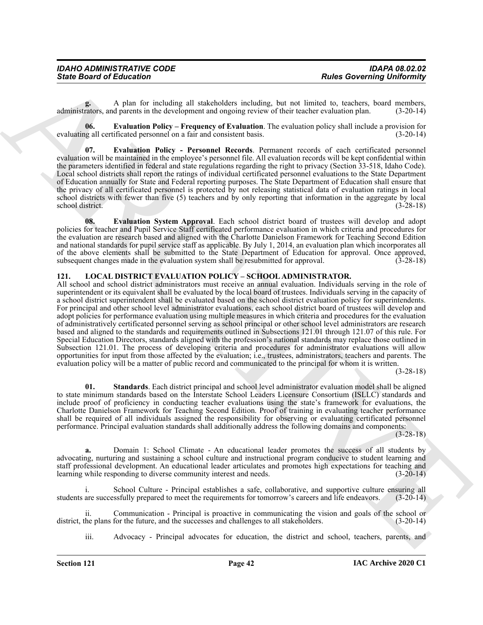| <b>IDAHO ADMINISTRATIVE CODE</b> | <b>IDAPA 08.02.02</b>             |
|----------------------------------|-----------------------------------|
| <b>State Board of Education</b>  | <b>Rules Governing Uniformity</b> |

A plan for including all stakeholders including, but not limited to, teachers, board members, d parents in the development and ongoing review of their teacher evaluation plan. (3-20-14) administrators, and parents in the development and ongoing review of their teacher evaluation plan.

<span id="page-41-1"></span>**06. Evaluation Policy – Frequency of Evaluation**. The evaluation policy shall include a provision for evaluating all certificated personnel on a fair and consistent basis. (3-20-14)

<span id="page-41-2"></span>**07. Evaluation Policy - Personnel Records**. Permanent records of each certificated personnel evaluation will be maintained in the employee's personnel file. All evaluation records will be kept confidential within the parameters identified in federal and state regulations regarding the right to privacy (Section 33-518, Idaho Code). Local school districts shall report the ratings of individual certificated personnel evaluations to the State Department of Education annually for State and Federal reporting purposes. The State Department of Education shall ensure that the privacy of all certificated personnel is protected by not releasing statistical data of evaluation ratings in local school districts with fewer than five (5) teachers and by only reporting that information in the aggregate by local school district. (3-28-18)

<span id="page-41-3"></span>**08. Evaluation System Approval**. Each school district board of trustees will develop and adopt policies for teacher and Pupil Service Staff certificated performance evaluation in which criteria and procedures for the evaluation are research based and aligned with the Charlotte Danielson Framework for Teaching Second Edition and national standards for pupil service staff as applicable. By July 1, 2014, an evaluation plan which incorporates all of the above elements shall be submitted to the State Department of Education for approval. Once approved, subsequent changes made in the evaluation system shall be resubmitted for approval. (3-28-18) subsequent changes made in the evaluation system shall be resubmitted for approval.

#### <span id="page-41-4"></span><span id="page-41-0"></span>**121. LOCAL DISTRICT EVALUATION POLICY – SCHOOL ADMINISTRATOR.**

Since Board of Entremotion Comparison in the subsection of the subsection of the subsection of the subsection of the subsection of the subsection of the subsection of the subsection of the subsection of the subsection of All school and school district administrators must receive an annual evaluation. Individuals serving in the role of superintendent or its equivalent shall be evaluated by the local board of trustees. Individuals serving in the capacity of a school district superintendent shall be evaluated based on the school district evaluation policy for superintendents. For principal and other school level administrator evaluations, each school district board of trustees will develop and adopt policies for performance evaluation using multiple measures in which criteria and procedures for the evaluation of administratively certificated personnel serving as school principal or other school level administrators are research based and aligned to the standards and requirements outlined in Subsections 121.01 through 121.07 of this rule. For Special Education Directors, standards aligned with the profession's national standards may replace those outlined in Subsection 121.01. The process of developing criteria and procedures for administrator evaluations will allow opportunities for input from those affected by the evaluation; i.e., trustees, administrators, teachers and parents. The evaluation policy will be a matter of public record and communicated to the principal for whom it is written.

(3-28-18)

<span id="page-41-5"></span>**01. Standards**. Each district principal and school level administrator evaluation model shall be aligned to state minimum standards based on the Interstate School Leaders Licensure Consortium (ISLLC) standards and include proof of proficiency in conducting teacher evaluations using the state's framework for evaluations, the Charlotte Danielson Framework for Teaching Second Edition. Proof of training in evaluating teacher performance shall be required of all individuals assigned the responsibility for observing or evaluating certificated personnel performance. Principal evaluation standards shall additionally address the following domains and components:

 $(3-28-18)$ 

**a.** Domain 1: School Climate - An educational leader promotes the success of all students by advocating, nurturing and sustaining a school culture and instructional program conducive to student learning and staff professional development. An educational leader articulates and promotes high expectations for teaching and learning while responding to diverse community interest and needs. (3-20-14) learning while responding to diverse community interest and needs.

i. School Culture - Principal establishes a safe, collaborative, and supportive culture ensuring all students are successfully prepared to meet the requirements for tomorrow's careers and life endeavors. (3-20-14)

ii. Communication - Principal is proactive in communicating the vision and goals of the school or he plans for the future, and the successes and challenges to all stakeholders. (3-20-14) district, the plans for the future, and the successes and challenges to all stakeholders.

iii. Advocacy - Principal advocates for education, the district and school, teachers, parents, and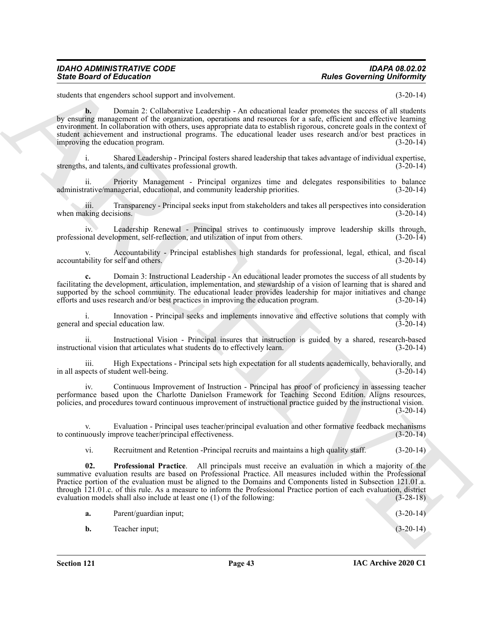students that engenders school support and involvement. (3-20-14)

Since Board of Echanisms<br>
Since Board of Echanisms<br>
states the regulation of the state of the state of the state of the state of the state of the state<br>
symmetric method of the regulation of the state of the state of the **b.** Domain 2: Collaborative Leadership - An educational leader promotes the success of all students by ensuring management of the organization, operations and resources for a safe, efficient and effective learning environment. In collaboration with others, uses appropriate data to establish rigorous, concrete goals in the context of student achievement and instructional programs. The educational leader uses research and/or best practices in<br>improving the education program. (3-20-14) improving the education program.

i. Shared Leadership - Principal fosters shared leadership that takes advantage of individual expertise, strengths, and talents, and cultivates professional growth. (3-20-14)

ii. Priority Management - Principal organizes time and delegates responsibilities to balance rative/managerial, educational, and community leadership priorities. (3-20-14) administrative/managerial, educational, and community leadership priorities.

iii. Transparency - Principal seeks input from stakeholders and takes all perspectives into consideration when making decisions. (3-20-14)

iv. Leadership Renewal - Principal strives to continuously improve leadership skills through, professional development, self-reflection, and utilization of input from others. (3-20-14)

Accountability - Principal establishes high standards for professional, legal, ethical, and fiscal self and others. (3-20-14) accountability for self and others.

**c.** Domain 3: Instructional Leadership - An educational leader promotes the success of all students by facilitating the development, articulation, implementation, and stewardship of a vision of learning that is shared and supported by the school community. The educational leader provides leadership for major initiatives and change efforts and uses research and/or best practices in improving the education program. (3-20-14)

Innovation - Principal seeks and implements innovative and effective solutions that comply with al education law. (3-20-14) general and special education law.

ii. Instructional Vision - Principal insures that instruction is guided by a shared, research-based onal vision that articulates what students do to effectively learn. (3-20-14) instructional vision that articulates what students do to effectively learn.

iii. High Expectations - Principal sets high expectation for all students academically, behaviorally, and lects of student well-being. (3-20-14) in all aspects of student well-being.

iv. Continuous Improvement of Instruction - Principal has proof of proficiency in assessing teacher performance based upon the Charlotte Danielson Framework for Teaching Second Edition. Aligns resources, policies, and procedures toward continuous improvement of instructional practice guided by the instructional vision.  $(3-20-14)$ 

v. Evaluation - Principal uses teacher/principal evaluation and other formative feedback mechanisms to continuously improve teacher/principal effectiveness.

<span id="page-42-0"></span>vi. Recruitment and Retention -Principal recruits and maintains a high quality staff. (3-20-14)

**02. Professional Practice**. All principals must receive an evaluation in which a majority of the summative evaluation results are based on Professional Practice. All measures included within the Professional Practice portion of the evaluation must be aligned to the Domains and Components listed in Subsection 121.01.a. through 121.01.c. of this rule. As a measure to inform the Professional Practice portion of each evaluation, district evaluation models shall also include at least one (1) of the following: (3-28-18)

|  | Parent/guardian input: |  |  | $(3-20-14)$ |  |  |
|--|------------------------|--|--|-------------|--|--|
|--|------------------------|--|--|-------------|--|--|

**b.** Teacher input; (3-20-14)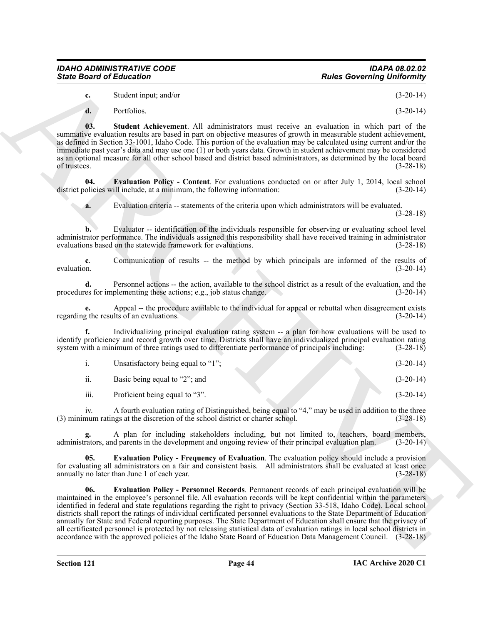| IDAHO ADMINISTRATIVE CODE       | IDAPA 08.02.02                    |
|---------------------------------|-----------------------------------|
| <b>State Board of Education</b> | <b>Rules Governing Uniformity</b> |

**c.** Student input; and/or (3-20-14)

<span id="page-43-3"></span>**d.** Portfolios. (3-20-14)

**03. Student Achievement**. All administrators must receive an evaluation in which part of the summative evaluation results are based in part on objective measures of growth in measurable student achievement, as defined in Section 33-1001, Idaho Code. This portion of the evaluation may be calculated using current and/or the immediate past year's data and may use one (1) or both years data. Growth in student achievement may be considered as an optional measure for all other school based and district based administrators, as determined by the local board of trustees. (3-28-18)

**04. Evaluation Policy - Content**. For evaluations conducted on or after July 1, 2014, local school olicies will include, at a minimum, the following information: (3-20-14) district policies will include, at a minimum, the following information:

<span id="page-43-0"></span>**a.** Evaluation criteria -- statements of the criteria upon which administrators will be evaluated.

(3-28-18)

**b.** Evaluator -- identification of the individuals responsible for observing or evaluating school level administrator performance. The individuals assigned this responsibility shall have received training in administrator evaluations based on the statewide framework for evaluations. (3-28-18) evaluations based on the statewide framework for evaluations.

**c**. Communication of results -- the method by which principals are informed of the results of evaluation.  $(3-20-14)$ evaluation. (3-20-14)

**d.** Personnel actions -- the action, available to the school district as a result of the evaluation, and the es for implementing these actions; e.g., job status change.  $(3-20-14)$ procedures for implementing these actions; e.g., job status change.

**e.** Appeal -- the procedure available to the individual for appeal or rebuttal when disagreement exists  $\alpha$  the results of an evaluations. (3-20-14) regarding the results of an evaluations.

**f.** Individualizing principal evaluation rating system -- a plan for how evaluations will be used to identify proficiency and record growth over time. Districts shall have an individualized principal evaluation rating system with a minimum of three ratings used to differentiate performance of principals including: (3-28-18)

|     | Unsatisfactory being equal to "1"; |  | $(3-20-14)$ |
|-----|------------------------------------|--|-------------|
| ii. | Basic being equal to "2"; and      |  | $(3-20-14)$ |

iii. Proficient being equal to "3". (3-20-14)

iv. A fourth evaluation rating of Distinguished, being equal to "4," may be used in addition to the three (3) minimum ratings at the discretion of the school district or charter school. (3-28-18)

A plan for including stakeholders including, but not limited to, teachers, board members, d parents in the development and ongoing review of their principal evaluation plan. (3-20-14) administrators, and parents in the development and ongoing review of their principal evaluation plan.

<span id="page-43-2"></span><span id="page-43-1"></span>**05. Evaluation Policy - Frequency of Evaluation**. The evaluation policy should include a provision for evaluating all administrators on a fair and consistent basis. All administrators shall be evaluated at least once annually no later than June 1 of each year. (3-28-18)

**Since Board of Entremotive Convention, The Convention Convention (3.22-14)<br>
Convention Convention Convention Convention Convention Convention Convention (3.22-14)<br>
Convention Convention Convention Convention Convention C 06. Evaluation Policy - Personnel Records**. Permanent records of each principal evaluation will be maintained in the employee's personnel file. All evaluation records will be kept confidential within the parameters identified in federal and state regulations regarding the right to privacy (Section 33-518, Idaho Code). Local school districts shall report the ratings of individual certificated personnel evaluations to the State Department of Education annually for State and Federal reporting purposes. The State Department of Education shall ensure that the privacy of all certificated personnel is protected by not releasing statistical data of evaluation ratings in local school districts in accordance with the approved policies of the Idaho State Board of Education Data Management Council. (3-28-18)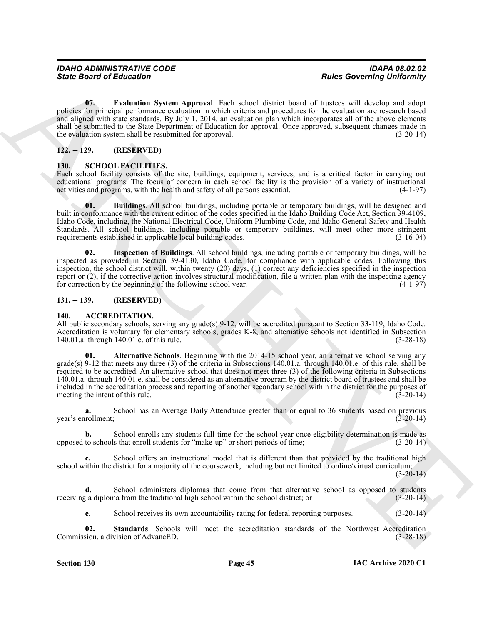<span id="page-44-7"></span>**07. Evaluation System Approval**. Each school district board of trustees will develop and adopt policies for principal performance evaluation in which criteria and procedures for the evaluation are research based and aligned with state standards. By July 1, 2014, an evaluation plan which incorporates all of the above elements shall be submitted to the State Department of Education for approval. Once approved, subsequent changes made in the evaluation system shall be resubmitted for approval. (3-20-14)

#### <span id="page-44-0"></span>**122. -- 129. (RESERVED)**

#### <span id="page-44-8"></span><span id="page-44-1"></span>**130. SCHOOL FACILITIES.**

Each school facility consists of the site, buildings, equipment, services, and is a critical factor in carrying out educational programs. The focus of concern in each school facility is the provision of a variety of instructional activities and programs, with the health and safety of all persons essential. (4-1-97) activities and programs, with the health and safety of all persons essential.

<span id="page-44-9"></span>**01. Buildings**. All school buildings, including portable or temporary buildings, will be designed and built in conformance with the current edition of the codes specified in the Idaho Building Code Act, Section 39-4109, Idaho Code, including, the National Electrical Code, Uniform Plumbing Code, and Idaho General Safety and Health Standards. All school buildings, including portable or temporary buildings, will meet other more stringent requirements established in applicable local building codes. (3-16-04)

<span id="page-44-10"></span>**02. Inspection of Buildings**. All school buildings, including portable or temporary buildings, will be inspected as provided in Section 39-4130, Idaho Code, for compliance with applicable codes. Following this inspection, the school district will, within twenty (20) days, (1) correct any deficiencies specified in the inspection report or (2), if the corrective action involves structural modification, file a written plan with the inspecting agency for correction by the beginning of the following school year. (4-1-97)

#### <span id="page-44-2"></span>**131. -- 139. (RESERVED)**

#### <span id="page-44-4"></span><span id="page-44-3"></span>**140. ACCREDITATION.**

<span id="page-44-5"></span>All public secondary schools, serving any grade(s) 9-12, will be accredited pursuant to Section 33-119, Idaho Code. Accreditation is voluntary for elementary schools, grades K-8, and alternative schools not identified in Subsection 140.01.a. through 140.01.e. of this rule. (3-28-18)

Since Board of Eclassicon<br>
(a) the Columbia System Approval. Each school district board of a static energy indication<br>
(a) the Columbia System Approval. Each school district board of a static energy indication of a static **01. Alternative Schools**. Beginning with the 2014-15 school year, an alternative school serving any grade(s) 9-12 that meets any three (3) of the criteria in Subsections 140.01.a. through 140.01.e. of this rule, shall be required to be accredited. An alternative school that does not meet three (3) of the following criteria in Subsections 140.01.a. through 140.01.e. shall be considered as an alternative program by the district board of trustees and shall be included in the accreditation process and reporting of another secondary school within the district for the purposes of meeting the intent of this rule. (3-20-14)

**a.** School has an Average Daily Attendance greater than or equal to 36 students based on previous year's enrollment; (3-20-14)

**b.** School enrolls any students full-time for the school year once eligibility determination is made as to schools that enroll students for "make-up" or short periods of time; (3-20-14) opposed to schools that enroll students for "make-up" or short periods of time;

**c.** School offers an instructional model that is different than that provided by the traditional high school within the district for a majority of the coursework, including but not limited to online/virtual curriculum;

 $(3-20-14)$ 

**d.** School administers diplomas that come from that alternative school as opposed to students receiving a diploma from the traditional high school within the school district; or (3-20-14)

<span id="page-44-6"></span>**e.** School receives its own accountability rating for federal reporting purposes. (3-20-14)

**02.** Standards. Schools will meet the accreditation standards of the Northwest Accreditation sion, a division of Advance D. (3-28-18) Commission, a division of AdvancED.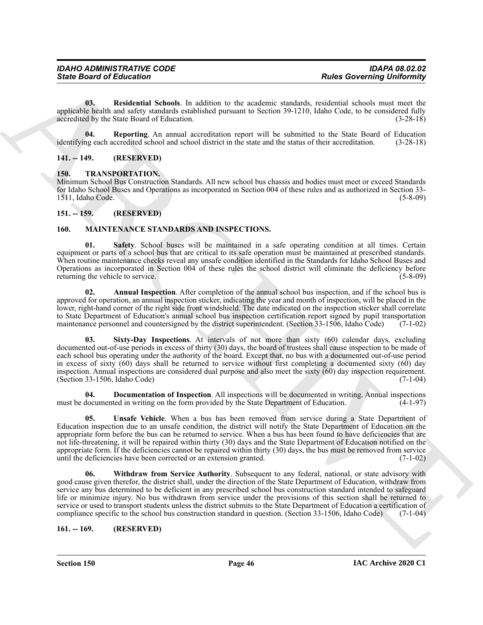<span id="page-45-6"></span>**03. Residential Schools**. In addition to the academic standards, residential schools must meet the applicable health and safety standards established pursuant to Section 39-1210, Idaho Code, to be considered fully accredited by the State Board of Education. (3-28-18)

<span id="page-45-5"></span>**04.** Reporting. An annual accreditation report will be submitted to the State Board of Education ng each accredited school and school district in the state and the status of their accreditation. (3-28-18) identifying each accredited school and school district in the state and the status of their accreditation.

#### <span id="page-45-0"></span>**141. -- 149. (RESERVED)**

#### <span id="page-45-14"></span><span id="page-45-1"></span>**150. TRANSPORTATION.**

Minimum School Bus Construction Standards. All new school bus chassis and bodies must meet or exceed Standards for Idaho School Buses and Operations as incorporated in Section 004 of these rules and as authorized in Section 33- 1511, Idaho Code. (5-8-09)

#### <span id="page-45-2"></span>**151. -- 159. (RESERVED)**

#### <span id="page-45-13"></span><span id="page-45-9"></span><span id="page-45-3"></span>**160. MAINTENANCE STANDARDS AND INSPECTIONS.**

**01. Safety**. School buses will be maintained in a safe operating condition at all times. Certain equipment or parts of a school bus that are critical to its safe operation must be maintained at prescribed standards. When routine maintenance checks reveal any unsafe condition identified in the Standards for Idaho School Buses and Operations as incorporated in Section 004 of these rules the school district will eliminate the deficiency before returning the vehicle to service. (5-8-09) returning the vehicle to service.

<span id="page-45-10"></span><span id="page-45-7"></span>**02. Annual Inspection**. After completion of the annual school bus inspection, and if the school bus is approved for operation, an annual inspection sticker, indicating the year and month of inspection, will be placed in the lower, right-hand corner of the right side front windshield. The date indicated on the inspection sticker shall correlate to State Department of Education's annual school bus inspection certification report signed by pupil transportation maintenance personnel and countersigned by the district superintendent. (Section 33-1506, Idaho Code) (7-1-02)

**Since Board of Entremotion**<br>
1986 Governing University Distribution in the sculpture and control in the control of the sculpture of the sculpture of the sculpture of the sculpture of the sculpture of the sculpture of the **03. Sixty-Day Inspections**. At intervals of not more than sixty (60) calendar days, excluding documented out-of-use periods in excess of thirty (30) days, the board of trustees shall cause inspection to be made of each school bus operating under the authority of the board. Except that, no bus with a documented out-of-use period in excess of sixty  $(60)$  days shall be returned to service without first completing a documented sixty  $(60)$  day inspection. Annual inspections are considered dual purpose and also meet the sixty  $(60)$  day inspection requirement. (Section 33-1506, Idaho Code) (7-1-04)

<span id="page-45-8"></span>**04. Documentation of Inspection**. All inspections will be documented in writing. Annual inspections documented in writing on the form provided by the State Department of Education. (4-1-97) must be documented in writing on the form provided by the State Department of Education.

<span id="page-45-11"></span>**05. Unsafe Vehicle**. When a bus has been removed from service during a State Department of Education inspection due to an unsafe condition, the district will notify the State Department of Education on the appropriate form before the bus can be returned to service. When a bus has been found to have deficiencies that are not life-threatening, it will be repaired within thirty (30) days and the State Department of Education notified on the appropriate form. If the deficiencies cannot be repaired within thirty (30) days, the bus must be removed from service until the deficiencies have been corrected or an extension granted. (7-1-02)

<span id="page-45-12"></span>**06. Withdraw from Service Authority**. Subsequent to any federal, national, or state advisory with good cause given therefor, the district shall, under the direction of the State Department of Education, withdraw from service any bus determined to be deficient in any prescribed school bus construction standard intended to safeguard life or minimize injury. No bus withdrawn from service under the provisions of this section shall be returned to service or used to transport students unless the district submits to the State Department of Education a certification of compliance specific to the school bus construction standard in question. (Section 33-1506, Idaho Code) (7-1-04)

<span id="page-45-4"></span>**161. -- 169. (RESERVED)**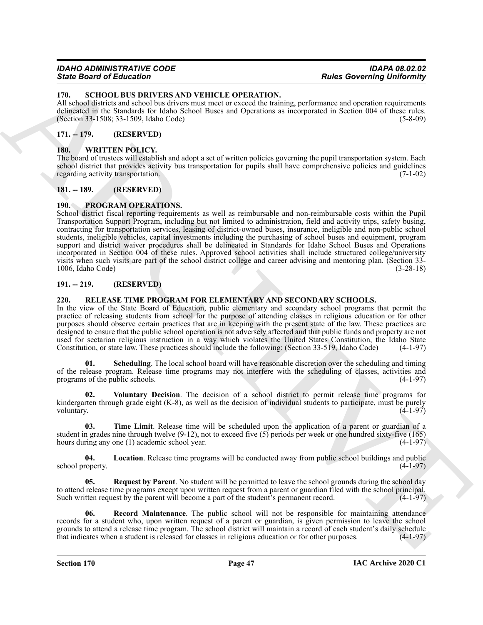#### <span id="page-46-15"></span><span id="page-46-0"></span>**170. SCHOOL BUS DRIVERS AND VEHICLE OPERATION.**

All school districts and school bus drivers must meet or exceed the training, performance and operation requirements delineated in the Standards for Idaho School Buses and Operations as incorporated in Section 004 of these rules. (Section 33-1508; 33-1509, Idaho Code) (5-8-09)

#### <span id="page-46-1"></span>**171. -- 179. (RESERVED)**

#### <span id="page-46-16"></span><span id="page-46-2"></span>**180. WRITTEN POLICY.**

The board of trustees will establish and adopt a set of written policies governing the pupil transportation system. Each school district that provides activity bus transportation for pupils shall have comprehensive policies and guidelines regarding activity transportation. (7-1-02)

#### <span id="page-46-3"></span>**181. -- 189. (RESERVED)**

#### <span id="page-46-7"></span><span id="page-46-4"></span>**190. PROGRAM OPERATIONS.**

**Sink Bookmain of Education Control in the Control in the Control in the Control in the Control in the Control in the Control in the Control in the Control in the Control in the Control in the Control in the Control in th** School district fiscal reporting requirements as well as reimbursable and non-reimbursable costs within the Pupil Transportation Support Program, including but not limited to administration, field and activity trips, safety busing, contracting for transportation services, leasing of district-owned buses, insurance, ineligible and non-public school students, ineligible vehicles, capital investments including the purchasing of school buses and equipment, program support and district waiver procedures shall be delineated in Standards for Idaho School Buses and Operations incorporated in Section 004 of these rules. Approved school activities shall include structured college/university visits when such visits are part of the school district college and career advising and mentoring plan. (Section 33-  $1006$ , Idaho Code)

#### <span id="page-46-5"></span>**191. -- 219. (RESERVED)**

#### <span id="page-46-8"></span><span id="page-46-6"></span>**220. RELEASE TIME PROGRAM FOR ELEMENTARY AND SECONDARY SCHOOLS.**

In the view of the State Board of Education, public elementary and secondary school programs that permit the practice of releasing students from school for the purpose of attending classes in religious education or for other purposes should observe certain practices that are in keeping with the present state of the law. These practices are designed to ensure that the public school operation is not adversely affected and that public funds and property are not used for sectarian religious instruction in a way which violates the United States Constitution, the Idaho State Constitution, or state law. These practices should include the following: (Section 33-519, Idaho Code) (4-1-97)

<span id="page-46-12"></span>**01. Scheduling**. The local school board will have reasonable discretion over the scheduling and timing of the release program. Release time programs may not interfere with the scheduling of classes, activities and programs of the public schools. (4-1-97) programs of the public schools.

<span id="page-46-14"></span>**02. Voluntary Decision**. The decision of a school district to permit release time programs for kindergarten through grade eight (K-8), as well as the decision of individual students to participate, must be purely voluntary.  $(4-1-97)$ 

<span id="page-46-13"></span>**03. Time Limit**. Release time will be scheduled upon the application of a parent or guardian of a student in grades nine through twelve (9-12), not to exceed five (5) periods per week or one hundred sixty-five (165) hours during any one (1) academic school year. (4-1-97) hours during any one  $(1)$  academic school year.

<span id="page-46-9"></span>**04. Location**. Release time programs will be conducted away from public school buildings and public school property. (4-1-97)

<span id="page-46-11"></span>**05.** Request by Parent. No student will be permitted to leave the school grounds during the school day to attend release time programs except upon written request from a parent or guardian filed with the school principal. Such written request by the parent will become a part of the student's permanent record. (4-1-97)

<span id="page-46-10"></span>**06. Record Maintenance**. The public school will not be responsible for maintaining attendance records for a student who, upon written request of a parent or guardian, is given permission to leave the school grounds to attend a release time program. The school district will maintain a record of each student's daily schedule that indicates when a student is released for classes in religious education or for other purposes. (4-1 that indicates when a student is released for classes in religious education or for other purposes.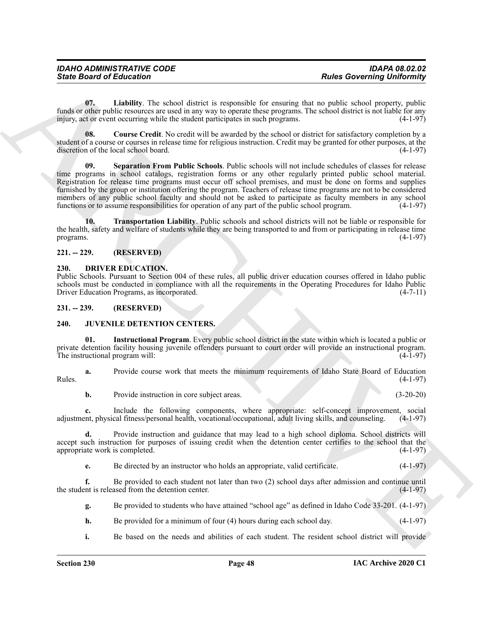| <b>IDAHO ADMINISTRATIVE CODE</b> | <b>IDAPA 08.02.02</b>             |
|----------------------------------|-----------------------------------|
| <b>State Board of Education</b>  | <b>Rules Governing Uniformity</b> |

<span id="page-47-8"></span>**07. Liability**. The school district is responsible for ensuring that no public school property, public funds or other public resources are used in any way to operate these programs. The school district is not liable for any injury, act or event occurring while the student participates in such programs. (4-1-97) injury, act or event occurring while the student participates in such programs.

<span id="page-47-9"></span><span id="page-47-7"></span>**08. Course Credit**. No credit will be awarded by the school or district for satisfactory completion by a student of a course or courses in release time for religious instruction. Credit may be granted for other purposes, at the discretion of the local school board. (4-1-97)

Since Board of Entremotion Transformation Computedly, Excellent the straining that a coverning University of the straining term and the straining term and the straining of the straining term and the straining of the strai **Separation From Public Schools**. Public schools will not include schedules of classes for release time programs in school catalogs, registration forms or any other regularly printed public school material. Registration for release time programs must occur off school premises, and must be done on forms and supplies furnished by the group or institution offering the program. Teachers of release time programs are not to be considered members of any public school faculty and should not be asked to participate as faculty members in any school functions or to assume responsibilities for operation of any part of the public school program. (4-1-97)

<span id="page-47-10"></span>**10. Transportation Liability**. Public schools and school districts will not be liable or responsible for the health, safety and welfare of students while they are being transported to and from or participating in release time programs. (4-1-97) programs. (4-1-97)

#### <span id="page-47-0"></span>**221. -- 229. (RESERVED)**

#### <span id="page-47-4"></span><span id="page-47-1"></span>**230. DRIVER EDUCATION.**

Public Schools. Pursuant to Section 004 of these rules, all public driver education courses offered in Idaho public schools must be conducted in compliance with all the requirements in the Operating Procedures for Idaho Public<br>Driver Education Programs, as incorporated. (4-7-11) Driver Education Programs, as incorporated.

#### <span id="page-47-2"></span>**231. -- 239. (RESERVED)**

#### <span id="page-47-5"></span><span id="page-47-3"></span>**240. JUVENILE DETENTION CENTERS.**

<span id="page-47-6"></span>**01. Instructional Program**. Every public school district in the state within which is located a public or private detention facility housing juvenile offenders pursuant to court order will provide an instructional program. The instructional program will: (4-1-97)

**a.** Provide course work that meets the minimum requirements of Idaho State Board of Education Rules.  $(4-1-97)$ 

**b.** Provide instruction in core subject areas. (3-20-20)

**c.** Include the following components, where appropriate: self-concept improvement, social adjustment, physical fitness/personal health, vocational/occupational, adult living skills, and counseling. (4-1-97)

**d.** Provide instruction and guidance that may lead to a high school diploma. School districts will accept such instruction for purposes of issuing credit when the detention center certifies to the school that the appropriate work is completed. (4-1-97) appropriate work is completed.

**e.** Be directed by an instructor who holds an appropriate, valid certificate.  $(4-1-97)$ 

**f.** Be provided to each student not later than two (2) school days after admission and continue until int is released from the detention center.  $(4-1-97)$ the student is released from the detention center.

**g.** Be provided to students who have attained "school age" as defined in Idaho Code 33-201. (4-1-97)

- **h.** Be provided for a minimum of four (4) hours during each school day. (4-1-97)
- **i.** Be based on the needs and abilities of each student. The resident school district will provide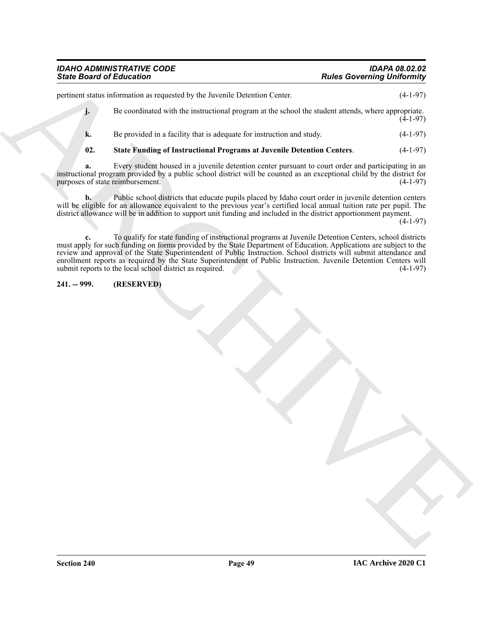# *IDAHO ADMINISTRATIVE CODE IDAPA 08.02.02*

Since Board of Ethication <sup>2</sup><br>
yield and *H* Exceptional Contention Color.<br>
The content state when the level of the present of program at the school for states stands, where experiments<br>  $V_1$  Be even that is the distribu pertinent status information as requested by the Juvenile Detention Center. (4-1-97) **j.** Be coordinated with the instructional program at the school the student attends, where appropriate.  $(4-1-97)$ **k.** Be provided in a facility that is adequate for instruction and study. (4-1-97) **02. State Funding of Instructional Programs at Juvenile Detention Centers**. (4-1-97) **a.** Every student housed in a juvenile detention center pursuant to court order and participating in an

<span id="page-48-1"></span>instructional program provided by a public school district will be counted as an exceptional child by the district for purposes of state reimbursement.

**b.** Public school districts that educate pupils placed by Idaho court order in juvenile detention centers will be eligible for an allowance equivalent to the previous year's certified local annual tuition rate per pupil. The district allowance will be in addition to support unit funding and included in the district apportionment payment.

 $(4-1-97)$ 

**c.** To qualify for state funding of instructional programs at Juvenile Detention Centers, school districts must apply for such funding on forms provided by the State Department of Education. Applications are subject to the review and approval of the State Superintendent of Public Instruction. School districts will submit attendance and enrollment reports as required by the State Superintendent of Public Instruction. Juvenile Detention Centers will submit reports to the local school district as required.

#### <span id="page-48-0"></span>**241. -- 999. (RESERVED)**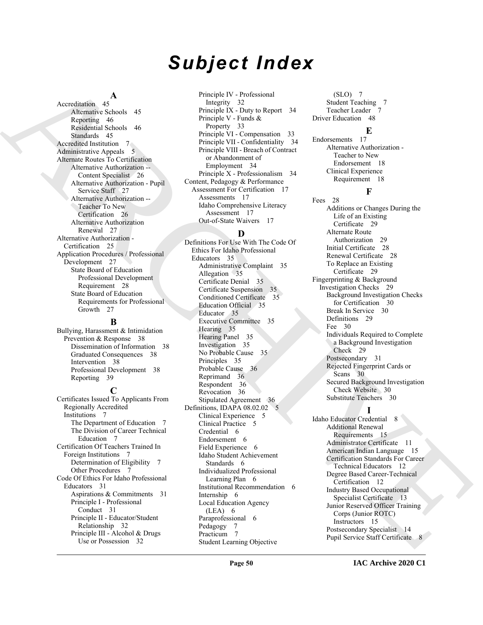# *Subject Index*

#### **A**

Accreditation 45 Alternative Schools 45 Reporting 46 Residential Schools 46 Standards 45 Accredited Institution 7 Administrative Appeals 5 Alternate Routes To Certification Alternative Authorization -- Content Specialist 26 Alternative Authorization - Pupil Service Staff 27 Alternative Authorization -- Teacher To New Certification 26 Alternative Authorization Renewal 27 Alternative Authorization - Certification 25 Application Procedures / Professional Development 27 State Board of Education Professional Development Requirement 28 State Board of Education Requirements for Professional Growth 27

#### **B**

Bullying, Harassment & Intimidation Prevention & Response 38 Dissemination of Information 38 Graduated Consequences 38 Intervention 38 Professional Development 38 Reporting 39

#### **C**

Certificates Issued To Applicants From Regionally Accredited Institutions 7 The Department of Education 7 The Division of Career Technical Education 7 Certification Of Teachers Trained In Foreign Institutions 7 Determination of Eligibility 7 Other Procedures 7 Code Of Ethics For Idaho Professional Educators 31 Aspirations & Commitments 31 Principle I - Professional Conduct 31 Principle II - Educator/Student Relationship 32 Principle III - Alcohol & Drugs Use or Possession 32

Principle IV - Professional Integrity 32 Principle IX - Duty to Report 34 Principle V - Funds & Property 33 Principle VI - Compensation 33 Principle VII - Confidentiality 34 Principle VIII - Breach of Contract or Abandonment of Employment 34 Principle X - Professionalism 34 Content, Pedagogy & Performance Assessment For Certification 17 Assessments 17 Idaho Comprehensive Literacy Assessment 17 Out-of-State Waivers 17

#### **D**

[A](#page-25-0)rchives A<br>
Archives A<br>
Archives A<br>
Archives A<br>
Archives A<br>
Archives A<br>
Archives A<br>
Archives A<br>
Archives A<br>
Archives A<br> [R](#page-25-1)egister A<br>
Register A<br>
Register A<br>
Register A<br>
Register A<br>
Archives A<br>
Archives A<br>
Archives A<br>
Archi Definitions For Use With The Code Of Ethics For Idaho Professional Educators 35 Administrative Complaint 35 Allegation 35 Certificate Denial 35 Certificate Suspension 35 Conditioned Certificate 35 Education Official 35 Educator 35 Executive Committee 35 Hearing 35 Hearing Panel 35 Investigation 35 No Probable Cause 35 Principles 35 Probable Cause 36 Reprimand 36 Respondent 36 Revocation 36 Stipulated Agreement 36 Definitions, IDAPA 08.02.02 5 Clinical Experience 5 Clinical Practice 5 Credential 6 Endorsement 6 Field Experience 6 Idaho Student Achievement Standards 6 Individualized Professional Learning Plan 6 Institutional Recommendation 6 Internship 6 Local Education Agency (LEA) 6 Paraprofessional 6 Pedagogy 7 Practicum 7 Student Learning Objective

(SLO) 7 Student Teaching 7 Teacher Leader 7 Driver Education 48

#### **E**

Endorsements 17 Alternative Authorization - Teacher to New Endorsement 18 Clinical Experience Requirement 18

#### **F**

Fees 28 Additions or Changes During the Life of an Existing Certificate 29 Alternate Route Authorization 29 Initial Certificate 28 Renewal Certificate 28 To Replace an Existing Certificate 29 Fingerprinting & Background Investigation Checks 29 Background Investigation Checks for Certification 30 Break In Service 30 Definitions 29 Fee 30 Individuals Required to Complete a Background Investigation Check 29 Postsecondary 31 Rejected Fingerprint Cards or Scans 30 Secured Background Investigation Check Website 30 Substitute Teachers 30

**I** Idaho Educator Credential 8 Additional Renewal Requirements 15 Administrator Certificate 11 American Indian Language 15 Certification Standards For Career Technical Educators 12 Degree Based Career-Technical Certification 12 Industry Based Occupational Specialist Certificate 13 Junior Reserved Officer Training Corps (Junior ROTC) Instructors 15 Postsecondary Specialist 14 Pupil Service Staff Certificate 8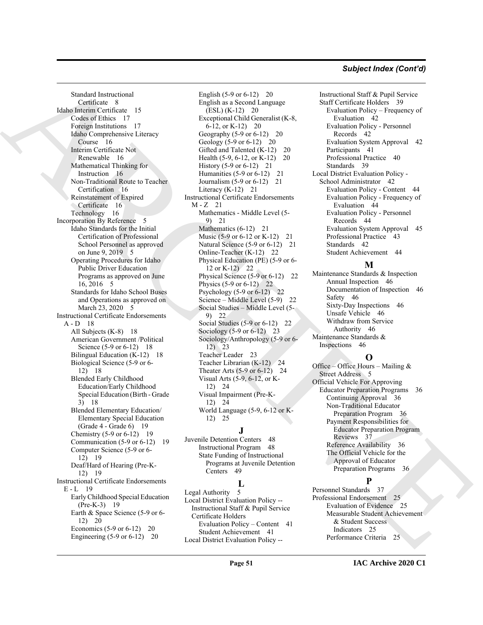#### *Subject Index (Cont'd)*

Such<br>the centres of the state of the state of the state of the state of the state of the state of the state of the state of the state of the state of the state of the state of the state of the state of the state of the st Standard Instructional Certificate 8 Idaho Interim Certificate 15 Codes of Ethics 17 Foreign Institutions 17 Idaho Comprehensive Literacy Course 16 Interim Certificate Not Renewable 16 Mathematical Thinking for Instruction 16 Non-Traditional Route to Teacher Certification 16 Reinstatement of Expired Certificate 16 Technology 16 Incorporation By Reference 5 Idaho Standards for the Initial Certification of Professional School Personnel as approved on June 9, 2019 5 Operating Procedures for Idaho Public Driver Education Programs as approved on June 16, 2016 5 Standards for Idaho School Buses and Operations as approved on March 23, 2020 5 Instructional Certificate Endorsements A - D 18 All Subjects (K-8) 18 American Government /Political Science (5-9 or 6-12) 18 Bilingual Education (K-12) 18 Biological Science (5-9 or 6- 12) 18 Blended Early Childhood Education/Early Childhood Special Education (Birth - Grade 3) 18 Blended Elementary Education/ Elementary Special Education (Grade 4 - Grade 6) 19 Chemistry (5-9 or 6-12) 19 Communication (5-9 or 6-12) 19 Computer Science (5-9 or 6- 12) 19 Deaf/Hard of Hearing (Pre-K-12) 19 Instructional Certificate Endorsements  $E - L$  19 Early Childhood Special Education (Pre-K-3) 19 Earth & Space Science (5-9 or 6- 12) 20 Economics (5-9 or 6-12) 20 Engineering  $(5-9 \text{ or } 6-12)$  20

English (5-9 or 6-12) 20 English as a Second Language  $(ESL)$   $(K-12)$  20 Exceptional Child Generalist (K-8, 6-12, or K-12) 20 Geography (5-9 or 6-12) 20 Geology (5-9 or 6-12) 20 Gifted and Talented (K-12) 20 Health (5-9, 6-12, or K-12) 20 History (5-9 or 6-12) 21 Humanities (5-9 or 6-12) 21 Journalism (5-9 or 6-12) 21 Literacy (K-12) 21 Instructional Certificate Endorsements  $M - Z$  21 Mathematics - Middle Level (5- 9) 21 Mathematics (6-12) 21 Music (5-9 or 6-12 or K-12) 21 Natural Science (5-9 or 6-12) 21 Online-Teacher (K-12) 22 Physical Education (PE) (5-9 or 6- 12 or K-12) 22 Physical Science (5-9 or 6-12) 22 Physics (5-9 or 6-12) 22 Psychology (5-9 or 6-12) 22 Science – Middle Level (5-9) 22 Social Studies – Middle Level (5- 9) 22 Social Studies (5-9 or 6-12) 22 Sociology (5-9 or 6-12) 23 Sociology/Anthropology (5-9 or 6- 12) 23 Teacher Leader 23 Teacher Librarian (K-12) 24 Theater Arts (5-9 or 6-12) 24 Visual Arts (5-9, 6-12, or K-12) 24 Visual Impairment (Pre-K-12) 24 World Language (5-9, 6-12 or K-12) 25

### **J**

Juvenile Detention Centers 48 Instructional Program 48 State Funding of Instructional Programs at Juvenile Detention Centers 49

## **L**

Legal Authority 5 Local District Evaluation Policy -- Instructional Staff & Pupil Service Certificate Holders Evaluation Policy – Content 41 Student Achievement 41 Local District Evaluation Policy --

Instructional Staff & Pupil Service Staff Certificate Holders 39 Evaluation Policy – Frequency of Evaluation 42 Evaluation Policy - Personnel Records 42 Evaluation System Approval 42 Participants 41 Professional Practice 40 Standards 39 Local District Evaluation Policy - School Administrator 42 Evaluation Policy - Content 44 Evaluation Policy - Frequency of Evaluation 44 Evaluation Policy - Personnel Records 44 Evaluation System Approval 45 Professional Practice 43 Standards 42 Student Achievement 44

#### **M**

Maintenance Standards & Inspection Annual Inspection 46 Documentation of Inspection 46 Safety 46 Sixty-Day Inspections 46 Unsafe Vehicle 46 Withdraw from Service Authority 46 Maintenance Standards & Inspections 46

#### **O**

Office – Office Hours – Mailing  $\&$ Street Address 5 Official Vehicle For Approving Educator Preparation Programs 36 Continuing Approval 36 Non-Traditional Educator Preparation Program 36 Payment Responsibilities for Educator Preparation Program Reviews 37 Reference Availability 36 The Official Vehicle for the Approval of Educator Preparation Programs 36

#### **P**

Personnel Standards 37 Professional Endorsement 25 Evaluation of Evidence 25 Measurable Student Achievement & Student Success Indicators 25 Performance Criteria 25